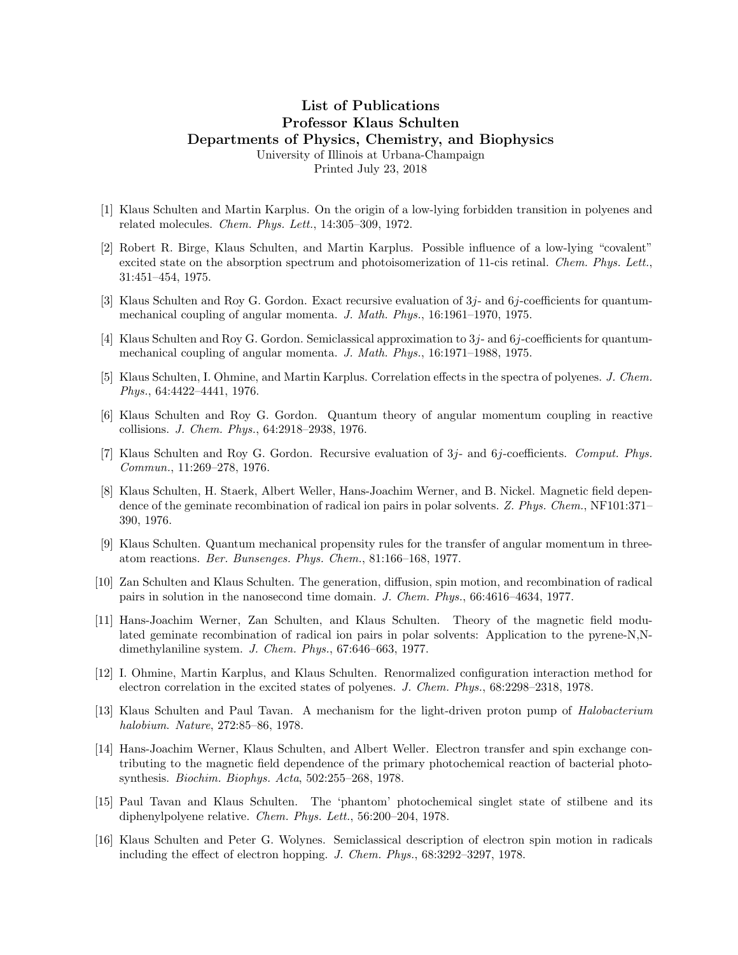## List of Publications Professor Klaus Schulten Departments of Physics, Chemistry, and Biophysics University of Illinois at Urbana-Champaign

Printed July 23, 2018

- [1] Klaus Schulten and Martin Karplus. On the origin of a low-lying forbidden transition in polyenes and related molecules. Chem. Phys. Lett., 14:305–309, 1972.
- [2] Robert R. Birge, Klaus Schulten, and Martin Karplus. Possible influence of a low-lying "covalent" excited state on the absorption spectrum and photoisomerization of 11-cis retinal. Chem. Phys. Lett., 31:451–454, 1975.
- [3] Klaus Schulten and Roy G. Gordon. Exact recursive evaluation of 3j- and 6j-coefficients for quantummechanical coupling of angular momenta. J. Math. Phys., 16:1961–1970, 1975.
- [4] Klaus Schulten and Roy G. Gordon. Semiclassical approximation to 3j- and 6j-coefficients for quantummechanical coupling of angular momenta. J. Math. Phys., 16:1971–1988, 1975.
- [5] Klaus Schulten, I. Ohmine, and Martin Karplus. Correlation effects in the spectra of polyenes. J. Chem. Phys., 64:4422–4441, 1976.
- [6] Klaus Schulten and Roy G. Gordon. Quantum theory of angular momentum coupling in reactive collisions. J. Chem. Phys., 64:2918–2938, 1976.
- [7] Klaus Schulten and Roy G. Gordon. Recursive evaluation of 3j- and 6j-coefficients. Comput. Phys. Commun., 11:269–278, 1976.
- [8] Klaus Schulten, H. Staerk, Albert Weller, Hans-Joachim Werner, and B. Nickel. Magnetic field dependence of the geminate recombination of radical ion pairs in polar solvents. Z. Phys. Chem., NF101:371-390, 1976.
- [9] Klaus Schulten. Quantum mechanical propensity rules for the transfer of angular momentum in threeatom reactions. Ber. Bunsenges. Phys. Chem., 81:166–168, 1977.
- [10] Zan Schulten and Klaus Schulten. The generation, diffusion, spin motion, and recombination of radical pairs in solution in the nanosecond time domain. J. Chem. Phys., 66:4616–4634, 1977.
- [11] Hans-Joachim Werner, Zan Schulten, and Klaus Schulten. Theory of the magnetic field modulated geminate recombination of radical ion pairs in polar solvents: Application to the pyrene-N,Ndimethylaniline system. J. Chem. Phys., 67:646–663, 1977.
- [12] I. Ohmine, Martin Karplus, and Klaus Schulten. Renormalized configuration interaction method for electron correlation in the excited states of polyenes. J. Chem. Phys., 68:2298–2318, 1978.
- [13] Klaus Schulten and Paul Tavan. A mechanism for the light-driven proton pump of Halobacterium halobium. Nature, 272:85–86, 1978.
- [14] Hans-Joachim Werner, Klaus Schulten, and Albert Weller. Electron transfer and spin exchange contributing to the magnetic field dependence of the primary photochemical reaction of bacterial photosynthesis. Biochim. Biophys. Acta, 502:255–268, 1978.
- [15] Paul Tavan and Klaus Schulten. The 'phantom' photochemical singlet state of stilbene and its diphenylpolyene relative. Chem. Phys. Lett., 56:200–204, 1978.
- [16] Klaus Schulten and Peter G. Wolynes. Semiclassical description of electron spin motion in radicals including the effect of electron hopping. J. Chem. Phys., 68:3292–3297, 1978.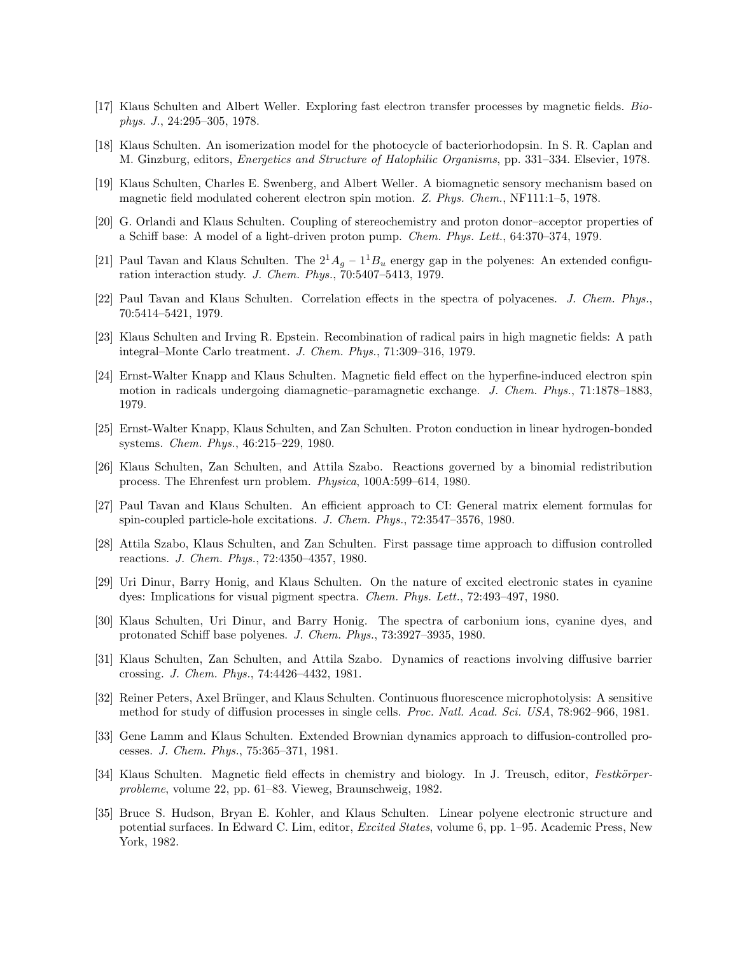- [17] Klaus Schulten and Albert Weller. Exploring fast electron transfer processes by magnetic fields. Biophys. J., 24:295–305, 1978.
- [18] Klaus Schulten. An isomerization model for the photocycle of bacteriorhodopsin. In S. R. Caplan and M. Ginzburg, editors, Energetics and Structure of Halophilic Organisms, pp. 331–334. Elsevier, 1978.
- [19] Klaus Schulten, Charles E. Swenberg, and Albert Weller. A biomagnetic sensory mechanism based on magnetic field modulated coherent electron spin motion. Z. Phys. Chem., NF111:1–5, 1978.
- [20] G. Orlandi and Klaus Schulten. Coupling of stereochemistry and proton donor–acceptor properties of a Schiff base: A model of a light-driven proton pump. Chem. Phys. Lett., 64:370–374, 1979.
- [21] Paul Tavan and Klaus Schulten. The  $2^1A_g 1^1B_u$  energy gap in the polyenes: An extended configuration interaction study. J. Chem. Phys., 70:5407–5413, 1979.
- [22] Paul Tavan and Klaus Schulten. Correlation effects in the spectra of polyacenes. J. Chem. Phys., 70:5414–5421, 1979.
- [23] Klaus Schulten and Irving R. Epstein. Recombination of radical pairs in high magnetic fields: A path integral–Monte Carlo treatment. J. Chem. Phys., 71:309–316, 1979.
- [24] Ernst-Walter Knapp and Klaus Schulten. Magnetic field effect on the hyperfine-induced electron spin motion in radicals undergoing diamagnetic–paramagnetic exchange. J. Chem. Phys., 71:1878–1883. 1979.
- [25] Ernst-Walter Knapp, Klaus Schulten, and Zan Schulten. Proton conduction in linear hydrogen-bonded systems. Chem. Phys., 46:215–229, 1980.
- [26] Klaus Schulten, Zan Schulten, and Attila Szabo. Reactions governed by a binomial redistribution process. The Ehrenfest urn problem. Physica, 100A:599–614, 1980.
- [27] Paul Tavan and Klaus Schulten. An efficient approach to CI: General matrix element formulas for spin-coupled particle-hole excitations. J. Chem. Phys., 72:3547–3576, 1980.
- [28] Attila Szabo, Klaus Schulten, and Zan Schulten. First passage time approach to diffusion controlled reactions. J. Chem. Phys., 72:4350–4357, 1980.
- [29] Uri Dinur, Barry Honig, and Klaus Schulten. On the nature of excited electronic states in cyanine dyes: Implications for visual pigment spectra. Chem. Phys. Lett., 72:493–497, 1980.
- [30] Klaus Schulten, Uri Dinur, and Barry Honig. The spectra of carbonium ions, cyanine dyes, and protonated Schiff base polyenes. J. Chem. Phys., 73:3927–3935, 1980.
- [31] Klaus Schulten, Zan Schulten, and Attila Szabo. Dynamics of reactions involving diffusive barrier crossing. J. Chem. Phys., 74:4426–4432, 1981.
- [32] Reiner Peters, Axel Brünger, and Klaus Schulten. Continuous fluorescence microphotolysis: A sensitive method for study of diffusion processes in single cells. Proc. Natl. Acad. Sci. USA, 78:962–966, 1981.
- [33] Gene Lamm and Klaus Schulten. Extended Brownian dynamics approach to diffusion-controlled processes. J. Chem. Phys., 75:365–371, 1981.
- [34] Klaus Schulten. Magnetic field effects in chemistry and biology. In J. Treusch, editor, Festkörperprobleme, volume 22, pp. 61–83. Vieweg, Braunschweig, 1982.
- [35] Bruce S. Hudson, Bryan E. Kohler, and Klaus Schulten. Linear polyene electronic structure and potential surfaces. In Edward C. Lim, editor, Excited States, volume 6, pp. 1–95. Academic Press, New York, 1982.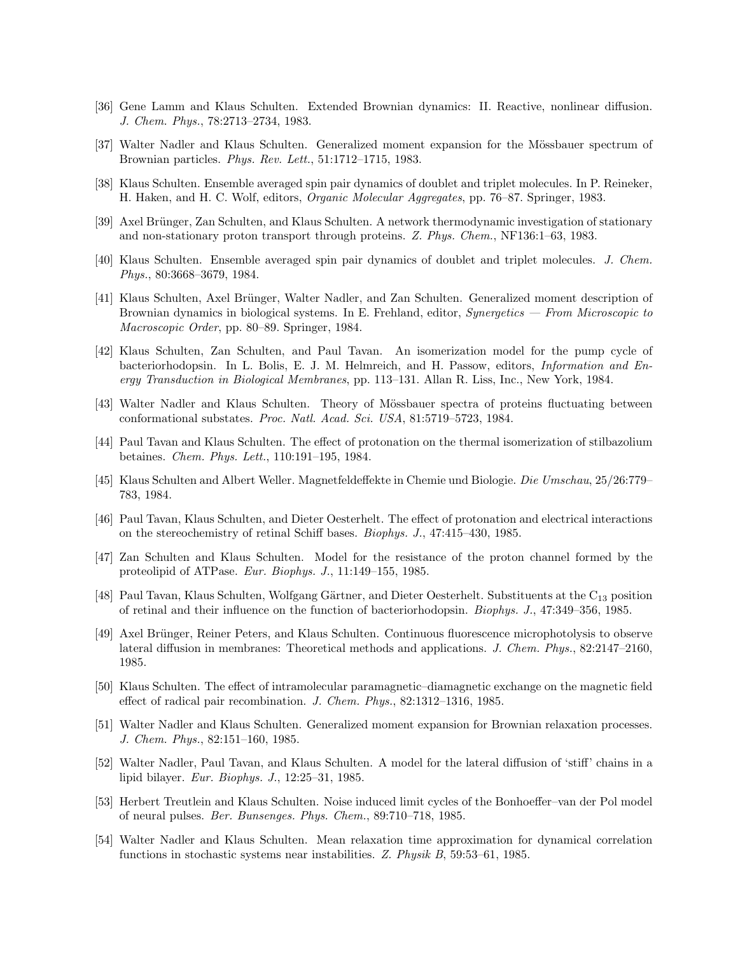- [36] Gene Lamm and Klaus Schulten. Extended Brownian dynamics: II. Reactive, nonlinear diffusion. J. Chem. Phys., 78:2713–2734, 1983.
- [37] Walter Nadler and Klaus Schulten. Generalized moment expansion for the Mössbauer spectrum of Brownian particles. Phys. Rev. Lett., 51:1712–1715, 1983.
- [38] Klaus Schulten. Ensemble averaged spin pair dynamics of doublet and triplet molecules. In P. Reineker, H. Haken, and H. C. Wolf, editors, Organic Molecular Aggregates, pp. 76–87. Springer, 1983.
- [39] Axel Brünger, Zan Schulten, and Klaus Schulten. A network thermodynamic investigation of stationary and non-stationary proton transport through proteins. Z. Phys. Chem., NF136:1–63, 1983.
- [40] Klaus Schulten. Ensemble averaged spin pair dynamics of doublet and triplet molecules. J. Chem. Phys., 80:3668–3679, 1984.
- [41] Klaus Schulten, Axel Brünger, Walter Nadler, and Zan Schulten. Generalized moment description of Brownian dynamics in biological systems. In E. Frehland, editor, Synergetics — From Microscopic to Macroscopic Order, pp. 80–89. Springer, 1984.
- [42] Klaus Schulten, Zan Schulten, and Paul Tavan. An isomerization model for the pump cycle of bacteriorhodopsin. In L. Bolis, E. J. M. Helmreich, and H. Passow, editors, *Information and En*ergy Transduction in Biological Membranes, pp. 113–131. Allan R. Liss, Inc., New York, 1984.
- [43] Walter Nadler and Klaus Schulten. Theory of Mössbauer spectra of proteins fluctuating between conformational substates. Proc. Natl. Acad. Sci. USA, 81:5719–5723, 1984.
- [44] Paul Tavan and Klaus Schulten. The effect of protonation on the thermal isomerization of stilbazolium betaines. Chem. Phys. Lett., 110:191–195, 1984.
- [45] Klaus Schulten and Albert Weller. Magnetfeldeffekte in Chemie und Biologie. Die Umschau, 25/26:779– 783, 1984.
- [46] Paul Tavan, Klaus Schulten, and Dieter Oesterhelt. The effect of protonation and electrical interactions on the stereochemistry of retinal Schiff bases. Biophys. J., 47:415–430, 1985.
- [47] Zan Schulten and Klaus Schulten. Model for the resistance of the proton channel formed by the proteolipid of ATPase. Eur. Biophys. J., 11:149–155, 1985.
- [48] Paul Tavan, Klaus Schulten, Wolfgang Gärtner, and Dieter Oesterhelt. Substituents at the C<sub>13</sub> position of retinal and their influence on the function of bacteriorhodopsin. Biophys. J., 47:349–356, 1985.
- [49] Axel Brünger, Reiner Peters, and Klaus Schulten. Continuous fluorescence microphotolysis to observe lateral diffusion in membranes: Theoretical methods and applications. J. Chem. Phys., 82:2147-2160, 1985.
- [50] Klaus Schulten. The effect of intramolecular paramagnetic–diamagnetic exchange on the magnetic field effect of radical pair recombination. J. Chem. Phys., 82:1312–1316, 1985.
- [51] Walter Nadler and Klaus Schulten. Generalized moment expansion for Brownian relaxation processes. J. Chem. Phys., 82:151–160, 1985.
- [52] Walter Nadler, Paul Tavan, and Klaus Schulten. A model for the lateral diffusion of 'stiff' chains in a lipid bilayer. Eur. Biophys. J., 12:25–31, 1985.
- [53] Herbert Treutlein and Klaus Schulten. Noise induced limit cycles of the Bonhoeffer–van der Pol model of neural pulses. Ber. Bunsenges. Phys. Chem., 89:710–718, 1985.
- [54] Walter Nadler and Klaus Schulten. Mean relaxation time approximation for dynamical correlation functions in stochastic systems near instabilities. Z. Physik B, 59:53–61, 1985.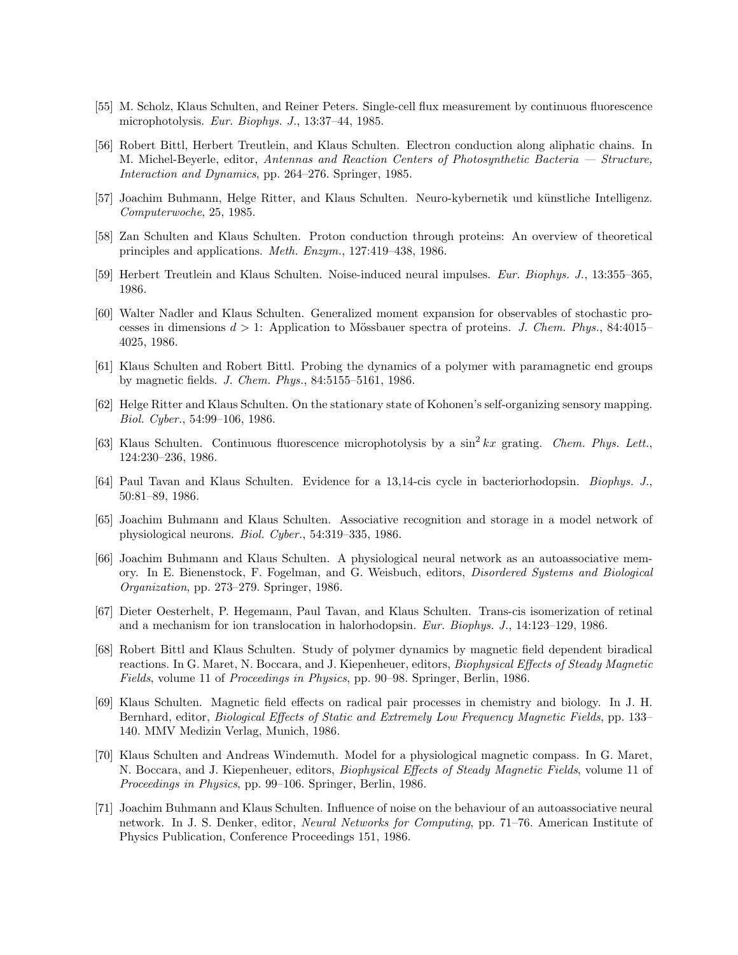- [55] M. Scholz, Klaus Schulten, and Reiner Peters. Single-cell flux measurement by continuous fluorescence microphotolysis. Eur. Biophys. J., 13:37–44, 1985.
- [56] Robert Bittl, Herbert Treutlein, and Klaus Schulten. Electron conduction along aliphatic chains. In M. Michel-Beyerle, editor, Antennas and Reaction Centers of Photosynthetic Bacteria — Structure, Interaction and Dynamics, pp. 264–276. Springer, 1985.
- [57] Joachim Buhmann, Helge Ritter, and Klaus Schulten. Neuro-kybernetik und künstliche Intelligenz. Computerwoche, 25, 1985.
- [58] Zan Schulten and Klaus Schulten. Proton conduction through proteins: An overview of theoretical principles and applications. Meth. Enzym., 127:419–438, 1986.
- [59] Herbert Treutlein and Klaus Schulten. Noise-induced neural impulses. Eur. Biophys. J., 13:355–365, 1986.
- [60] Walter Nadler and Klaus Schulten. Generalized moment expansion for observables of stochastic processes in dimensions  $d > 1$ : Application to Mössbauer spectra of proteins. J. Chem. Phys., 84:4015– 4025, 1986.
- [61] Klaus Schulten and Robert Bittl. Probing the dynamics of a polymer with paramagnetic end groups by magnetic fields. J. Chem. Phys., 84:5155–5161, 1986.
- [62] Helge Ritter and Klaus Schulten. On the stationary state of Kohonen's self-organizing sensory mapping. Biol. Cyber., 54:99–106, 1986.
- [63] Klaus Schulten. Continuous fluorescence microphotolysis by a sin<sup>2</sup> kx grating. Chem. Phys. Lett., 124:230–236, 1986.
- [64] Paul Tavan and Klaus Schulten. Evidence for a 13,14-cis cycle in bacteriorhodopsin. Biophys. J., 50:81–89, 1986.
- [65] Joachim Buhmann and Klaus Schulten. Associative recognition and storage in a model network of physiological neurons. Biol. Cyber., 54:319–335, 1986.
- [66] Joachim Buhmann and Klaus Schulten. A physiological neural network as an autoassociative memory. In E. Bienenstock, F. Fogelman, and G. Weisbuch, editors, Disordered Systems and Biological Organization, pp. 273–279. Springer, 1986.
- [67] Dieter Oesterhelt, P. Hegemann, Paul Tavan, and Klaus Schulten. Trans-cis isomerization of retinal and a mechanism for ion translocation in halorhodopsin. Eur. Biophys. J., 14:123–129, 1986.
- [68] Robert Bittl and Klaus Schulten. Study of polymer dynamics by magnetic field dependent biradical reactions. In G. Maret, N. Boccara, and J. Kiepenheuer, editors, Biophysical Effects of Steady Magnetic Fields, volume 11 of Proceedings in Physics, pp. 90–98. Springer, Berlin, 1986.
- [69] Klaus Schulten. Magnetic field effects on radical pair processes in chemistry and biology. In J. H. Bernhard, editor, Biological Effects of Static and Extremely Low Frequency Magnetic Fields, pp. 133– 140. MMV Medizin Verlag, Munich, 1986.
- [70] Klaus Schulten and Andreas Windemuth. Model for a physiological magnetic compass. In G. Maret, N. Boccara, and J. Kiepenheuer, editors, Biophysical Effects of Steady Magnetic Fields, volume 11 of Proceedings in Physics, pp. 99–106. Springer, Berlin, 1986.
- [71] Joachim Buhmann and Klaus Schulten. Influence of noise on the behaviour of an autoassociative neural network. In J. S. Denker, editor, Neural Networks for Computing, pp. 71–76. American Institute of Physics Publication, Conference Proceedings 151, 1986.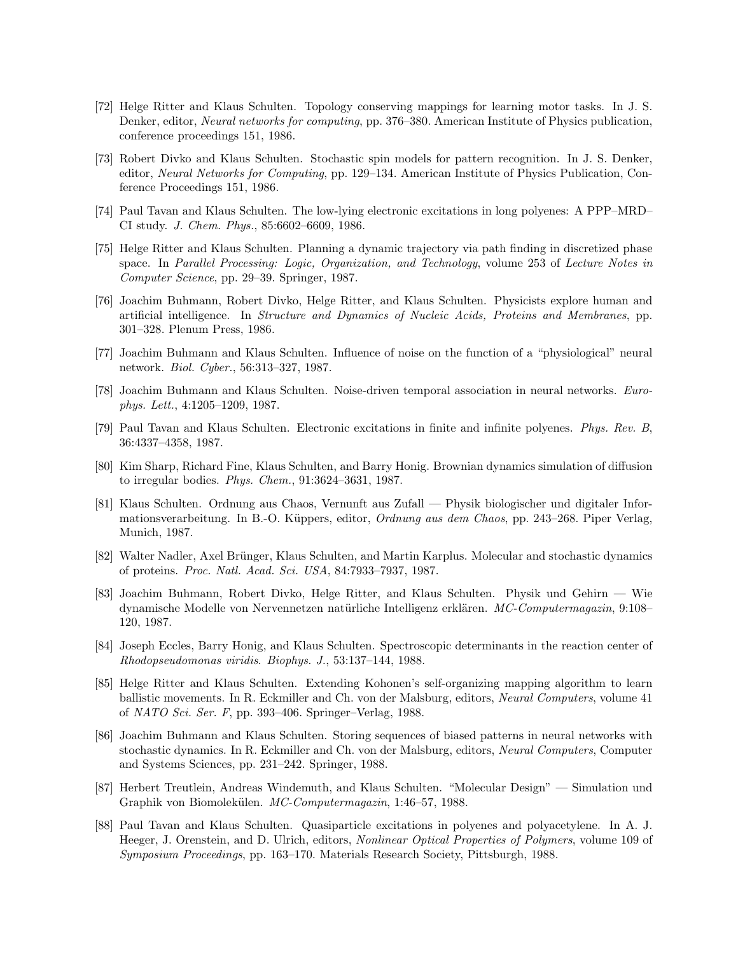- [72] Helge Ritter and Klaus Schulten. Topology conserving mappings for learning motor tasks. In J. S. Denker, editor, Neural networks for computing, pp. 376–380. American Institute of Physics publication, conference proceedings 151, 1986.
- [73] Robert Divko and Klaus Schulten. Stochastic spin models for pattern recognition. In J. S. Denker, editor, Neural Networks for Computing, pp. 129–134. American Institute of Physics Publication, Conference Proceedings 151, 1986.
- [74] Paul Tavan and Klaus Schulten. The low-lying electronic excitations in long polyenes: A PPP–MRD– CI study. J. Chem. Phys., 85:6602–6609, 1986.
- [75] Helge Ritter and Klaus Schulten. Planning a dynamic trajectory via path finding in discretized phase space. In Parallel Processing: Logic, Organization, and Technology, volume 253 of Lecture Notes in Computer Science, pp. 29–39. Springer, 1987.
- [76] Joachim Buhmann, Robert Divko, Helge Ritter, and Klaus Schulten. Physicists explore human and artificial intelligence. In Structure and Dynamics of Nucleic Acids, Proteins and Membranes, pp. 301–328. Plenum Press, 1986.
- [77] Joachim Buhmann and Klaus Schulten. Influence of noise on the function of a "physiological" neural network. Biol. Cyber., 56:313–327, 1987.
- [78] Joachim Buhmann and Klaus Schulten. Noise-driven temporal association in neural networks. Europhys. Lett., 4:1205–1209, 1987.
- [79] Paul Tavan and Klaus Schulten. Electronic excitations in finite and infinite polyenes. Phys. Rev. B, 36:4337–4358, 1987.
- [80] Kim Sharp, Richard Fine, Klaus Schulten, and Barry Honig. Brownian dynamics simulation of diffusion to irregular bodies. Phys. Chem., 91:3624–3631, 1987.
- [81] Klaus Schulten. Ordnung aus Chaos, Vernunft aus Zufall Physik biologischer und digitaler Informationsverarbeitung. In B.-O. Küppers, editor, *Ordnung aus dem Chaos*, pp. 243–268. Piper Verlag, Munich, 1987.
- [82] Walter Nadler, Axel Brünger, Klaus Schulten, and Martin Karplus. Molecular and stochastic dynamics of proteins. Proc. Natl. Acad. Sci. USA, 84:7933–7937, 1987.
- [83] Joachim Buhmann, Robert Divko, Helge Ritter, and Klaus Schulten. Physik und Gehirn Wie dynamische Modelle von Nervennetzen natürliche Intelligenz erklären. MC-Computermagazin, 9:108– 120, 1987.
- [84] Joseph Eccles, Barry Honig, and Klaus Schulten. Spectroscopic determinants in the reaction center of Rhodopseudomonas viridis. Biophys. J., 53:137–144, 1988.
- [85] Helge Ritter and Klaus Schulten. Extending Kohonen's self-organizing mapping algorithm to learn ballistic movements. In R. Eckmiller and Ch. von der Malsburg, editors, Neural Computers, volume 41 of NATO Sci. Ser. F, pp. 393–406. Springer–Verlag, 1988.
- [86] Joachim Buhmann and Klaus Schulten. Storing sequences of biased patterns in neural networks with stochastic dynamics. In R. Eckmiller and Ch. von der Malsburg, editors, Neural Computers, Computer and Systems Sciences, pp. 231–242. Springer, 1988.
- [87] Herbert Treutlein, Andreas Windemuth, and Klaus Schulten. "Molecular Design" Simulation und Graphik von Biomolekülen. MC-Computermagazin, 1:46–57, 1988.
- [88] Paul Tavan and Klaus Schulten. Quasiparticle excitations in polyenes and polyacetylene. In A. J. Heeger, J. Orenstein, and D. Ulrich, editors, Nonlinear Optical Properties of Polymers, volume 109 of Symposium Proceedings, pp. 163–170. Materials Research Society, Pittsburgh, 1988.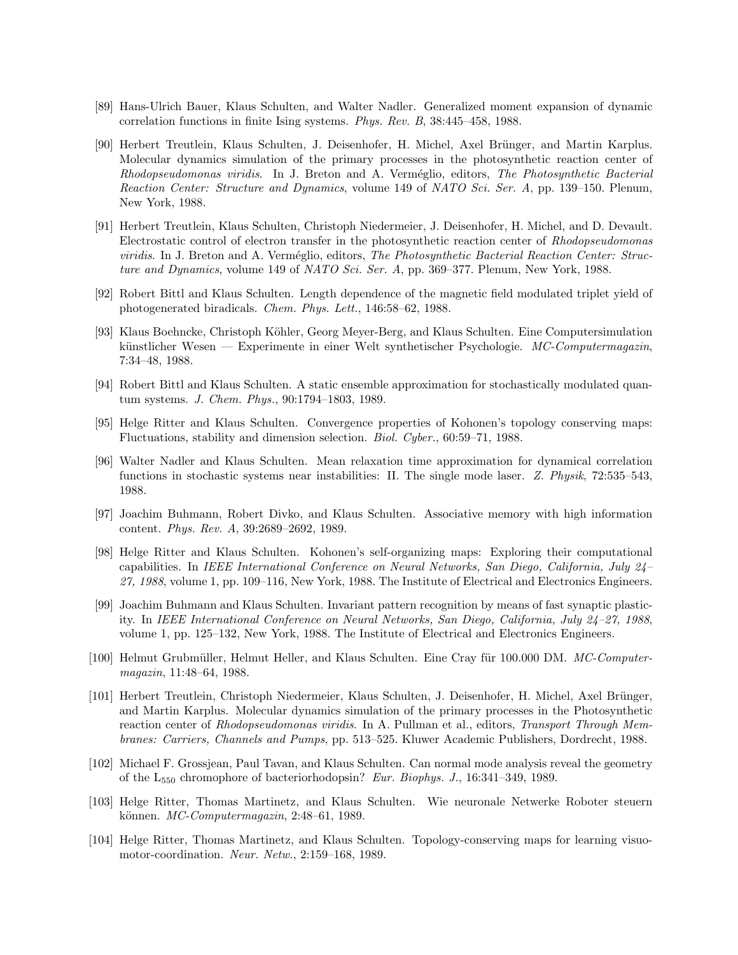- [89] Hans-Ulrich Bauer, Klaus Schulten, and Walter Nadler. Generalized moment expansion of dynamic correlation functions in finite Ising systems. Phys. Rev. B, 38:445–458, 1988.
- [90] Herbert Treutlein, Klaus Schulten, J. Deisenhofer, H. Michel, Axel Brünger, and Martin Karplus. Molecular dynamics simulation of the primary processes in the photosynthetic reaction center of Rhodopseudomonas viridis. In J. Breton and A. Verméglio, editors, The Photosynthetic Bacterial Reaction Center: Structure and Dynamics, volume 149 of NATO Sci. Ser. A, pp. 139–150. Plenum, New York, 1988.
- [91] Herbert Treutlein, Klaus Schulten, Christoph Niedermeier, J. Deisenhofer, H. Michel, and D. Devault. Electrostatic control of electron transfer in the photosynthetic reaction center of Rhodopseudomonas viridis. In J. Breton and A. Verméglio, editors, The Photosynthetic Bacterial Reaction Center: Structure and Dynamics, volume 149 of NATO Sci. Ser. A, pp. 369–377. Plenum, New York, 1988.
- [92] Robert Bittl and Klaus Schulten. Length dependence of the magnetic field modulated triplet yield of photogenerated biradicals. Chem. Phys. Lett., 146:58–62, 1988.
- [93] Klaus Boehncke, Christoph Köhler, Georg Meyer-Berg, and Klaus Schulten. Eine Computersimulation künstlicher Wesen — Experimente in einer Welt synthetischer Psychologie.  $MC-Computer magazin$ . 7:34–48, 1988.
- [94] Robert Bittl and Klaus Schulten. A static ensemble approximation for stochastically modulated quantum systems. J. Chem. Phys., 90:1794–1803, 1989.
- [95] Helge Ritter and Klaus Schulten. Convergence properties of Kohonen's topology conserving maps: Fluctuations, stability and dimension selection. Biol. Cyber., 60:59–71, 1988.
- [96] Walter Nadler and Klaus Schulten. Mean relaxation time approximation for dynamical correlation functions in stochastic systems near instabilities: II. The single mode laser. Z. Physik, 72:535–543, 1988.
- [97] Joachim Buhmann, Robert Divko, and Klaus Schulten. Associative memory with high information content. Phys. Rev. A, 39:2689–2692, 1989.
- [98] Helge Ritter and Klaus Schulten. Kohonen's self-organizing maps: Exploring their computational capabilities. In IEEE International Conference on Neural Networks, San Diego, California, July 24– 27, 1988, volume 1, pp. 109–116, New York, 1988. The Institute of Electrical and Electronics Engineers.
- [99] Joachim Buhmann and Klaus Schulten. Invariant pattern recognition by means of fast synaptic plasticity. In IEEE International Conference on Neural Networks, San Diego, California, July 24–27, 1988, volume 1, pp. 125–132, New York, 1988. The Institute of Electrical and Electronics Engineers.
- [100] Helmut Grubmüller, Helmut Heller, and Klaus Schulten. Eine Cray für 100.000 DM. MC-Computermagazin, 11:48–64, 1988.
- [101] Herbert Treutlein, Christoph Niedermeier, Klaus Schulten, J. Deisenhofer, H. Michel, Axel Brünger, and Martin Karplus. Molecular dynamics simulation of the primary processes in the Photosynthetic reaction center of Rhodopseudomonas viridis. In A. Pullman et al., editors, Transport Through Membranes: Carriers, Channels and Pumps, pp. 513–525. Kluwer Academic Publishers, Dordrecht, 1988.
- [102] Michael F. Grossjean, Paul Tavan, and Klaus Schulten. Can normal mode analysis reveal the geometry of the  $L_{550}$  chromophore of bacteriorhodopsin? Eur. Biophys. J., 16:341–349, 1989.
- [103] Helge Ritter, Thomas Martinetz, and Klaus Schulten. Wie neuronale Netwerke Roboter steuern können.  $MC$ -Computermagazin, 2:48–61, 1989.
- [104] Helge Ritter, Thomas Martinetz, and Klaus Schulten. Topology-conserving maps for learning visuomotor-coordination. Neur. Netw., 2:159–168, 1989.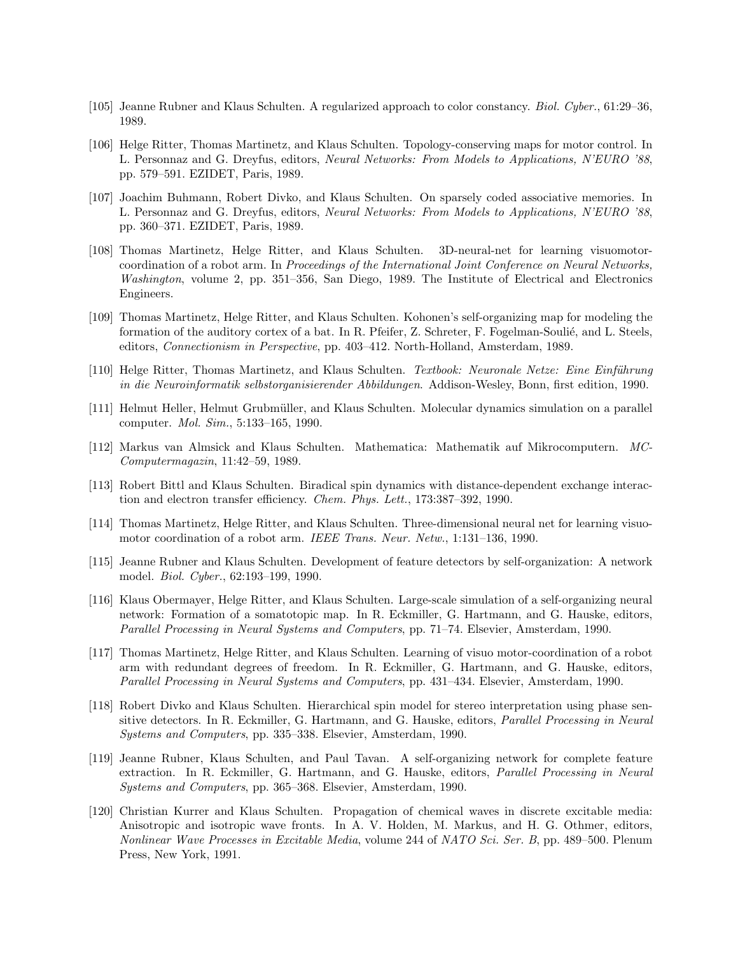- [105] Jeanne Rubner and Klaus Schulten. A regularized approach to color constancy. Biol. Cyber., 61:29–36, 1989.
- [106] Helge Ritter, Thomas Martinetz, and Klaus Schulten. Topology-conserving maps for motor control. In L. Personnaz and G. Dreyfus, editors, Neural Networks: From Models to Applications, N'EURO '88, pp. 579–591. EZIDET, Paris, 1989.
- [107] Joachim Buhmann, Robert Divko, and Klaus Schulten. On sparsely coded associative memories. In L. Personnaz and G. Dreyfus, editors, Neural Networks: From Models to Applications, N'EURO '88, pp. 360–371. EZIDET, Paris, 1989.
- [108] Thomas Martinetz, Helge Ritter, and Klaus Schulten. 3D-neural-net for learning visuomotorcoordination of a robot arm. In Proceedings of the International Joint Conference on Neural Networks, Washington, volume 2, pp. 351–356, San Diego, 1989. The Institute of Electrical and Electronics Engineers.
- [109] Thomas Martinetz, Helge Ritter, and Klaus Schulten. Kohonen's self-organizing map for modeling the formation of the auditory cortex of a bat. In R. Pfeifer, Z. Schreter, F. Fogelman-Soulié, and L. Steels, editors, Connectionism in Perspective, pp. 403–412. North-Holland, Amsterdam, 1989.
- [110] Helge Ritter, Thomas Martinetz, and Klaus Schulten. Textbook: Neuronale Netze: Eine Einführung in die Neuroinformatik selbstorganisierender Abbildungen. Addison-Wesley, Bonn, first edition, 1990.
- [111] Helmut Heller, Helmut Grubmüller, and Klaus Schulten. Molecular dynamics simulation on a parallel computer. Mol. Sim., 5:133–165, 1990.
- [112] Markus van Almsick and Klaus Schulten. Mathematica: Mathematik auf Mikrocomputern. MC-Computermagazin, 11:42–59, 1989.
- [113] Robert Bittl and Klaus Schulten. Biradical spin dynamics with distance-dependent exchange interaction and electron transfer efficiency. Chem. Phys. Lett., 173:387–392, 1990.
- [114] Thomas Martinetz, Helge Ritter, and Klaus Schulten. Three-dimensional neural net for learning visuomotor coordination of a robot arm. IEEE Trans. Neur. Netw., 1:131–136, 1990.
- [115] Jeanne Rubner and Klaus Schulten. Development of feature detectors by self-organization: A network model. Biol. Cyber., 62:193–199, 1990.
- [116] Klaus Obermayer, Helge Ritter, and Klaus Schulten. Large-scale simulation of a self-organizing neural network: Formation of a somatotopic map. In R. Eckmiller, G. Hartmann, and G. Hauske, editors, Parallel Processing in Neural Systems and Computers, pp. 71–74. Elsevier, Amsterdam, 1990.
- [117] Thomas Martinetz, Helge Ritter, and Klaus Schulten. Learning of visuo motor-coordination of a robot arm with redundant degrees of freedom. In R. Eckmiller, G. Hartmann, and G. Hauske, editors, Parallel Processing in Neural Systems and Computers, pp. 431–434. Elsevier, Amsterdam, 1990.
- [118] Robert Divko and Klaus Schulten. Hierarchical spin model for stereo interpretation using phase sensitive detectors. In R. Eckmiller, G. Hartmann, and G. Hauske, editors, Parallel Processing in Neural Systems and Computers, pp. 335–338. Elsevier, Amsterdam, 1990.
- [119] Jeanne Rubner, Klaus Schulten, and Paul Tavan. A self-organizing network for complete feature extraction. In R. Eckmiller, G. Hartmann, and G. Hauske, editors, Parallel Processing in Neural Systems and Computers, pp. 365–368. Elsevier, Amsterdam, 1990.
- [120] Christian Kurrer and Klaus Schulten. Propagation of chemical waves in discrete excitable media: Anisotropic and isotropic wave fronts. In A. V. Holden, M. Markus, and H. G. Othmer, editors, Nonlinear Wave Processes in Excitable Media, volume 244 of NATO Sci. Ser. B, pp. 489–500. Plenum Press, New York, 1991.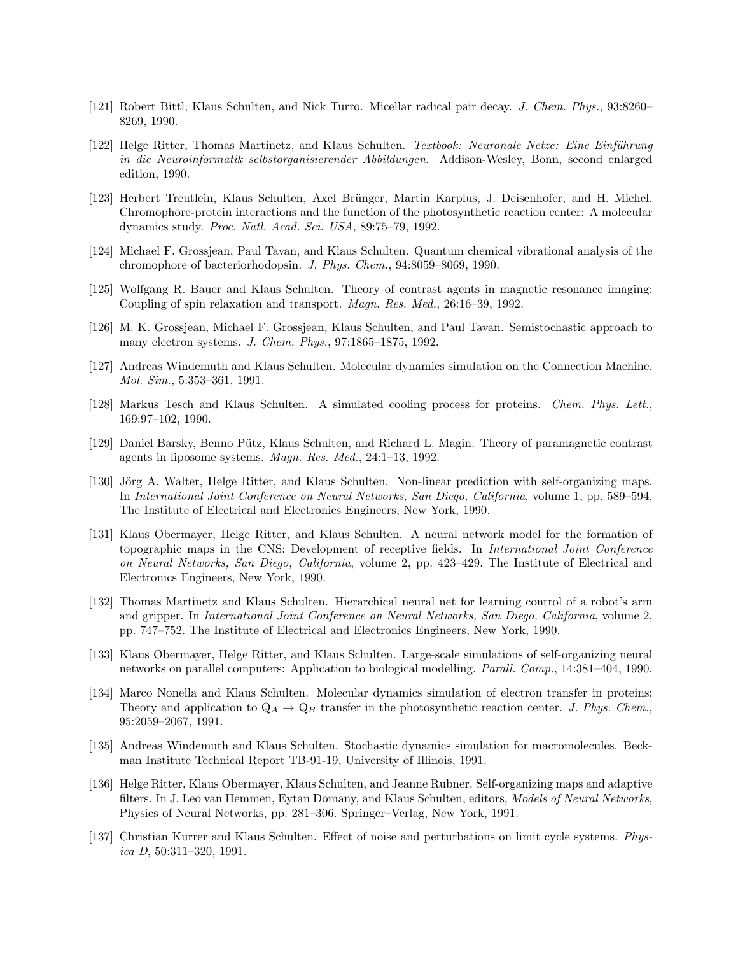- [121] Robert Bittl, Klaus Schulten, and Nick Turro. Micellar radical pair decay. J. Chem. Phys., 93:8260– 8269, 1990.
- [122] Helge Ritter, Thomas Martinetz, and Klaus Schulten. Textbook: Neuronale Netze: Eine Einführung in die Neuroinformatik selbstorganisierender Abbildungen. Addison-Wesley, Bonn, second enlarged edition, 1990.
- [123] Herbert Treutlein, Klaus Schulten, Axel Brünger, Martin Karplus, J. Deisenhofer, and H. Michel. Chromophore-protein interactions and the function of the photosynthetic reaction center: A molecular dynamics study. Proc. Natl. Acad. Sci. USA, 89:75–79, 1992.
- [124] Michael F. Grossjean, Paul Tavan, and Klaus Schulten. Quantum chemical vibrational analysis of the chromophore of bacteriorhodopsin. J. Phys. Chem., 94:8059–8069, 1990.
- [125] Wolfgang R. Bauer and Klaus Schulten. Theory of contrast agents in magnetic resonance imaging: Coupling of spin relaxation and transport. Magn. Res. Med., 26:16–39, 1992.
- [126] M. K. Grossjean, Michael F. Grossjean, Klaus Schulten, and Paul Tavan. Semistochastic approach to many electron systems. J. Chem. Phys., 97:1865–1875, 1992.
- [127] Andreas Windemuth and Klaus Schulten. Molecular dynamics simulation on the Connection Machine. Mol. Sim., 5:353–361, 1991.
- [128] Markus Tesch and Klaus Schulten. A simulated cooling process for proteins. Chem. Phys. Lett., 169:97–102, 1990.
- [129] Daniel Barsky, Benno Pütz, Klaus Schulten, and Richard L. Magin. Theory of paramagnetic contrast agents in liposome systems. Magn. Res. Med., 24:1–13, 1992.
- [130] Jörg A. Walter, Helge Ritter, and Klaus Schulten. Non-linear prediction with self-organizing maps. In International Joint Conference on Neural Networks, San Diego, California, volume 1, pp. 589–594. The Institute of Electrical and Electronics Engineers, New York, 1990.
- [131] Klaus Obermayer, Helge Ritter, and Klaus Schulten. A neural network model for the formation of topographic maps in the CNS: Development of receptive fields. In International Joint Conference on Neural Networks, San Diego, California, volume 2, pp. 423–429. The Institute of Electrical and Electronics Engineers, New York, 1990.
- [132] Thomas Martinetz and Klaus Schulten. Hierarchical neural net for learning control of a robot's arm and gripper. In International Joint Conference on Neural Networks, San Diego, California, volume 2, pp. 747–752. The Institute of Electrical and Electronics Engineers, New York, 1990.
- [133] Klaus Obermayer, Helge Ritter, and Klaus Schulten. Large-scale simulations of self-organizing neural networks on parallel computers: Application to biological modelling. Parall. Comp., 14:381–404, 1990.
- [134] Marco Nonella and Klaus Schulten. Molecular dynamics simulation of electron transfer in proteins: Theory and application to  $Q_A \rightarrow Q_B$  transfer in the photosynthetic reaction center. J. Phys. Chem., 95:2059–2067, 1991.
- [135] Andreas Windemuth and Klaus Schulten. Stochastic dynamics simulation for macromolecules. Beckman Institute Technical Report TB-91-19, University of Illinois, 1991.
- [136] Helge Ritter, Klaus Obermayer, Klaus Schulten, and Jeanne Rubner. Self-organizing maps and adaptive filters. In J. Leo van Hemmen, Eytan Domany, and Klaus Schulten, editors, *Models of Neural Networks*, Physics of Neural Networks, pp. 281–306. Springer–Verlag, New York, 1991.
- [137] Christian Kurrer and Klaus Schulten. Effect of noise and perturbations on limit cycle systems. Physica D,  $50:311-320$ , 1991.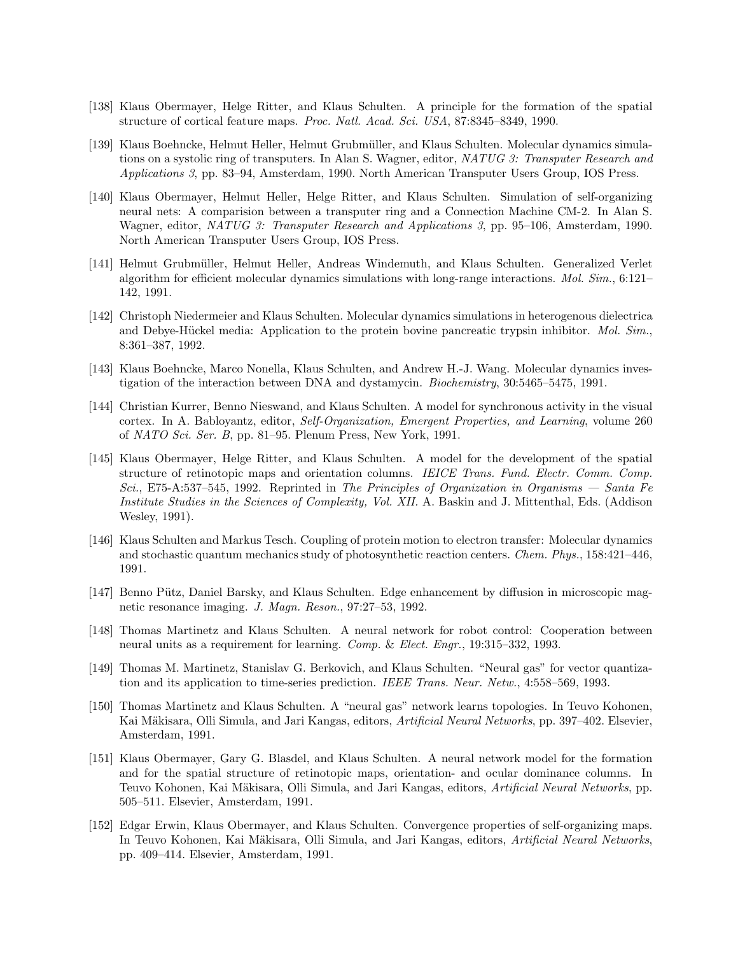- [138] Klaus Obermayer, Helge Ritter, and Klaus Schulten. A principle for the formation of the spatial structure of cortical feature maps. Proc. Natl. Acad. Sci. USA, 87:8345–8349, 1990.
- [139] Klaus Boehncke, Helmut Heller, Helmut Grubmüller, and Klaus Schulten. Molecular dynamics simulations on a systolic ring of transputers. In Alan S. Wagner, editor, NATUG 3: Transputer Research and Applications 3, pp. 83–94, Amsterdam, 1990. North American Transputer Users Group, IOS Press.
- [140] Klaus Obermayer, Helmut Heller, Helge Ritter, and Klaus Schulten. Simulation of self-organizing neural nets: A comparision between a transputer ring and a Connection Machine CM-2. In Alan S. Wagner, editor, NATUG 3: Transputer Research and Applications 3, pp. 95–106, Amsterdam, 1990. North American Transputer Users Group, IOS Press.
- [141] Helmut Grubmüller, Helmut Heller, Andreas Windemuth, and Klaus Schulten. Generalized Verlet algorithm for efficient molecular dynamics simulations with long-range interactions. Mol. Sim., 6:121– 142, 1991.
- [142] Christoph Niedermeier and Klaus Schulten. Molecular dynamics simulations in heterogenous dielectrica and Debye-Hückel media: Application to the protein bovine pancreatic trypsin inhibitor. Mol. Sim., 8:361–387, 1992.
- [143] Klaus Boehncke, Marco Nonella, Klaus Schulten, and Andrew H.-J. Wang. Molecular dynamics investigation of the interaction between DNA and dystamycin. Biochemistry, 30:5465–5475, 1991.
- [144] Christian Kurrer, Benno Nieswand, and Klaus Schulten. A model for synchronous activity in the visual cortex. In A. Babloyantz, editor, Self-Organization, Emergent Properties, and Learning, volume 260 of NATO Sci. Ser. B, pp. 81–95. Plenum Press, New York, 1991.
- [145] Klaus Obermayer, Helge Ritter, and Klaus Schulten. A model for the development of the spatial structure of retinotopic maps and orientation columns. *IEICE Trans. Fund. Electr. Comm. Comp.* Sci., E75-A:537–545, 1992. Reprinted in The Principles of Organization in Organisms — Santa Fe Institute Studies in the Sciences of Complexity, Vol. XII. A. Baskin and J. Mittenthal, Eds. (Addison Wesley, 1991).
- [146] Klaus Schulten and Markus Tesch. Coupling of protein motion to electron transfer: Molecular dynamics and stochastic quantum mechanics study of photosynthetic reaction centers. Chem. Phys., 158:421–446, 1991.
- [147] Benno Pütz, Daniel Barsky, and Klaus Schulten. Edge enhancement by diffusion in microscopic magnetic resonance imaging. J. Magn. Reson., 97:27–53, 1992.
- [148] Thomas Martinetz and Klaus Schulten. A neural network for robot control: Cooperation between neural units as a requirement for learning. Comp. & Elect. Engr., 19:315–332, 1993.
- [149] Thomas M. Martinetz, Stanislav G. Berkovich, and Klaus Schulten. "Neural gas" for vector quantization and its application to time-series prediction. IEEE Trans. Neur. Netw., 4:558–569, 1993.
- [150] Thomas Martinetz and Klaus Schulten. A "neural gas" network learns topologies. In Teuvo Kohonen, Kai Mäkisara, Olli Simula, and Jari Kangas, editors, Artificial Neural Networks, pp. 397–402. Elsevier, Amsterdam, 1991.
- [151] Klaus Obermayer, Gary G. Blasdel, and Klaus Schulten. A neural network model for the formation and for the spatial structure of retinotopic maps, orientation- and ocular dominance columns. In Teuvo Kohonen, Kai Mäkisara, Olli Simula, and Jari Kangas, editors, Artificial Neural Networks, pp. 505–511. Elsevier, Amsterdam, 1991.
- [152] Edgar Erwin, Klaus Obermayer, and Klaus Schulten. Convergence properties of self-organizing maps. In Teuvo Kohonen, Kai Mäkisara, Olli Simula, and Jari Kangas, editors, Artificial Neural Networks, pp. 409–414. Elsevier, Amsterdam, 1991.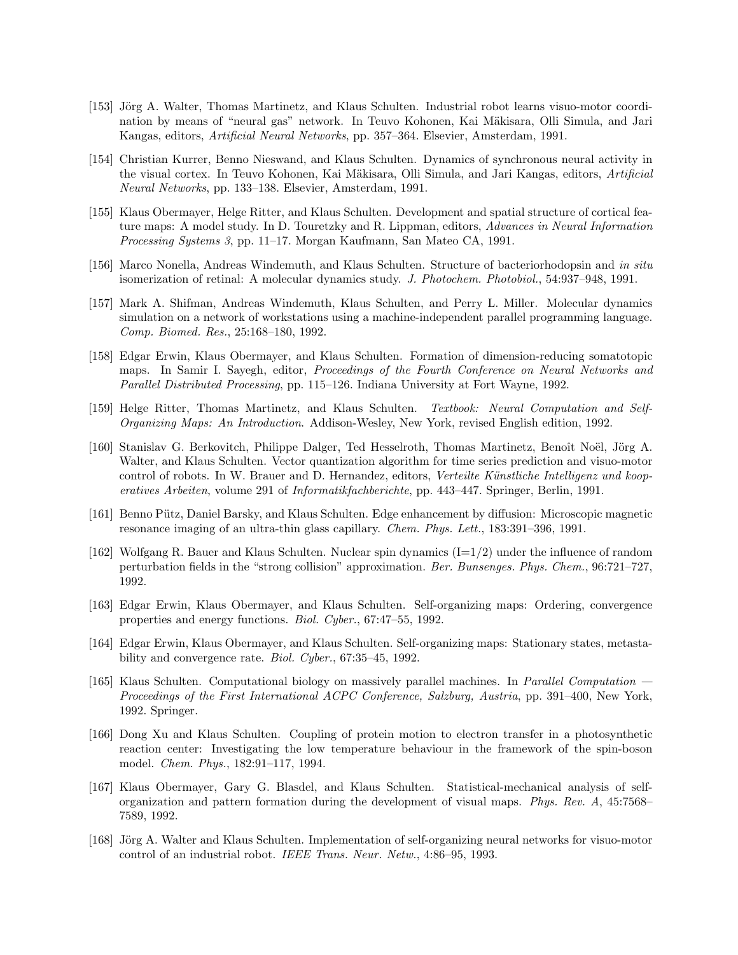- [153] Jörg A. Walter, Thomas Martinetz, and Klaus Schulten. Industrial robot learns visuo-motor coordination by means of "neural gas" network. In Teuvo Kohonen, Kai Mäkisara, Olli Simula, and Jari Kangas, editors, Artificial Neural Networks, pp. 357–364. Elsevier, Amsterdam, 1991.
- [154] Christian Kurrer, Benno Nieswand, and Klaus Schulten. Dynamics of synchronous neural activity in the visual cortex. In Teuvo Kohonen, Kai Mäkisara, Olli Simula, and Jari Kangas, editors, Artificial Neural Networks, pp. 133–138. Elsevier, Amsterdam, 1991.
- [155] Klaus Obermayer, Helge Ritter, and Klaus Schulten. Development and spatial structure of cortical feature maps: A model study. In D. Touretzky and R. Lippman, editors, Advances in Neural Information Processing Systems 3, pp. 11–17. Morgan Kaufmann, San Mateo CA, 1991.
- [156] Marco Nonella, Andreas Windemuth, and Klaus Schulten. Structure of bacteriorhodopsin and in situ isomerization of retinal: A molecular dynamics study. J. Photochem. Photobiol., 54:937–948, 1991.
- [157] Mark A. Shifman, Andreas Windemuth, Klaus Schulten, and Perry L. Miller. Molecular dynamics simulation on a network of workstations using a machine-independent parallel programming language. Comp. Biomed. Res., 25:168–180, 1992.
- [158] Edgar Erwin, Klaus Obermayer, and Klaus Schulten. Formation of dimension-reducing somatotopic maps. In Samir I. Sayegh, editor, Proceedings of the Fourth Conference on Neural Networks and Parallel Distributed Processing, pp. 115–126. Indiana University at Fort Wayne, 1992.
- [159] Helge Ritter, Thomas Martinetz, and Klaus Schulten. Textbook: Neural Computation and Self-Organizing Maps: An Introduction. Addison-Wesley, New York, revised English edition, 1992.
- [160] Stanislav G. Berkovitch, Philippe Dalger, Ted Hesselroth, Thomas Martinetz, Benoît Noël, Jörg A. Walter, and Klaus Schulten. Vector quantization algorithm for time series prediction and visuo-motor control of robots. In W. Brauer and D. Hernandez, editors, Verteilte Künstliche Intelligenz und kooperatives Arbeiten, volume 291 of Informatikfachberichte, pp. 443–447. Springer, Berlin, 1991.
- [161] Benno Pütz, Daniel Barsky, and Klaus Schulten. Edge enhancement by diffusion: Microscopic magnetic resonance imaging of an ultra-thin glass capillary. Chem. Phys. Lett., 183:391–396, 1991.
- [162] Wolfgang R. Bauer and Klaus Schulten. Nuclear spin dynamics  $(I=1/2)$  under the influence of random perturbation fields in the "strong collision" approximation. Ber. Bunsenges. Phys. Chem., 96:721–727, 1992.
- [163] Edgar Erwin, Klaus Obermayer, and Klaus Schulten. Self-organizing maps: Ordering, convergence properties and energy functions. Biol. Cyber., 67:47–55, 1992.
- [164] Edgar Erwin, Klaus Obermayer, and Klaus Schulten. Self-organizing maps: Stationary states, metastability and convergence rate. *Biol. Cyber.*, 67:35–45, 1992.
- [165] Klaus Schulten. Computational biology on massively parallel machines. In Parallel Computation Proceedings of the First International ACPC Conference, Salzburg, Austria, pp. 391–400, New York, 1992. Springer.
- [166] Dong Xu and Klaus Schulten. Coupling of protein motion to electron transfer in a photosynthetic reaction center: Investigating the low temperature behaviour in the framework of the spin-boson model. Chem. Phys., 182:91–117, 1994.
- [167] Klaus Obermayer, Gary G. Blasdel, and Klaus Schulten. Statistical-mechanical analysis of selforganization and pattern formation during the development of visual maps. Phys. Rev. A, 45:7568– 7589, 1992.
- [168] Jörg A. Walter and Klaus Schulten. Implementation of self-organizing neural networks for visuo-motor control of an industrial robot. IEEE Trans. Neur. Netw., 4:86–95, 1993.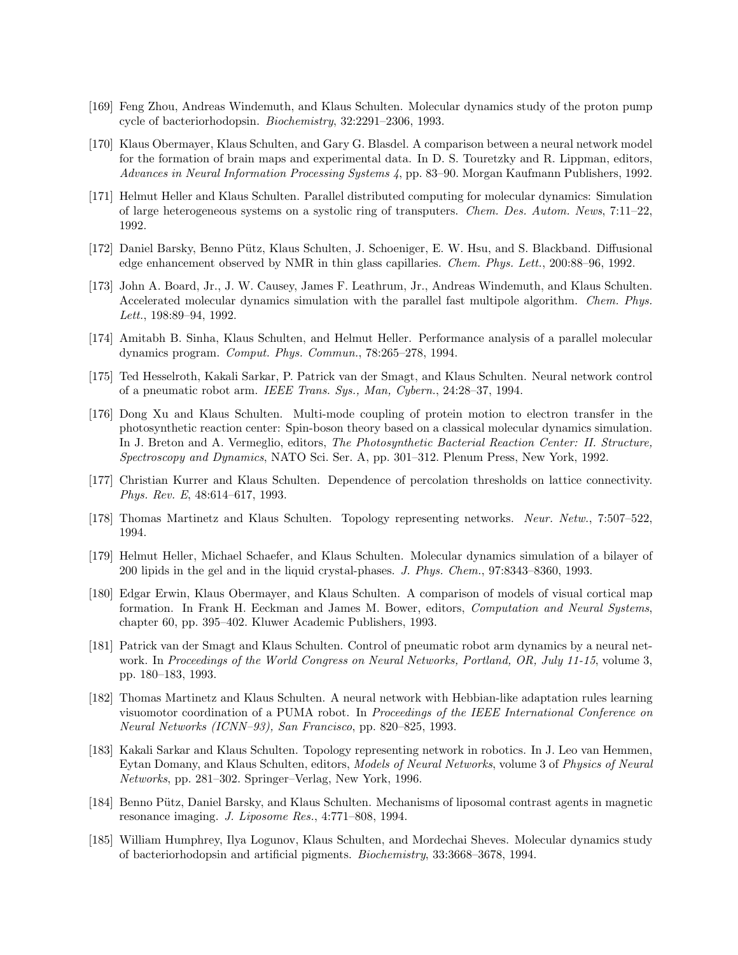- [169] Feng Zhou, Andreas Windemuth, and Klaus Schulten. Molecular dynamics study of the proton pump cycle of bacteriorhodopsin. Biochemistry, 32:2291–2306, 1993.
- [170] Klaus Obermayer, Klaus Schulten, and Gary G. Blasdel. A comparison between a neural network model for the formation of brain maps and experimental data. In D. S. Touretzky and R. Lippman, editors, Advances in Neural Information Processing Systems 4, pp. 83–90. Morgan Kaufmann Publishers, 1992.
- [171] Helmut Heller and Klaus Schulten. Parallel distributed computing for molecular dynamics: Simulation of large heterogeneous systems on a systolic ring of transputers. Chem. Des. Autom. News, 7:11–22, 1992.
- [172] Daniel Barsky, Benno Pütz, Klaus Schulten, J. Schoeniger, E. W. Hsu, and S. Blackband. Diffusional edge enhancement observed by NMR in thin glass capillaries. Chem. Phys. Lett., 200:88–96, 1992.
- [173] John A. Board, Jr., J. W. Causey, James F. Leathrum, Jr., Andreas Windemuth, and Klaus Schulten. Accelerated molecular dynamics simulation with the parallel fast multipole algorithm. Chem. Phys. Lett., 198:89–94, 1992.
- [174] Amitabh B. Sinha, Klaus Schulten, and Helmut Heller. Performance analysis of a parallel molecular dynamics program. Comput. Phys. Commun., 78:265–278, 1994.
- [175] Ted Hesselroth, Kakali Sarkar, P. Patrick van der Smagt, and Klaus Schulten. Neural network control of a pneumatic robot arm. IEEE Trans. Sys., Man, Cybern., 24:28–37, 1994.
- [176] Dong Xu and Klaus Schulten. Multi-mode coupling of protein motion to electron transfer in the photosynthetic reaction center: Spin-boson theory based on a classical molecular dynamics simulation. In J. Breton and A. Vermeglio, editors, The Photosynthetic Bacterial Reaction Center: II. Structure, Spectroscopy and Dynamics, NATO Sci. Ser. A, pp. 301–312. Plenum Press, New York, 1992.
- [177] Christian Kurrer and Klaus Schulten. Dependence of percolation thresholds on lattice connectivity. Phys. Rev. E, 48:614–617, 1993.
- [178] Thomas Martinetz and Klaus Schulten. Topology representing networks. Neur. Netw., 7:507–522, 1994.
- [179] Helmut Heller, Michael Schaefer, and Klaus Schulten. Molecular dynamics simulation of a bilayer of 200 lipids in the gel and in the liquid crystal-phases. J. Phys. Chem., 97:8343–8360, 1993.
- [180] Edgar Erwin, Klaus Obermayer, and Klaus Schulten. A comparison of models of visual cortical map formation. In Frank H. Eeckman and James M. Bower, editors, Computation and Neural Systems, chapter 60, pp. 395–402. Kluwer Academic Publishers, 1993.
- [181] Patrick van der Smagt and Klaus Schulten. Control of pneumatic robot arm dynamics by a neural network. In Proceedings of the World Congress on Neural Networks, Portland, OR, July 11-15, volume 3, pp. 180–183, 1993.
- [182] Thomas Martinetz and Klaus Schulten. A neural network with Hebbian-like adaptation rules learning visuomotor coordination of a PUMA robot. In Proceedings of the IEEE International Conference on Neural Networks (ICNN–93), San Francisco, pp. 820–825, 1993.
- [183] Kakali Sarkar and Klaus Schulten. Topology representing network in robotics. In J. Leo van Hemmen, Eytan Domany, and Klaus Schulten, editors, Models of Neural Networks, volume 3 of Physics of Neural Networks, pp. 281–302. Springer–Verlag, New York, 1996.
- [184] Benno Pütz, Daniel Barsky, and Klaus Schulten. Mechanisms of liposomal contrast agents in magnetic resonance imaging. J. Liposome Res., 4:771–808, 1994.
- [185] William Humphrey, Ilya Logunov, Klaus Schulten, and Mordechai Sheves. Molecular dynamics study of bacteriorhodopsin and artificial pigments. Biochemistry, 33:3668–3678, 1994.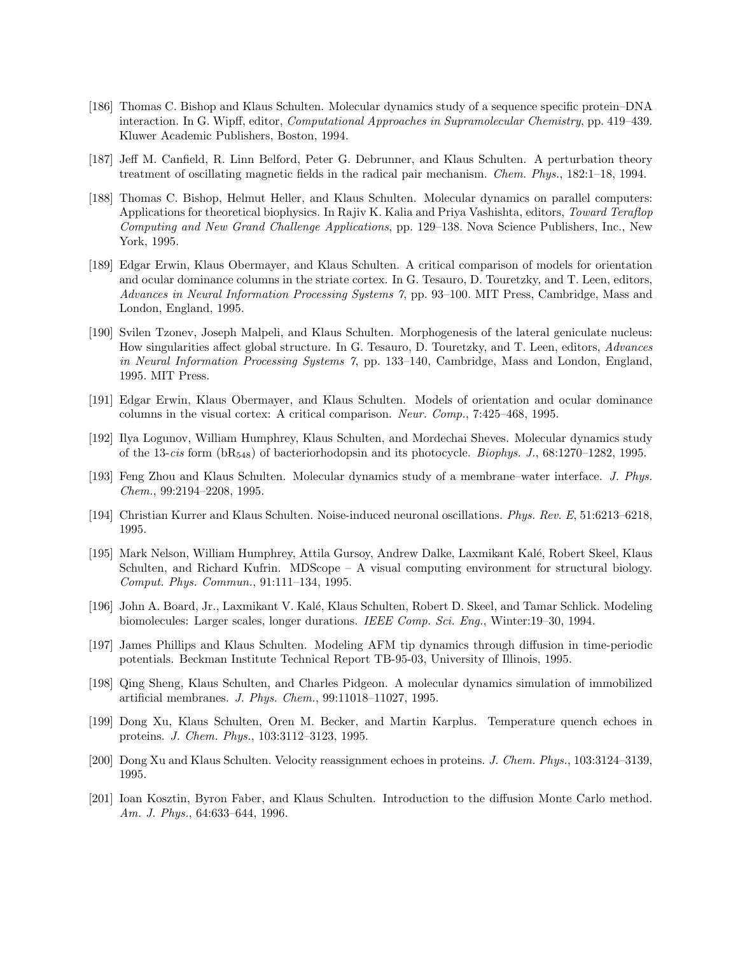- [186] Thomas C. Bishop and Klaus Schulten. Molecular dynamics study of a sequence specific protein–DNA interaction. In G. Wipff, editor, Computational Approaches in Supramolecular Chemistry, pp. 419–439. Kluwer Academic Publishers, Boston, 1994.
- [187] Jeff M. Canfield, R. Linn Belford, Peter G. Debrunner, and Klaus Schulten. A perturbation theory treatment of oscillating magnetic fields in the radical pair mechanism. Chem. Phys., 182:1–18, 1994.
- [188] Thomas C. Bishop, Helmut Heller, and Klaus Schulten. Molecular dynamics on parallel computers: Applications for theoretical biophysics. In Rajiv K. Kalia and Priya Vashishta, editors, Toward Teraflop Computing and New Grand Challenge Applications, pp. 129–138. Nova Science Publishers, Inc., New York, 1995.
- [189] Edgar Erwin, Klaus Obermayer, and Klaus Schulten. A critical comparison of models for orientation and ocular dominance columns in the striate cortex. In G. Tesauro, D. Touretzky, and T. Leen, editors, Advances in Neural Information Processing Systems 7, pp. 93–100. MIT Press, Cambridge, Mass and London, England, 1995.
- [190] Svilen Tzonev, Joseph Malpeli, and Klaus Schulten. Morphogenesis of the lateral geniculate nucleus: How singularities affect global structure. In G. Tesauro, D. Touretzky, and T. Leen, editors, Advances in Neural Information Processing Systems 7, pp. 133–140, Cambridge, Mass and London, England, 1995. MIT Press.
- [191] Edgar Erwin, Klaus Obermayer, and Klaus Schulten. Models of orientation and ocular dominance columns in the visual cortex: A critical comparison. Neur. Comp., 7:425–468, 1995.
- [192] Ilya Logunov, William Humphrey, Klaus Schulten, and Mordechai Sheves. Molecular dynamics study of the 13-cis form  $(bR_{548})$  of bacteriorhodopsin and its photocycle. *Biophys. J.*, 68:1270–1282, 1995.
- [193] Feng Zhou and Klaus Schulten. Molecular dynamics study of a membrane–water interface. J. Phys. Chem., 99:2194–2208, 1995.
- [194] Christian Kurrer and Klaus Schulten. Noise-induced neuronal oscillations. Phys. Rev. E, 51:6213–6218, 1995.
- [195] Mark Nelson, William Humphrey, Attila Gursoy, Andrew Dalke, Laxmikant Kal´e, Robert Skeel, Klaus Schulten, and Richard Kufrin. MDScope – A visual computing environment for structural biology. Comput. Phys. Commun., 91:111–134, 1995.
- [196] John A. Board, Jr., Laxmikant V. Kal´e, Klaus Schulten, Robert D. Skeel, and Tamar Schlick. Modeling biomolecules: Larger scales, longer durations. IEEE Comp. Sci. Eng., Winter:19–30, 1994.
- [197] James Phillips and Klaus Schulten. Modeling AFM tip dynamics through diffusion in time-periodic potentials. Beckman Institute Technical Report TB-95-03, University of Illinois, 1995.
- [198] Qing Sheng, Klaus Schulten, and Charles Pidgeon. A molecular dynamics simulation of immobilized artificial membranes. J. Phys. Chem., 99:11018–11027, 1995.
- [199] Dong Xu, Klaus Schulten, Oren M. Becker, and Martin Karplus. Temperature quench echoes in proteins. J. Chem. Phys., 103:3112–3123, 1995.
- [200] Dong Xu and Klaus Schulten. Velocity reassignment echoes in proteins. J. Chem. Phys., 103:3124–3139, 1995.
- [201] Ioan Kosztin, Byron Faber, and Klaus Schulten. Introduction to the diffusion Monte Carlo method. Am. J. Phys., 64:633–644, 1996.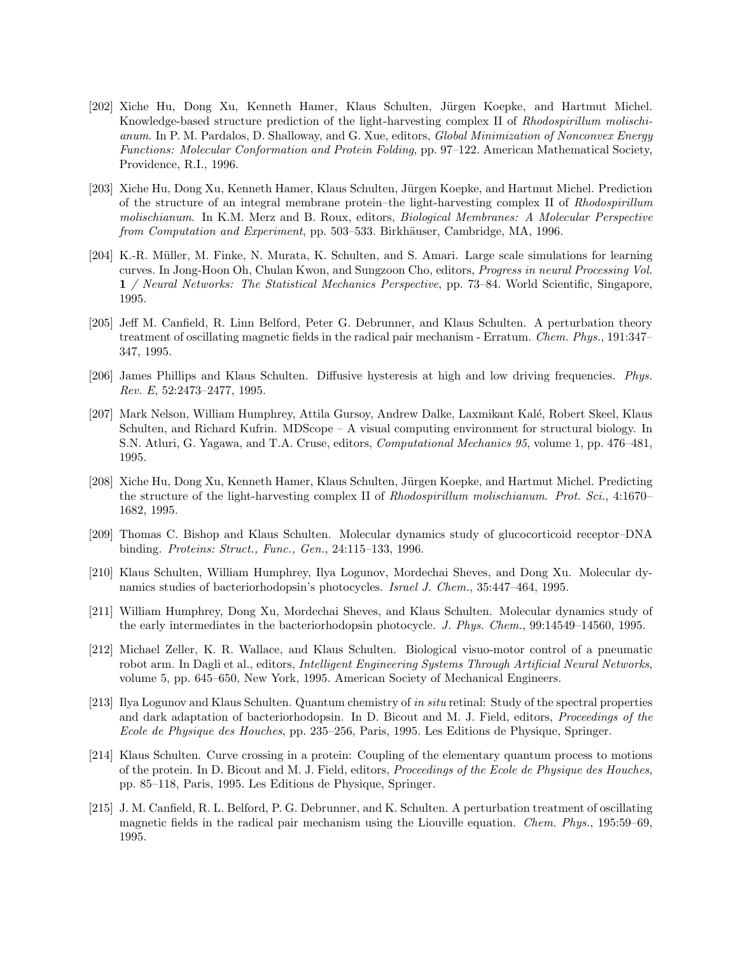- [202] Xiche Hu, Dong Xu, Kenneth Hamer, Klaus Schulten, Jürgen Koepke, and Hartmut Michel. Knowledge-based structure prediction of the light-harvesting complex II of Rhodospirillum molischianum. In P. M. Pardalos, D. Shalloway, and G. Xue, editors, Global Minimization of Nonconvex Energy Functions: Molecular Conformation and Protein Folding, pp. 97–122. American Mathematical Society, Providence, R.I., 1996.
- [203] Xiche Hu, Dong Xu, Kenneth Hamer, Klaus Schulten, Jürgen Koepke, and Hartmut Michel. Prediction of the structure of an integral membrane protein–the light-harvesting complex II of Rhodospirillum molischianum. In K.M. Merz and B. Roux, editors, Biological Membranes: A Molecular Perspective from Computation and Experiment, pp. 503–533. Birkhäuser, Cambridge, MA, 1996.
- [204] K.-R. Müller, M. Finke, N. Murata, K. Schulten, and S. Amari. Large scale simulations for learning curves. In Jong-Hoon Oh, Chulan Kwon, and Sungzoon Cho, editors, Progress in neural Processing Vol. 1 / Neural Networks: The Statistical Mechanics Perspective, pp. 73–84. World Scientific, Singapore, 1995.
- [205] Jeff M. Canfield, R. Linn Belford, Peter G. Debrunner, and Klaus Schulten. A perturbation theory treatment of oscillating magnetic fields in the radical pair mechanism - Erratum. Chem. Phys., 191:347– 347, 1995.
- [206] James Phillips and Klaus Schulten. Diffusive hysteresis at high and low driving frequencies. Phys. Rev. E, 52:2473–2477, 1995.
- [207] Mark Nelson, William Humphrey, Attila Gursoy, Andrew Dalke, Laxmikant Kalé, Robert Skeel, Klaus Schulten, and Richard Kufrin. MDScope – A visual computing environment for structural biology. In S.N. Atluri, G. Yagawa, and T.A. Cruse, editors, Computational Mechanics 95, volume 1, pp. 476–481, 1995.
- [208] Xiche Hu, Dong Xu, Kenneth Hamer, Klaus Schulten, Jürgen Koepke, and Hartmut Michel. Predicting the structure of the light-harvesting complex II of Rhodospirillum molischianum. Prot. Sci., 4:1670– 1682, 1995.
- [209] Thomas C. Bishop and Klaus Schulten. Molecular dynamics study of glucocorticoid receptor–DNA binding. Proteins: Struct., Func., Gen., 24:115–133, 1996.
- [210] Klaus Schulten, William Humphrey, Ilya Logunov, Mordechai Sheves, and Dong Xu. Molecular dynamics studies of bacteriorhodopsin's photocycles. Israel J. Chem., 35:447–464, 1995.
- [211] William Humphrey, Dong Xu, Mordechai Sheves, and Klaus Schulten. Molecular dynamics study of the early intermediates in the bacteriorhodopsin photocycle. J. Phys. Chem., 99:14549–14560, 1995.
- [212] Michael Zeller, K. R. Wallace, and Klaus Schulten. Biological visuo-motor control of a pneumatic robot arm. In Dagli et al., editors, Intelligent Engineering Systems Through Artificial Neural Networks, volume 5, pp. 645–650, New York, 1995. American Society of Mechanical Engineers.
- [213] Ilya Logunov and Klaus Schulten. Quantum chemistry of in situ retinal: Study of the spectral properties and dark adaptation of bacteriorhodopsin. In D. Bicout and M. J. Field, editors, Proceedings of the Ecole de Physique des Houches, pp. 235–256, Paris, 1995. Les Editions de Physique, Springer.
- [214] Klaus Schulten. Curve crossing in a protein: Coupling of the elementary quantum process to motions of the protein. In D. Bicout and M. J. Field, editors, Proceedings of the Ecole de Physique des Houches, pp. 85–118, Paris, 1995. Les Editions de Physique, Springer.
- [215] J. M. Canfield, R. L. Belford, P. G. Debrunner, and K. Schulten. A perturbation treatment of oscillating magnetic fields in the radical pair mechanism using the Liouville equation. Chem. Phys., 195:59–69, 1995.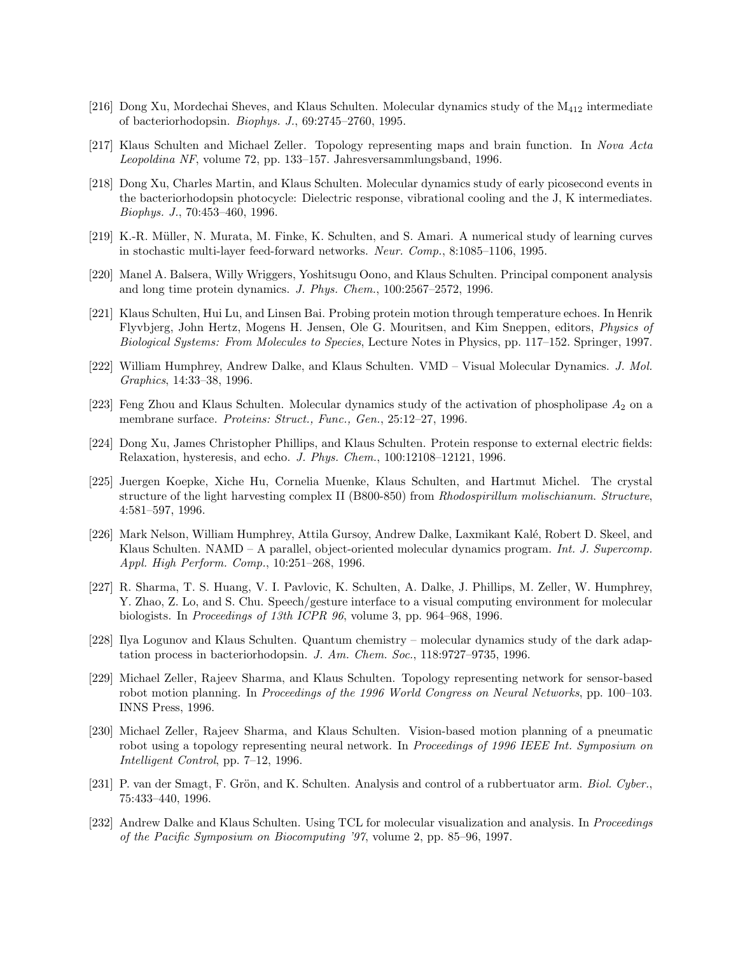- [216] Dong Xu, Mordechai Sheves, and Klaus Schulten. Molecular dynamics study of the M<sup>412</sup> intermediate of bacteriorhodopsin. Biophys. J., 69:2745–2760, 1995.
- [217] Klaus Schulten and Michael Zeller. Topology representing maps and brain function. In Nova Acta Leopoldina NF, volume 72, pp. 133–157. Jahresversammlungsband, 1996.
- [218] Dong Xu, Charles Martin, and Klaus Schulten. Molecular dynamics study of early picosecond events in the bacteriorhodopsin photocycle: Dielectric response, vibrational cooling and the J, K intermediates. Biophys. J., 70:453–460, 1996.
- [219] K.-R. Müller, N. Murata, M. Finke, K. Schulten, and S. Amari. A numerical study of learning curves in stochastic multi-layer feed-forward networks. Neur. Comp., 8:1085–1106, 1995.
- [220] Manel A. Balsera, Willy Wriggers, Yoshitsugu Oono, and Klaus Schulten. Principal component analysis and long time protein dynamics. J. Phys. Chem., 100:2567–2572, 1996.
- [221] Klaus Schulten, Hui Lu, and Linsen Bai. Probing protein motion through temperature echoes. In Henrik Flyvbjerg, John Hertz, Mogens H. Jensen, Ole G. Mouritsen, and Kim Sneppen, editors, Physics of Biological Systems: From Molecules to Species, Lecture Notes in Physics, pp. 117–152. Springer, 1997.
- [222] William Humphrey, Andrew Dalke, and Klaus Schulten. VMD Visual Molecular Dynamics. J. Mol. Graphics, 14:33–38, 1996.
- [223] Feng Zhou and Klaus Schulten. Molecular dynamics study of the activation of phospholipase  $A_2$  on a membrane surface. *Proteins: Struct.*, Func., Gen., 25:12-27, 1996.
- [224] Dong Xu, James Christopher Phillips, and Klaus Schulten. Protein response to external electric fields: Relaxation, hysteresis, and echo. J. Phys. Chem., 100:12108–12121, 1996.
- [225] Juergen Koepke, Xiche Hu, Cornelia Muenke, Klaus Schulten, and Hartmut Michel. The crystal structure of the light harvesting complex II (B800-850) from Rhodospirillum molischianum. Structure, 4:581–597, 1996.
- [226] Mark Nelson, William Humphrey, Attila Gursoy, Andrew Dalke, Laxmikant Kalé, Robert D. Skeel, and Klaus Schulten. NAMD – A parallel, object-oriented molecular dynamics program. Int. J. Supercomp. Appl. High Perform. Comp., 10:251–268, 1996.
- [227] R. Sharma, T. S. Huang, V. I. Pavlovic, K. Schulten, A. Dalke, J. Phillips, M. Zeller, W. Humphrey, Y. Zhao, Z. Lo, and S. Chu. Speech/gesture interface to a visual computing environment for molecular biologists. In Proceedings of 13th ICPR 96, volume 3, pp. 964–968, 1996.
- [228] Ilya Logunov and Klaus Schulten. Quantum chemistry molecular dynamics study of the dark adaptation process in bacteriorhodopsin. J. Am. Chem. Soc., 118:9727–9735, 1996.
- [229] Michael Zeller, Rajeev Sharma, and Klaus Schulten. Topology representing network for sensor-based robot motion planning. In Proceedings of the 1996 World Congress on Neural Networks, pp. 100–103. INNS Press, 1996.
- [230] Michael Zeller, Rajeev Sharma, and Klaus Schulten. Vision-based motion planning of a pneumatic robot using a topology representing neural network. In Proceedings of 1996 IEEE Int. Symposium on Intelligent Control, pp. 7–12, 1996.
- [231] P. van der Smagt, F. Grön, and K. Schulten. Analysis and control of a rubbertuator arm. Biol. Cyber., 75:433–440, 1996.
- [232] Andrew Dalke and Klaus Schulten. Using TCL for molecular visualization and analysis. In Proceedings of the Pacific Symposium on Biocomputing '97, volume 2, pp. 85–96, 1997.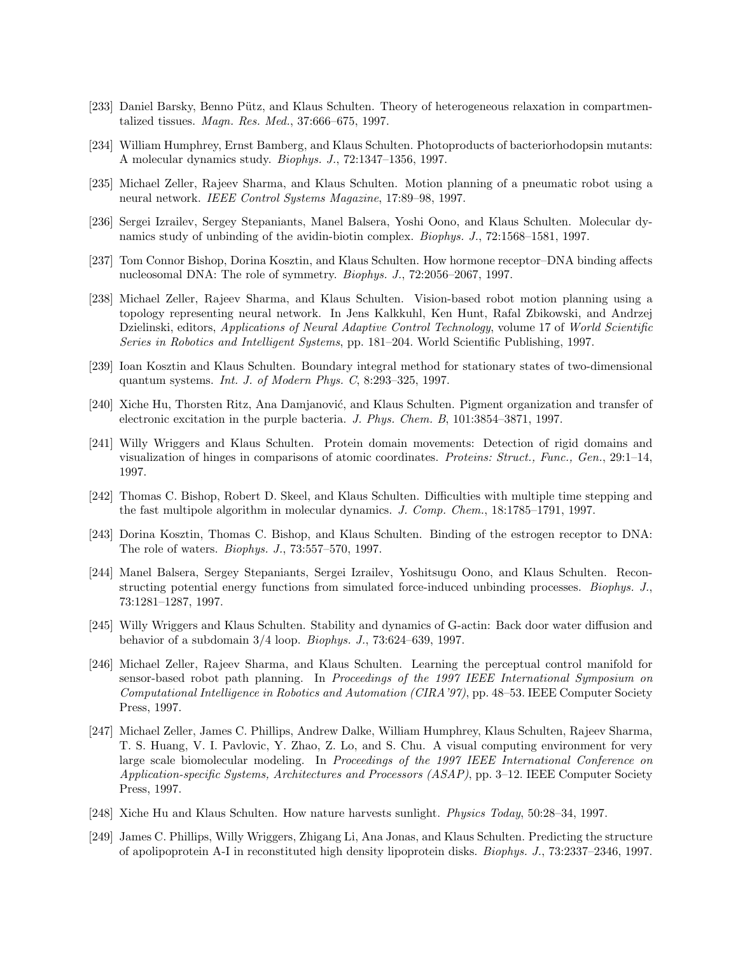- [233] Daniel Barsky, Benno Pütz, and Klaus Schulten. Theory of heterogeneous relaxation in compartmentalized tissues. Magn. Res. Med., 37:666–675, 1997.
- [234] William Humphrey, Ernst Bamberg, and Klaus Schulten. Photoproducts of bacteriorhodopsin mutants: A molecular dynamics study. Biophys. J., 72:1347–1356, 1997.
- [235] Michael Zeller, Rajeev Sharma, and Klaus Schulten. Motion planning of a pneumatic robot using a neural network. IEEE Control Systems Magazine, 17:89–98, 1997.
- [236] Sergei Izrailev, Sergey Stepaniants, Manel Balsera, Yoshi Oono, and Klaus Schulten. Molecular dynamics study of unbinding of the avidin-biotin complex. Biophys. J., 72:1568–1581, 1997.
- [237] Tom Connor Bishop, Dorina Kosztin, and Klaus Schulten. How hormone receptor–DNA binding affects nucleosomal DNA: The role of symmetry. Biophys. J., 72:2056–2067, 1997.
- [238] Michael Zeller, Rajeev Sharma, and Klaus Schulten. Vision-based robot motion planning using a topology representing neural network. In Jens Kalkkuhl, Ken Hunt, Rafal Zbikowski, and Andrzej Dzielinski, editors, Applications of Neural Adaptive Control Technology, volume 17 of World Scientific Series in Robotics and Intelligent Systems, pp. 181–204. World Scientific Publishing, 1997.
- [239] Ioan Kosztin and Klaus Schulten. Boundary integral method for stationary states of two-dimensional quantum systems. Int. J. of Modern Phys. C, 8:293–325, 1997.
- [240] Xiche Hu, Thorsten Ritz, Ana Damjanović, and Klaus Schulten. Pigment organization and transfer of electronic excitation in the purple bacteria. J. Phys. Chem. B, 101:3854–3871, 1997.
- [241] Willy Wriggers and Klaus Schulten. Protein domain movements: Detection of rigid domains and visualization of hinges in comparisons of atomic coordinates. Proteins: Struct., Func., Gen., 29:1–14, 1997.
- [242] Thomas C. Bishop, Robert D. Skeel, and Klaus Schulten. Difficulties with multiple time stepping and the fast multipole algorithm in molecular dynamics. J. Comp. Chem., 18:1785–1791, 1997.
- [243] Dorina Kosztin, Thomas C. Bishop, and Klaus Schulten. Binding of the estrogen receptor to DNA: The role of waters. Biophys. J., 73:557–570, 1997.
- [244] Manel Balsera, Sergey Stepaniants, Sergei Izrailev, Yoshitsugu Oono, and Klaus Schulten. Reconstructing potential energy functions from simulated force-induced unbinding processes. Biophys. J., 73:1281–1287, 1997.
- [245] Willy Wriggers and Klaus Schulten. Stability and dynamics of G-actin: Back door water diffusion and behavior of a subdomain 3/4 loop. Biophys. J., 73:624–639, 1997.
- [246] Michael Zeller, Rajeev Sharma, and Klaus Schulten. Learning the perceptual control manifold for sensor-based robot path planning. In Proceedings of the 1997 IEEE International Symposium on Computational Intelligence in Robotics and Automation (CIRA'97), pp. 48–53. IEEE Computer Society Press, 1997.
- [247] Michael Zeller, James C. Phillips, Andrew Dalke, William Humphrey, Klaus Schulten, Rajeev Sharma, T. S. Huang, V. I. Pavlovic, Y. Zhao, Z. Lo, and S. Chu. A visual computing environment for very large scale biomolecular modeling. In Proceedings of the 1997 IEEE International Conference on Application-specific Systems, Architectures and Processors (ASAP), pp. 3–12. IEEE Computer Society Press, 1997.
- [248] Xiche Hu and Klaus Schulten. How nature harvests sunlight. Physics Today, 50:28–34, 1997.
- [249] James C. Phillips, Willy Wriggers, Zhigang Li, Ana Jonas, and Klaus Schulten. Predicting the structure of apolipoprotein A-I in reconstituted high density lipoprotein disks. Biophys. J., 73:2337–2346, 1997.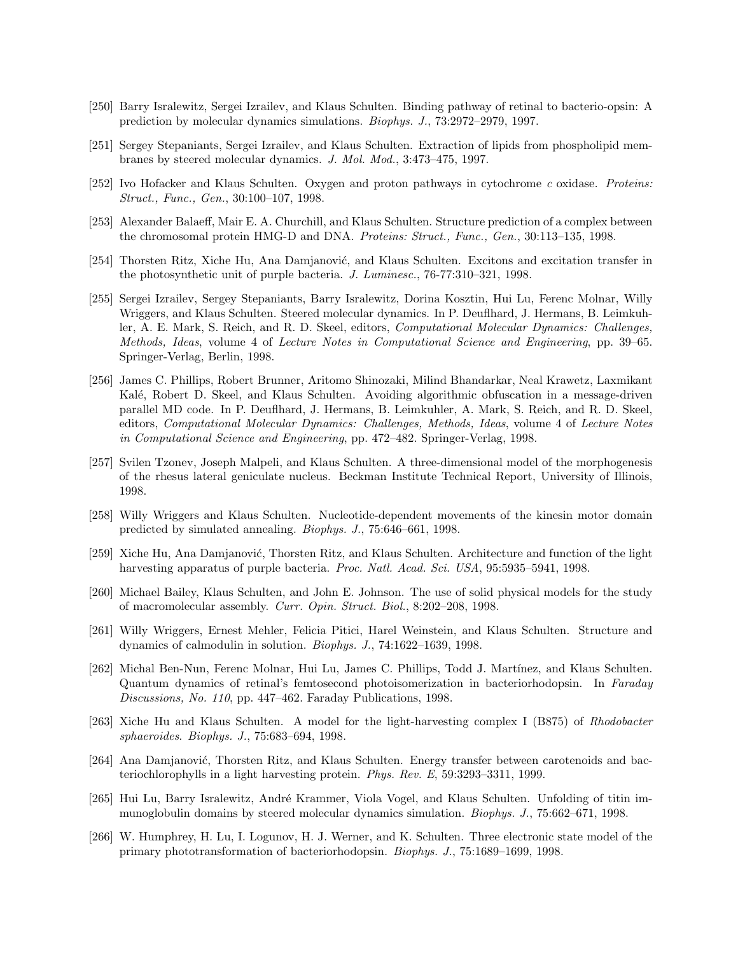- [250] Barry Isralewitz, Sergei Izrailev, and Klaus Schulten. Binding pathway of retinal to bacterio-opsin: A prediction by molecular dynamics simulations. Biophys. J., 73:2972–2979, 1997.
- [251] Sergey Stepaniants, Sergei Izrailev, and Klaus Schulten. Extraction of lipids from phospholipid membranes by steered molecular dynamics. J. Mol. Mod., 3:473–475, 1997.
- [252] Ivo Hofacker and Klaus Schulten. Oxygen and proton pathways in cytochrome c oxidase. Proteins: Struct., Func., Gen., 30:100–107, 1998.
- [253] Alexander Balaeff, Mair E. A. Churchill, and Klaus Schulten. Structure prediction of a complex between the chromosomal protein HMG-D and DNA. Proteins: Struct., Func., Gen., 30:113–135, 1998.
- [254] Thorsten Ritz, Xiche Hu, Ana Damjanović, and Klaus Schulten. Excitons and excitation transfer in the photosynthetic unit of purple bacteria. J. Luminesc., 76-77:310–321, 1998.
- [255] Sergei Izrailev, Sergey Stepaniants, Barry Isralewitz, Dorina Kosztin, Hui Lu, Ferenc Molnar, Willy Wriggers, and Klaus Schulten. Steered molecular dynamics. In P. Deuflhard, J. Hermans, B. Leimkuhler, A. E. Mark, S. Reich, and R. D. Skeel, editors, Computational Molecular Dynamics: Challenges, Methods, Ideas, volume 4 of Lecture Notes in Computational Science and Engineering, pp. 39–65. Springer-Verlag, Berlin, 1998.
- [256] James C. Phillips, Robert Brunner, Aritomo Shinozaki, Milind Bhandarkar, Neal Krawetz, Laxmikant Kalé, Robert D. Skeel, and Klaus Schulten. Avoiding algorithmic obfuscation in a message-driven parallel MD code. In P. Deuflhard, J. Hermans, B. Leimkuhler, A. Mark, S. Reich, and R. D. Skeel, editors, Computational Molecular Dynamics: Challenges, Methods, Ideas, volume 4 of Lecture Notes in Computational Science and Engineering, pp. 472–482. Springer-Verlag, 1998.
- [257] Svilen Tzonev, Joseph Malpeli, and Klaus Schulten. A three-dimensional model of the morphogenesis of the rhesus lateral geniculate nucleus. Beckman Institute Technical Report, University of Illinois, 1998.
- [258] Willy Wriggers and Klaus Schulten. Nucleotide-dependent movements of the kinesin motor domain predicted by simulated annealing. Biophys. J., 75:646–661, 1998.
- [259] Xiche Hu, Ana Damjanović, Thorsten Ritz, and Klaus Schulten. Architecture and function of the light harvesting apparatus of purple bacteria. Proc. Natl. Acad. Sci. USA, 95:5935-5941, 1998.
- [260] Michael Bailey, Klaus Schulten, and John E. Johnson. The use of solid physical models for the study of macromolecular assembly. Curr. Opin. Struct. Biol., 8:202–208, 1998.
- [261] Willy Wriggers, Ernest Mehler, Felicia Pitici, Harel Weinstein, and Klaus Schulten. Structure and dynamics of calmodulin in solution. Biophys. J., 74:1622–1639, 1998.
- [262] Michal Ben-Nun, Ferenc Molnar, Hui Lu, James C. Phillips, Todd J. Martínez, and Klaus Schulten. Quantum dynamics of retinal's femtosecond photoisomerization in bacteriorhodopsin. In Faraday Discussions, No. 110, pp. 447–462. Faraday Publications, 1998.
- [263] Xiche Hu and Klaus Schulten. A model for the light-harvesting complex I (B875) of Rhodobacter sphaeroides. Biophys. J., 75:683–694, 1998.
- [264] Ana Damjanović, Thorsten Ritz, and Klaus Schulten. Energy transfer between carotenoids and bacteriochlorophylls in a light harvesting protein. Phys. Rev. E, 59:3293–3311, 1999.
- [265] Hui Lu, Barry Isralewitz, André Krammer, Viola Vogel, and Klaus Schulten. Unfolding of titin immunoglobulin domains by steered molecular dynamics simulation. Biophys. J., 75:662–671, 1998.
- [266] W. Humphrey, H. Lu, I. Logunov, H. J. Werner, and K. Schulten. Three electronic state model of the primary phototransformation of bacteriorhodopsin. Biophys. J., 75:1689–1699, 1998.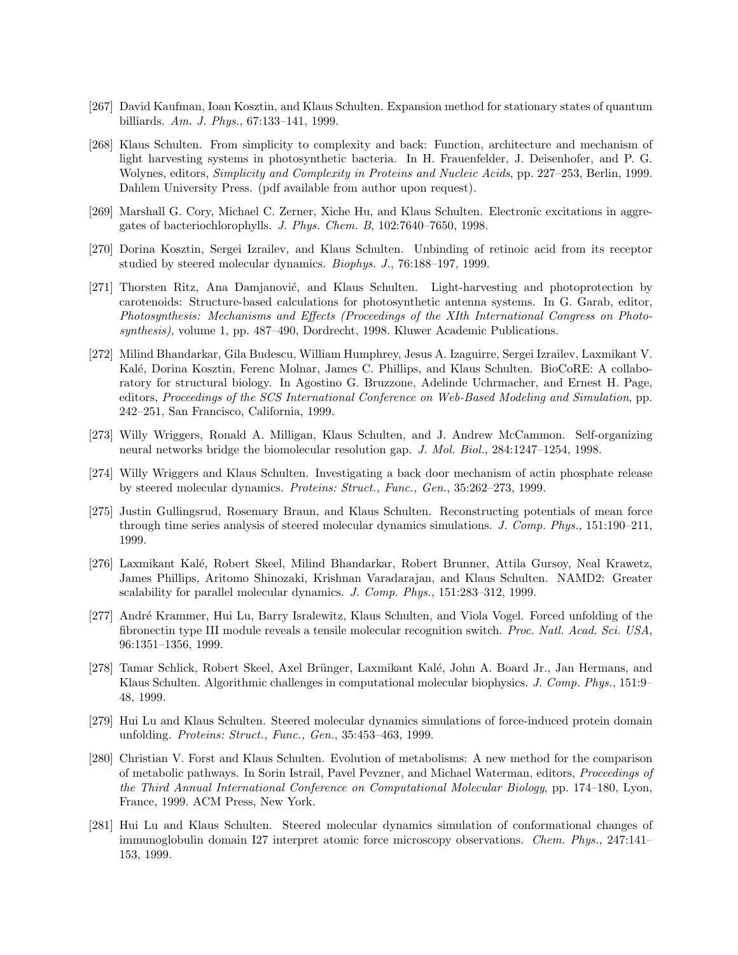- [267] David Kaufman, Ioan Kosztin, and Klaus Schulten. Expansion method for stationary states of quantum billiards. Am. J. Phys., 67:133–141, 1999.
- [268] Klaus Schulten. From simplicity to complexity and back: Function, architecture and mechanism of light harvesting systems in photosynthetic bacteria. In H. Frauenfelder, J. Deisenhofer, and P. G. Wolynes, editors, Simplicity and Complexity in Proteins and Nucleic Acids, pp. 227–253, Berlin, 1999. Dahlem University Press. (pdf available from author upon request).
- [269] Marshall G. Cory, Michael C. Zerner, Xiche Hu, and Klaus Schulten. Electronic excitations in aggregates of bacteriochlorophylls. J. Phys. Chem. B, 102:7640–7650, 1998.
- [270] Dorina Kosztin, Sergei Izrailev, and Klaus Schulten. Unbinding of retinoic acid from its receptor studied by steered molecular dynamics. Biophys. J., 76:188–197, 1999.
- [271] Thorsten Ritz, Ana Damjanović, and Klaus Schulten. Light-harvesting and photoprotection by carotenoids: Structure-based calculations for photosynthetic antenna systems. In G. Garab, editor, Photosynthesis: Mechanisms and Effects (Proceedings of the XIth International Congress on Photosynthesis), volume 1, pp. 487–490, Dordrecht, 1998. Kluwer Academic Publications.
- [272] Milind Bhandarkar, Gila Budescu, William Humphrey, Jesus A. Izaguirre, Sergei Izrailev, Laxmikant V. Kalé, Dorina Kosztin, Ferenc Molnar, James C. Phillips, and Klaus Schulten. BioCoRE: A collaboratory for structural biology. In Agostino G. Bruzzone, Adelinde Uchrmacher, and Ernest H. Page, editors, Proceedings of the SCS International Conference on Web-Based Modeling and Simulation, pp. 242–251, San Francisco, California, 1999.
- [273] Willy Wriggers, Ronald A. Milligan, Klaus Schulten, and J. Andrew McCammon. Self-organizing neural networks bridge the biomolecular resolution gap. J. Mol. Biol., 284:1247–1254, 1998.
- [274] Willy Wriggers and Klaus Schulten. Investigating a back door mechanism of actin phosphate release by steered molecular dynamics. Proteins: Struct., Func., Gen., 35:262–273, 1999.
- [275] Justin Gullingsrud, Rosemary Braun, and Klaus Schulten. Reconstructing potentials of mean force through time series analysis of steered molecular dynamics simulations. J. Comp. Phys., 151:190–211, 1999.
- [276] Laxmikant Kal´e, Robert Skeel, Milind Bhandarkar, Robert Brunner, Attila Gursoy, Neal Krawetz, James Phillips, Aritomo Shinozaki, Krishnan Varadarajan, and Klaus Schulten. NAMD2: Greater scalability for parallel molecular dynamics. J. Comp. Phys., 151:283–312, 1999.
- [277] André Krammer, Hui Lu, Barry Isralewitz, Klaus Schulten, and Viola Vogel. Forced unfolding of the fibronectin type III module reveals a tensile molecular recognition switch. Proc. Natl. Acad. Sci. USA, 96:1351–1356, 1999.
- [278] Tamar Schlick, Robert Skeel, Axel Brünger, Laxmikant Kalé, John A. Board Jr., Jan Hermans, and Klaus Schulten. Algorithmic challenges in computational molecular biophysics. J. Comp. Phys., 151:9– 48, 1999.
- [279] Hui Lu and Klaus Schulten. Steered molecular dynamics simulations of force-induced protein domain unfolding. Proteins: Struct., Func., Gen., 35:453–463, 1999.
- [280] Christian V. Forst and Klaus Schulten. Evolution of metabolisms: A new method for the comparison of metabolic pathways. In Sorin Istrail, Pavel Pevzner, and Michael Waterman, editors, Proceedings of the Third Annual International Conference on Computational Molecular Biology, pp. 174–180, Lyon, France, 1999. ACM Press, New York.
- [281] Hui Lu and Klaus Schulten. Steered molecular dynamics simulation of conformational changes of immunoglobulin domain I27 interpret atomic force microscopy observations. Chem. Phys., 247:141– 153, 1999.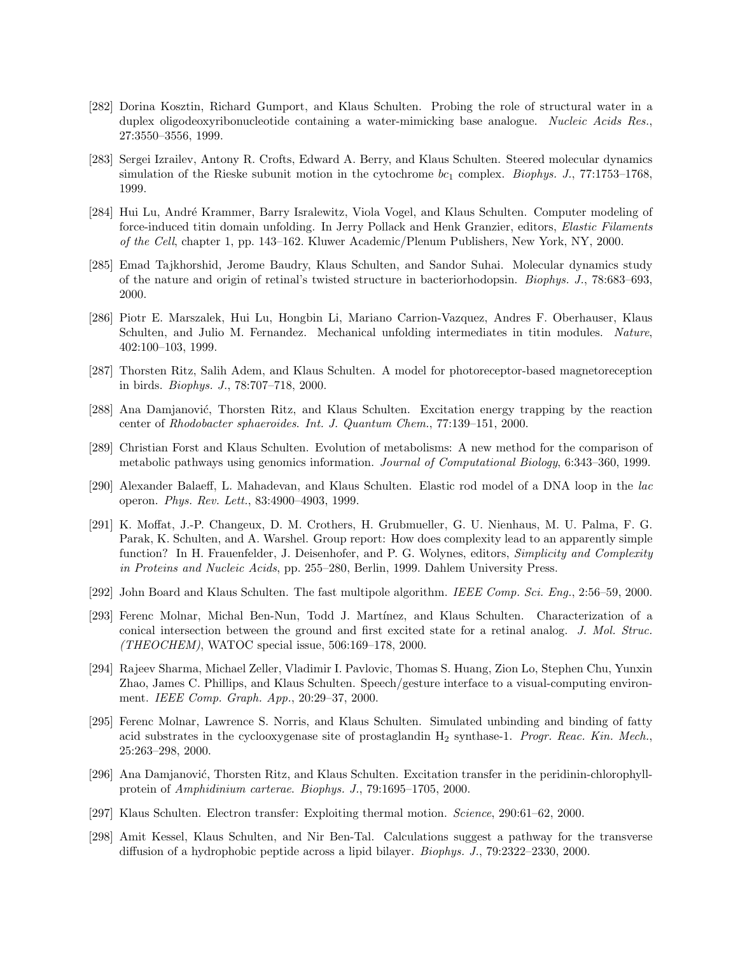- [282] Dorina Kosztin, Richard Gumport, and Klaus Schulten. Probing the role of structural water in a duplex oligodeoxyribonucleotide containing a water-mimicking base analogue. Nucleic Acids Res., 27:3550–3556, 1999.
- [283] Sergei Izrailev, Antony R. Crofts, Edward A. Berry, and Klaus Schulten. Steered molecular dynamics simulation of the Rieske subunit motion in the cytochrome  $bc_1$  complex. *Biophys. J.*, 77:1753–1768, 1999.
- [284] Hui Lu, Andr´e Krammer, Barry Isralewitz, Viola Vogel, and Klaus Schulten. Computer modeling of force-induced titin domain unfolding. In Jerry Pollack and Henk Granzier, editors, Elastic Filaments of the Cell, chapter 1, pp. 143–162. Kluwer Academic/Plenum Publishers, New York, NY, 2000.
- [285] Emad Tajkhorshid, Jerome Baudry, Klaus Schulten, and Sandor Suhai. Molecular dynamics study of the nature and origin of retinal's twisted structure in bacteriorhodopsin. Biophys. J., 78:683–693, 2000.
- [286] Piotr E. Marszalek, Hui Lu, Hongbin Li, Mariano Carrion-Vazquez, Andres F. Oberhauser, Klaus Schulten, and Julio M. Fernandez. Mechanical unfolding intermediates in titin modules. Nature, 402:100–103, 1999.
- [287] Thorsten Ritz, Salih Adem, and Klaus Schulten. A model for photoreceptor-based magnetoreception in birds. Biophys. J., 78:707–718, 2000.
- [288] Ana Damjanović, Thorsten Ritz, and Klaus Schulten. Excitation energy trapping by the reaction center of Rhodobacter sphaeroides. Int. J. Quantum Chem., 77:139–151, 2000.
- [289] Christian Forst and Klaus Schulten. Evolution of metabolisms: A new method for the comparison of metabolic pathways using genomics information. Journal of Computational Biology, 6:343–360, 1999.
- [290] Alexander Balaeff, L. Mahadevan, and Klaus Schulten. Elastic rod model of a DNA loop in the lac operon. Phys. Rev. Lett., 83:4900–4903, 1999.
- [291] K. Moffat, J.-P. Changeux, D. M. Crothers, H. Grubmueller, G. U. Nienhaus, M. U. Palma, F. G. Parak, K. Schulten, and A. Warshel. Group report: How does complexity lead to an apparently simple function? In H. Frauenfelder, J. Deisenhofer, and P. G. Wolynes, editors, *Simplicity and Complexity* in Proteins and Nucleic Acids, pp. 255–280, Berlin, 1999. Dahlem University Press.
- [292] John Board and Klaus Schulten. The fast multipole algorithm. IEEE Comp. Sci. Eng., 2:56–59, 2000.
- [293] Ferenc Molnar, Michal Ben-Nun, Todd J. Martínez, and Klaus Schulten. Characterization of a conical intersection between the ground and first excited state for a retinal analog. J. Mol. Struc.  $(THEOCHEM)$ , WATOC special issue, 506:169-178, 2000.
- [294] Rajeev Sharma, Michael Zeller, Vladimir I. Pavlovic, Thomas S. Huang, Zion Lo, Stephen Chu, Yunxin Zhao, James C. Phillips, and Klaus Schulten. Speech/gesture interface to a visual-computing environment. IEEE Comp. Graph. App., 20:29–37, 2000.
- [295] Ferenc Molnar, Lawrence S. Norris, and Klaus Schulten. Simulated unbinding and binding of fatty acid substrates in the cyclooxygenase site of prostaglandin  $H_2$  synthase-1. Progr. Reac. Kin. Mech., 25:263–298, 2000.
- [296] Ana Damjanović, Thorsten Ritz, and Klaus Schulten. Excitation transfer in the peridinin-chlorophyllprotein of Amphidinium carterae. Biophys. J., 79:1695–1705, 2000.
- [297] Klaus Schulten. Electron transfer: Exploiting thermal motion. Science, 290:61–62, 2000.
- [298] Amit Kessel, Klaus Schulten, and Nir Ben-Tal. Calculations suggest a pathway for the transverse diffusion of a hydrophobic peptide across a lipid bilayer. Biophys. J., 79:2322–2330, 2000.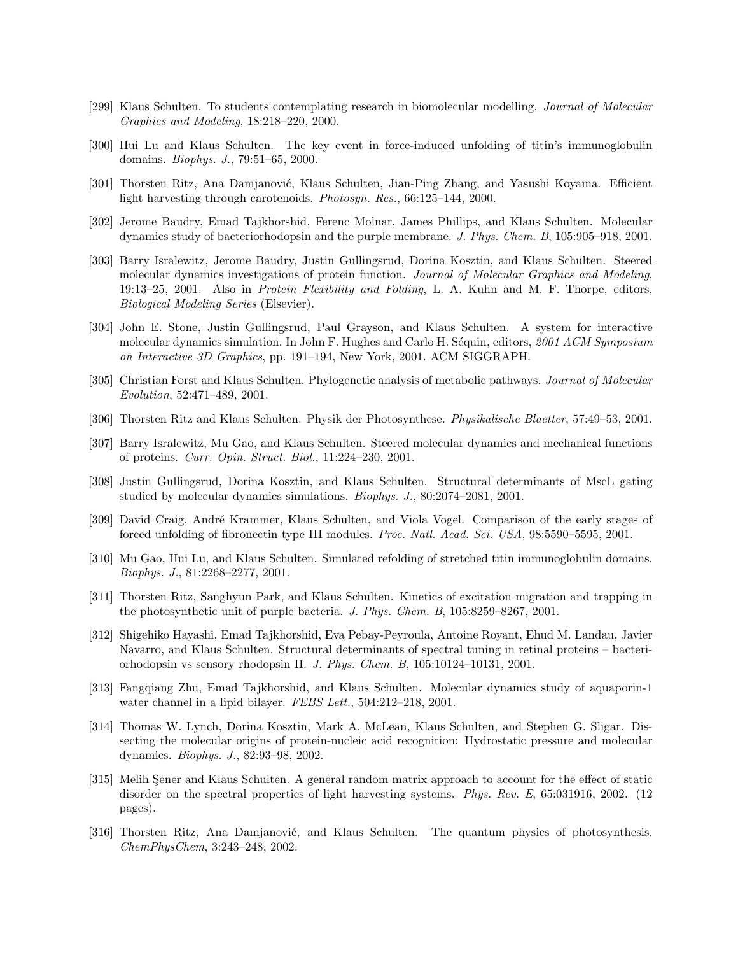- [299] Klaus Schulten. To students contemplating research in biomolecular modelling. Journal of Molecular Graphics and Modeling, 18:218–220, 2000.
- [300] Hui Lu and Klaus Schulten. The key event in force-induced unfolding of titin's immunoglobulin domains. Biophys. J., 79:51–65, 2000.
- [301] Thorsten Ritz, Ana Damjanović, Klaus Schulten, Jian-Ping Zhang, and Yasushi Koyama. Efficient light harvesting through carotenoids. Photosyn. Res., 66:125–144, 2000.
- [302] Jerome Baudry, Emad Tajkhorshid, Ferenc Molnar, James Phillips, and Klaus Schulten. Molecular dynamics study of bacteriorhodopsin and the purple membrane. J. Phys. Chem. B, 105:905–918, 2001.
- [303] Barry Isralewitz, Jerome Baudry, Justin Gullingsrud, Dorina Kosztin, and Klaus Schulten. Steered molecular dynamics investigations of protein function. Journal of Molecular Graphics and Modeling, 19:13–25, 2001. Also in Protein Flexibility and Folding, L. A. Kuhn and M. F. Thorpe, editors, Biological Modeling Series (Elsevier).
- [304] John E. Stone, Justin Gullingsrud, Paul Grayson, and Klaus Schulten. A system for interactive molecular dynamics simulation. In John F. Hughes and Carlo H. Séquin, editors, 2001 ACM Symposium on Interactive 3D Graphics, pp. 191–194, New York, 2001. ACM SIGGRAPH.
- [305] Christian Forst and Klaus Schulten. Phylogenetic analysis of metabolic pathways. Journal of Molecular Evolution, 52:471–489, 2001.
- [306] Thorsten Ritz and Klaus Schulten. Physik der Photosynthese. Physikalische Blaetter, 57:49–53, 2001.
- [307] Barry Isralewitz, Mu Gao, and Klaus Schulten. Steered molecular dynamics and mechanical functions of proteins. Curr. Opin. Struct. Biol., 11:224–230, 2001.
- [308] Justin Gullingsrud, Dorina Kosztin, and Klaus Schulten. Structural determinants of MscL gating studied by molecular dynamics simulations. Biophys. J., 80:2074–2081, 2001.
- [309] David Craig, André Krammer, Klaus Schulten, and Viola Vogel. Comparison of the early stages of forced unfolding of fibronectin type III modules. Proc. Natl. Acad. Sci. USA, 98:5590–5595, 2001.
- [310] Mu Gao, Hui Lu, and Klaus Schulten. Simulated refolding of stretched titin immunoglobulin domains. Biophys. J., 81:2268–2277, 2001.
- [311] Thorsten Ritz, Sanghyun Park, and Klaus Schulten. Kinetics of excitation migration and trapping in the photosynthetic unit of purple bacteria. J. Phys. Chem. B, 105:8259–8267, 2001.
- [312] Shigehiko Hayashi, Emad Tajkhorshid, Eva Pebay-Peyroula, Antoine Royant, Ehud M. Landau, Javier Navarro, and Klaus Schulten. Structural determinants of spectral tuning in retinal proteins – bacteriorhodopsin vs sensory rhodopsin II. J. Phys. Chem. B, 105:10124–10131, 2001.
- [313] Fangqiang Zhu, Emad Tajkhorshid, and Klaus Schulten. Molecular dynamics study of aquaporin-1 water channel in a lipid bilayer. FEBS Lett., 504:212–218, 2001.
- [314] Thomas W. Lynch, Dorina Kosztin, Mark A. McLean, Klaus Schulten, and Stephen G. Sligar. Dissecting the molecular origins of protein-nucleic acid recognition: Hydrostatic pressure and molecular dynamics. Biophys. J., 82:93–98, 2002.
- [315] Melih Sener and Klaus Schulten. A general random matrix approach to account for the effect of static disorder on the spectral properties of light harvesting systems. Phys. Rev. E, 65:031916, 2002. (12) pages).
- [316] Thorsten Ritz, Ana Damjanović, and Klaus Schulten. The quantum physics of photosynthesis. ChemPhysChem, 3:243–248, 2002.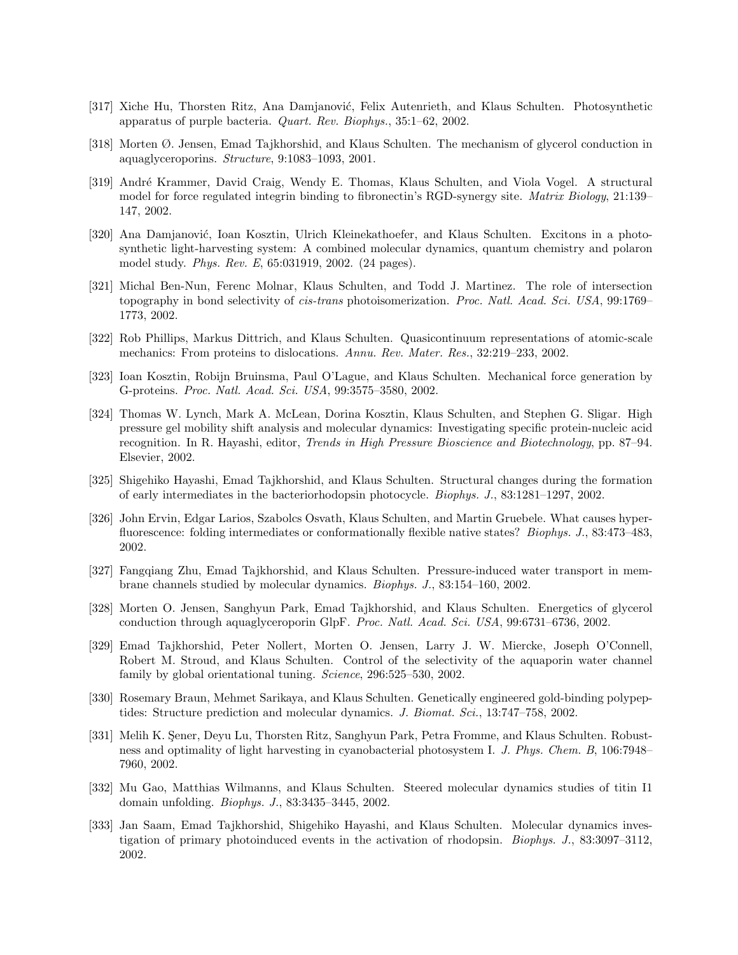- [317] Xiche Hu, Thorsten Ritz, Ana Damjanović, Felix Autenrieth, and Klaus Schulten. Photosynthetic apparatus of purple bacteria. Quart. Rev. Biophys., 35:1–62, 2002.
- [318] Morten Ø. Jensen, Emad Tajkhorshid, and Klaus Schulten. The mechanism of glycerol conduction in aquaglyceroporins. Structure, 9:1083–1093, 2001.
- [319] André Krammer, David Craig, Wendy E. Thomas, Klaus Schulten, and Viola Vogel. A structural model for force regulated integrin binding to fibronectin's RGD-synergy site. *Matrix Biology*, 21:139– 147, 2002.
- [320] Ana Damjanović, Ioan Kosztin, Ulrich Kleinekathoefer, and Klaus Schulten. Excitons in a photosynthetic light-harvesting system: A combined molecular dynamics, quantum chemistry and polaron model study. Phys. Rev. E, 65:031919, 2002. (24 pages).
- [321] Michal Ben-Nun, Ferenc Molnar, Klaus Schulten, and Todd J. Martinez. The role of intersection topography in bond selectivity of *cis-trans* photoisomerization. *Proc. Natl. Acad. Sci. USA*, 99:1769– 1773, 2002.
- [322] Rob Phillips, Markus Dittrich, and Klaus Schulten. Quasicontinuum representations of atomic-scale mechanics: From proteins to dislocations. Annu. Rev. Mater. Res., 32:219–233, 2002.
- [323] Ioan Kosztin, Robijn Bruinsma, Paul O'Lague, and Klaus Schulten. Mechanical force generation by G-proteins. Proc. Natl. Acad. Sci. USA, 99:3575–3580, 2002.
- [324] Thomas W. Lynch, Mark A. McLean, Dorina Kosztin, Klaus Schulten, and Stephen G. Sligar. High pressure gel mobility shift analysis and molecular dynamics: Investigating specific protein-nucleic acid recognition. In R. Hayashi, editor, Trends in High Pressure Bioscience and Biotechnology, pp. 87–94. Elsevier, 2002.
- [325] Shigehiko Hayashi, Emad Tajkhorshid, and Klaus Schulten. Structural changes during the formation of early intermediates in the bacteriorhodopsin photocycle. Biophys. J., 83:1281–1297, 2002.
- [326] John Ervin, Edgar Larios, Szabolcs Osvath, Klaus Schulten, and Martin Gruebele. What causes hyperfluorescence: folding intermediates or conformationally flexible native states? Biophys. J., 83:473–483, 2002.
- [327] Fangqiang Zhu, Emad Tajkhorshid, and Klaus Schulten. Pressure-induced water transport in membrane channels studied by molecular dynamics. Biophys. J., 83:154–160, 2002.
- [328] Morten O. Jensen, Sanghyun Park, Emad Tajkhorshid, and Klaus Schulten. Energetics of glycerol conduction through aquaglyceroporin GlpF. Proc. Natl. Acad. Sci. USA, 99:6731–6736, 2002.
- [329] Emad Tajkhorshid, Peter Nollert, Morten O. Jensen, Larry J. W. Miercke, Joseph O'Connell, Robert M. Stroud, and Klaus Schulten. Control of the selectivity of the aquaporin water channel family by global orientational tuning. *Science*, 296:525–530, 2002.
- [330] Rosemary Braun, Mehmet Sarikaya, and Klaus Schulten. Genetically engineered gold-binding polypeptides: Structure prediction and molecular dynamics. J. Biomat. Sci., 13:747–758, 2002.
- [331] Melih K. Sener, Deyu Lu, Thorsten Ritz, Sanghyun Park, Petra Fromme, and Klaus Schulten. Robustness and optimality of light harvesting in cyanobacterial photosystem I. J. Phys. Chem. B, 106:7948– 7960, 2002.
- [332] Mu Gao, Matthias Wilmanns, and Klaus Schulten. Steered molecular dynamics studies of titin I1 domain unfolding. Biophys. J., 83:3435–3445, 2002.
- [333] Jan Saam, Emad Tajkhorshid, Shigehiko Hayashi, and Klaus Schulten. Molecular dynamics investigation of primary photoinduced events in the activation of rhodopsin. Biophys. J., 83:3097–3112, 2002.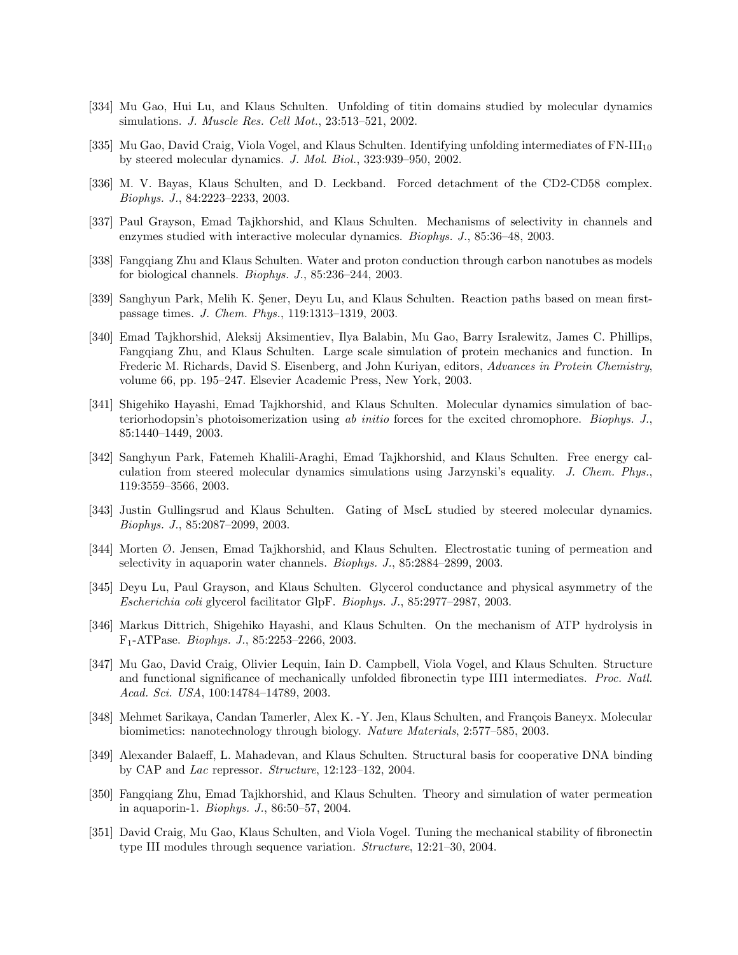- [334] Mu Gao, Hui Lu, and Klaus Schulten. Unfolding of titin domains studied by molecular dynamics simulations. J. Muscle Res. Cell Mot., 23:513–521, 2002.
- [335] Mu Gao, David Craig, Viola Vogel, and Klaus Schulten. Identifying unfolding intermediates of FN-III<sub>10</sub> by steered molecular dynamics. J. Mol. Biol., 323:939–950, 2002.
- [336] M. V. Bayas, Klaus Schulten, and D. Leckband. Forced detachment of the CD2-CD58 complex. Biophys. J., 84:2223–2233, 2003.
- [337] Paul Grayson, Emad Tajkhorshid, and Klaus Schulten. Mechanisms of selectivity in channels and enzymes studied with interactive molecular dynamics. Biophys. J., 85:36–48, 2003.
- [338] Fangqiang Zhu and Klaus Schulten. Water and proton conduction through carbon nanotubes as models for biological channels. Biophys. J., 85:236–244, 2003.
- [339] Sanghyun Park, Melih K. Sener, Deyu Lu, and Klaus Schulten. Reaction paths based on mean firstpassage times. J. Chem. Phys., 119:1313–1319, 2003.
- [340] Emad Tajkhorshid, Aleksij Aksimentiev, Ilya Balabin, Mu Gao, Barry Isralewitz, James C. Phillips, Fangqiang Zhu, and Klaus Schulten. Large scale simulation of protein mechanics and function. In Frederic M. Richards, David S. Eisenberg, and John Kuriyan, editors, Advances in Protein Chemistry, volume 66, pp. 195–247. Elsevier Academic Press, New York, 2003.
- [341] Shigehiko Hayashi, Emad Tajkhorshid, and Klaus Schulten. Molecular dynamics simulation of bacteriorhodopsin's photoisomerization using ab initio forces for the excited chromophore. Biophys. J., 85:1440–1449, 2003.
- [342] Sanghyun Park, Fatemeh Khalili-Araghi, Emad Tajkhorshid, and Klaus Schulten. Free energy calculation from steered molecular dynamics simulations using Jarzynski's equality. J. Chem. Phys., 119:3559–3566, 2003.
- [343] Justin Gullingsrud and Klaus Schulten. Gating of MscL studied by steered molecular dynamics. Biophys. J., 85:2087–2099, 2003.
- [344] Morten Ø. Jensen, Emad Tajkhorshid, and Klaus Schulten. Electrostatic tuning of permeation and selectivity in aquaporin water channels. Biophys. J., 85:2884–2899, 2003.
- [345] Deyu Lu, Paul Grayson, and Klaus Schulten. Glycerol conductance and physical asymmetry of the Escherichia coli glycerol facilitator GlpF. Biophys. J., 85:2977–2987, 2003.
- [346] Markus Dittrich, Shigehiko Hayashi, and Klaus Schulten. On the mechanism of ATP hydrolysis in F1-ATPase. Biophys. J., 85:2253–2266, 2003.
- [347] Mu Gao, David Craig, Olivier Lequin, Iain D. Campbell, Viola Vogel, and Klaus Schulten. Structure and functional significance of mechanically unfolded fibronectin type III1 intermediates. Proc. Natl. Acad. Sci. USA, 100:14784–14789, 2003.
- [348] Mehmet Sarikaya, Candan Tamerler, Alex K. -Y. Jen, Klaus Schulten, and François Baneyx. Molecular biomimetics: nanotechnology through biology. Nature Materials, 2:577–585, 2003.
- [349] Alexander Balaeff, L. Mahadevan, and Klaus Schulten. Structural basis for cooperative DNA binding by CAP and Lac repressor. Structure, 12:123–132, 2004.
- [350] Fangqiang Zhu, Emad Tajkhorshid, and Klaus Schulten. Theory and simulation of water permeation in aquaporin-1. Biophys. J., 86:50–57, 2004.
- [351] David Craig, Mu Gao, Klaus Schulten, and Viola Vogel. Tuning the mechanical stability of fibronectin type III modules through sequence variation. Structure, 12:21–30, 2004.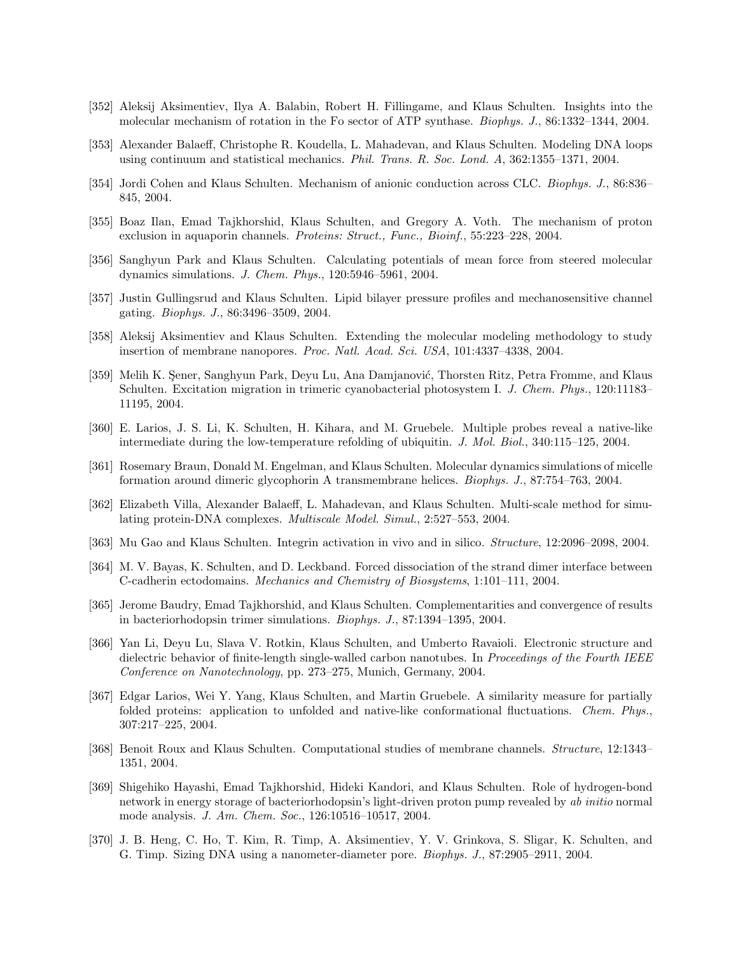- [352] Aleksij Aksimentiev, Ilya A. Balabin, Robert H. Fillingame, and Klaus Schulten. Insights into the molecular mechanism of rotation in the Fo sector of ATP synthase. Biophys. J., 86:1332–1344, 2004.
- [353] Alexander Balaeff, Christophe R. Koudella, L. Mahadevan, and Klaus Schulten. Modeling DNA loops using continuum and statistical mechanics. Phil. Trans. R. Soc. Lond. A, 362:1355–1371, 2004.
- [354] Jordi Cohen and Klaus Schulten. Mechanism of anionic conduction across CLC. Biophys. J., 86:836– 845, 2004.
- [355] Boaz Ilan, Emad Tajkhorshid, Klaus Schulten, and Gregory A. Voth. The mechanism of proton exclusion in aquaporin channels. Proteins: Struct., Func., Bioinf., 55:223–228, 2004.
- [356] Sanghyun Park and Klaus Schulten. Calculating potentials of mean force from steered molecular dynamics simulations. J. Chem. Phys., 120:5946–5961, 2004.
- [357] Justin Gullingsrud and Klaus Schulten. Lipid bilayer pressure profiles and mechanosensitive channel gating. Biophys. J., 86:3496–3509, 2004.
- [358] Aleksij Aksimentiev and Klaus Schulten. Extending the molecular modeling methodology to study insertion of membrane nanopores. Proc. Natl. Acad. Sci. USA, 101:4337-4338, 2004.
- [359] Melih K. Sener, Sanghyun Park, Deyu Lu, Ana Damjanović, Thorsten Ritz, Petra Fromme, and Klaus Schulten. Excitation migration in trimeric cyanobacterial photosystem I. J. Chem. Phys., 120:11183– 11195, 2004.
- [360] E. Larios, J. S. Li, K. Schulten, H. Kihara, and M. Gruebele. Multiple probes reveal a native-like intermediate during the low-temperature refolding of ubiquitin. J. Mol. Biol., 340:115–125, 2004.
- [361] Rosemary Braun, Donald M. Engelman, and Klaus Schulten. Molecular dynamics simulations of micelle formation around dimeric glycophorin A transmembrane helices. Biophys. J., 87:754–763, 2004.
- [362] Elizabeth Villa, Alexander Balaeff, L. Mahadevan, and Klaus Schulten. Multi-scale method for simulating protein-DNA complexes. Multiscale Model. Simul., 2:527–553, 2004.
- [363] Mu Gao and Klaus Schulten. Integrin activation in vivo and in silico. Structure, 12:2096–2098, 2004.
- [364] M. V. Bayas, K. Schulten, and D. Leckband. Forced dissociation of the strand dimer interface between C-cadherin ectodomains. Mechanics and Chemistry of Biosystems, 1:101–111, 2004.
- [365] Jerome Baudry, Emad Tajkhorshid, and Klaus Schulten. Complementarities and convergence of results in bacteriorhodopsin trimer simulations. Biophys. J., 87:1394–1395, 2004.
- [366] Yan Li, Deyu Lu, Slava V. Rotkin, Klaus Schulten, and Umberto Ravaioli. Electronic structure and dielectric behavior of finite-length single-walled carbon nanotubes. In Proceedings of the Fourth IEEE Conference on Nanotechnology, pp. 273–275, Munich, Germany, 2004.
- [367] Edgar Larios, Wei Y. Yang, Klaus Schulten, and Martin Gruebele. A similarity measure for partially folded proteins: application to unfolded and native-like conformational fluctuations. Chem. Phys., 307:217–225, 2004.
- [368] Benoit Roux and Klaus Schulten. Computational studies of membrane channels. Structure, 12:1343– 1351, 2004.
- [369] Shigehiko Hayashi, Emad Tajkhorshid, Hideki Kandori, and Klaus Schulten. Role of hydrogen-bond network in energy storage of bacteriorhodopsin's light-driven proton pump revealed by ab initio normal mode analysis. J. Am. Chem. Soc., 126:10516–10517, 2004.
- [370] J. B. Heng, C. Ho, T. Kim, R. Timp, A. Aksimentiev, Y. V. Grinkova, S. Sligar, K. Schulten, and G. Timp. Sizing DNA using a nanometer-diameter pore. Biophys. J., 87:2905–2911, 2004.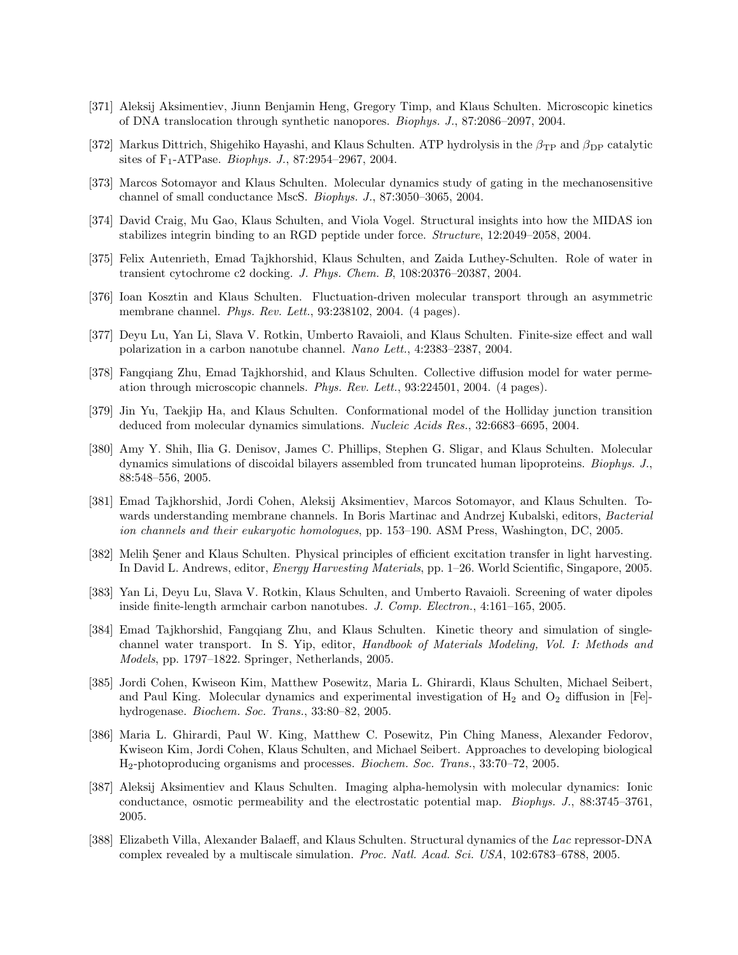- [371] Aleksij Aksimentiev, Jiunn Benjamin Heng, Gregory Timp, and Klaus Schulten. Microscopic kinetics of DNA translocation through synthetic nanopores. Biophys. J., 87:2086–2097, 2004.
- [372] Markus Dittrich, Shigehiko Hayashi, and Klaus Schulten. ATP hydrolysis in the  $\beta_{\rm TP}$  and  $\beta_{\rm DP}$  catalytic sites of  $F_1$ -ATPase. *Biophys. J.*, 87:2954–2967, 2004.
- [373] Marcos Sotomayor and Klaus Schulten. Molecular dynamics study of gating in the mechanosensitive channel of small conductance MscS. Biophys. J., 87:3050–3065, 2004.
- [374] David Craig, Mu Gao, Klaus Schulten, and Viola Vogel. Structural insights into how the MIDAS ion stabilizes integrin binding to an RGD peptide under force. Structure, 12:2049–2058, 2004.
- [375] Felix Autenrieth, Emad Tajkhorshid, Klaus Schulten, and Zaida Luthey-Schulten. Role of water in transient cytochrome c2 docking. J. Phys. Chem. B, 108:20376–20387, 2004.
- [376] Ioan Kosztin and Klaus Schulten. Fluctuation-driven molecular transport through an asymmetric membrane channel. Phys. Rev. Lett., 93:238102, 2004. (4 pages).
- [377] Deyu Lu, Yan Li, Slava V. Rotkin, Umberto Ravaioli, and Klaus Schulten. Finite-size effect and wall polarization in a carbon nanotube channel. Nano Lett., 4:2383–2387, 2004.
- [378] Fangqiang Zhu, Emad Tajkhorshid, and Klaus Schulten. Collective diffusion model for water permeation through microscopic channels. Phys. Rev. Lett., 93:224501, 2004. (4 pages).
- [379] Jin Yu, Taekjip Ha, and Klaus Schulten. Conformational model of the Holliday junction transition deduced from molecular dynamics simulations. Nucleic Acids Res., 32:6683–6695, 2004.
- [380] Amy Y. Shih, Ilia G. Denisov, James C. Phillips, Stephen G. Sligar, and Klaus Schulten. Molecular dynamics simulations of discoidal bilayers assembled from truncated human lipoproteins. Biophys. J., 88:548–556, 2005.
- [381] Emad Tajkhorshid, Jordi Cohen, Aleksij Aksimentiev, Marcos Sotomayor, and Klaus Schulten. Towards understanding membrane channels. In Boris Martinac and Andrzej Kubalski, editors, Bacterial ion channels and their eukaryotic homologues, pp. 153–190. ASM Press, Washington, DC, 2005.
- [382] Melih Sener and Klaus Schulten. Physical principles of efficient excitation transfer in light harvesting. In David L. Andrews, editor, Energy Harvesting Materials, pp. 1–26. World Scientific, Singapore, 2005.
- [383] Yan Li, Deyu Lu, Slava V. Rotkin, Klaus Schulten, and Umberto Ravaioli. Screening of water dipoles inside finite-length armchair carbon nanotubes. J. Comp. Electron., 4:161–165, 2005.
- [384] Emad Tajkhorshid, Fangqiang Zhu, and Klaus Schulten. Kinetic theory and simulation of singlechannel water transport. In S. Yip, editor, Handbook of Materials Modeling, Vol. I: Methods and Models, pp. 1797–1822. Springer, Netherlands, 2005.
- [385] Jordi Cohen, Kwiseon Kim, Matthew Posewitz, Maria L. Ghirardi, Klaus Schulten, Michael Seibert, and Paul King. Molecular dynamics and experimental investigation of  $H_2$  and  $O_2$  diffusion in [Fe]hydrogenase. Biochem. Soc. Trans., 33:80–82, 2005.
- [386] Maria L. Ghirardi, Paul W. King, Matthew C. Posewitz, Pin Ching Maness, Alexander Fedorov, Kwiseon Kim, Jordi Cohen, Klaus Schulten, and Michael Seibert. Approaches to developing biological H2-photoproducing organisms and processes. Biochem. Soc. Trans., 33:70–72, 2005.
- [387] Aleksij Aksimentiev and Klaus Schulten. Imaging alpha-hemolysin with molecular dynamics: Ionic conductance, osmotic permeability and the electrostatic potential map. Biophys. J., 88:3745–3761, 2005.
- [388] Elizabeth Villa, Alexander Balaeff, and Klaus Schulten. Structural dynamics of the Lac repressor-DNA complex revealed by a multiscale simulation. Proc. Natl. Acad. Sci. USA, 102:6783–6788, 2005.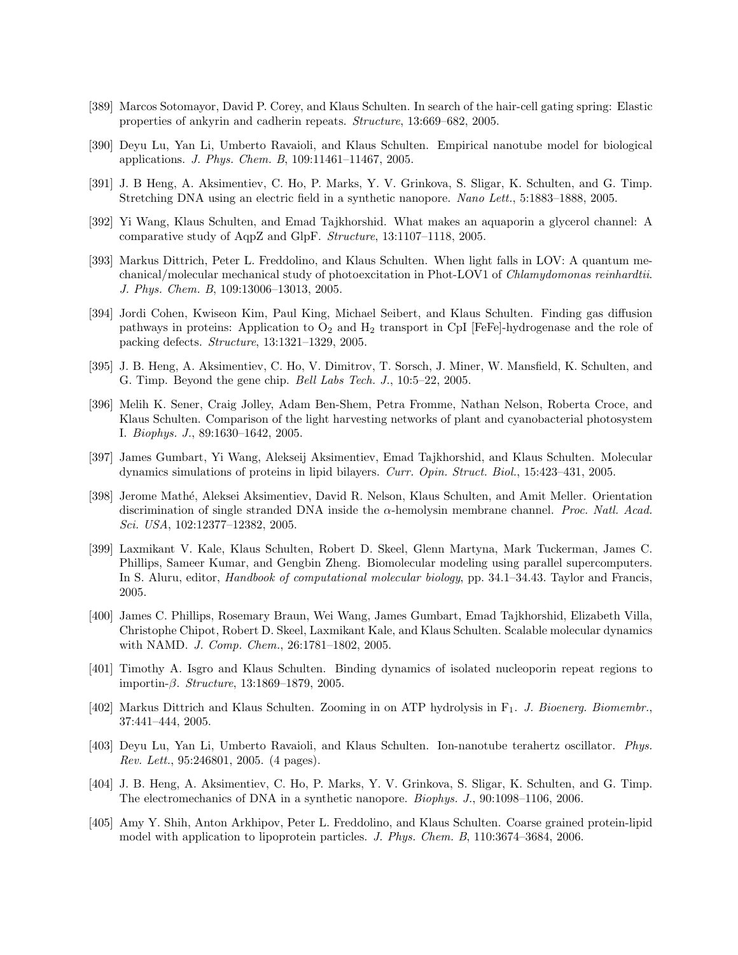- [389] Marcos Sotomayor, David P. Corey, and Klaus Schulten. In search of the hair-cell gating spring: Elastic properties of ankyrin and cadherin repeats. Structure, 13:669–682, 2005.
- [390] Deyu Lu, Yan Li, Umberto Ravaioli, and Klaus Schulten. Empirical nanotube model for biological applications. J. Phys. Chem. B, 109:11461–11467, 2005.
- [391] J. B Heng, A. Aksimentiev, C. Ho, P. Marks, Y. V. Grinkova, S. Sligar, K. Schulten, and G. Timp. Stretching DNA using an electric field in a synthetic nanopore. Nano Lett., 5:1883–1888, 2005.
- [392] Yi Wang, Klaus Schulten, and Emad Tajkhorshid. What makes an aquaporin a glycerol channel: A comparative study of AqpZ and GlpF. Structure, 13:1107–1118, 2005.
- [393] Markus Dittrich, Peter L. Freddolino, and Klaus Schulten. When light falls in LOV: A quantum mechanical/molecular mechanical study of photoexcitation in Phot-LOV1 of Chlamydomonas reinhardtii. J. Phys. Chem. B, 109:13006–13013, 2005.
- [394] Jordi Cohen, Kwiseon Kim, Paul King, Michael Seibert, and Klaus Schulten. Finding gas diffusion pathways in proteins: Application to  $O_2$  and  $H_2$  transport in CpI [FeFe]-hydrogenase and the role of packing defects. Structure, 13:1321–1329, 2005.
- [395] J. B. Heng, A. Aksimentiev, C. Ho, V. Dimitrov, T. Sorsch, J. Miner, W. Mansfield, K. Schulten, and G. Timp. Beyond the gene chip. Bell Labs Tech. J., 10:5–22, 2005.
- [396] Melih K. Sener, Craig Jolley, Adam Ben-Shem, Petra Fromme, Nathan Nelson, Roberta Croce, and Klaus Schulten. Comparison of the light harvesting networks of plant and cyanobacterial photosystem I. Biophys. J., 89:1630–1642, 2005.
- [397] James Gumbart, Yi Wang, Alekseij Aksimentiev, Emad Tajkhorshid, and Klaus Schulten. Molecular dynamics simulations of proteins in lipid bilayers. Curr. Opin. Struct. Biol., 15:423–431, 2005.
- [398] Jerome Math´e, Aleksei Aksimentiev, David R. Nelson, Klaus Schulten, and Amit Meller. Orientation discrimination of single stranded DNA inside the  $\alpha$ -hemolysin membrane channel. *Proc. Natl. Acad.* Sci. USA, 102:12377–12382, 2005.
- [399] Laxmikant V. Kale, Klaus Schulten, Robert D. Skeel, Glenn Martyna, Mark Tuckerman, James C. Phillips, Sameer Kumar, and Gengbin Zheng. Biomolecular modeling using parallel supercomputers. In S. Aluru, editor, *Handbook of computational molecular biology*, pp. 34.1–34.43. Taylor and Francis, 2005.
- [400] James C. Phillips, Rosemary Braun, Wei Wang, James Gumbart, Emad Tajkhorshid, Elizabeth Villa, Christophe Chipot, Robert D. Skeel, Laxmikant Kale, and Klaus Schulten. Scalable molecular dynamics with NAMD. J. Comp. Chem., 26:1781–1802, 2005.
- [401] Timothy A. Isgro and Klaus Schulten. Binding dynamics of isolated nucleoporin repeat regions to importin- $\beta$ . Structure, 13:1869–1879, 2005.
- [402] Markus Dittrich and Klaus Schulten. Zooming in on ATP hydrolysis in F<sub>1</sub>. J. Bioenerg. Biomembr., 37:441–444, 2005.
- [403] Deyu Lu, Yan Li, Umberto Ravaioli, and Klaus Schulten. Ion-nanotube terahertz oscillator. Phys. Rev. Lett., 95:246801, 2005. (4 pages).
- [404] J. B. Heng, A. Aksimentiev, C. Ho, P. Marks, Y. V. Grinkova, S. Sligar, K. Schulten, and G. Timp. The electromechanics of DNA in a synthetic nanopore. Biophys. J., 90:1098–1106, 2006.
- [405] Amy Y. Shih, Anton Arkhipov, Peter L. Freddolino, and Klaus Schulten. Coarse grained protein-lipid model with application to lipoprotein particles. J. Phys. Chem. B, 110:3674–3684, 2006.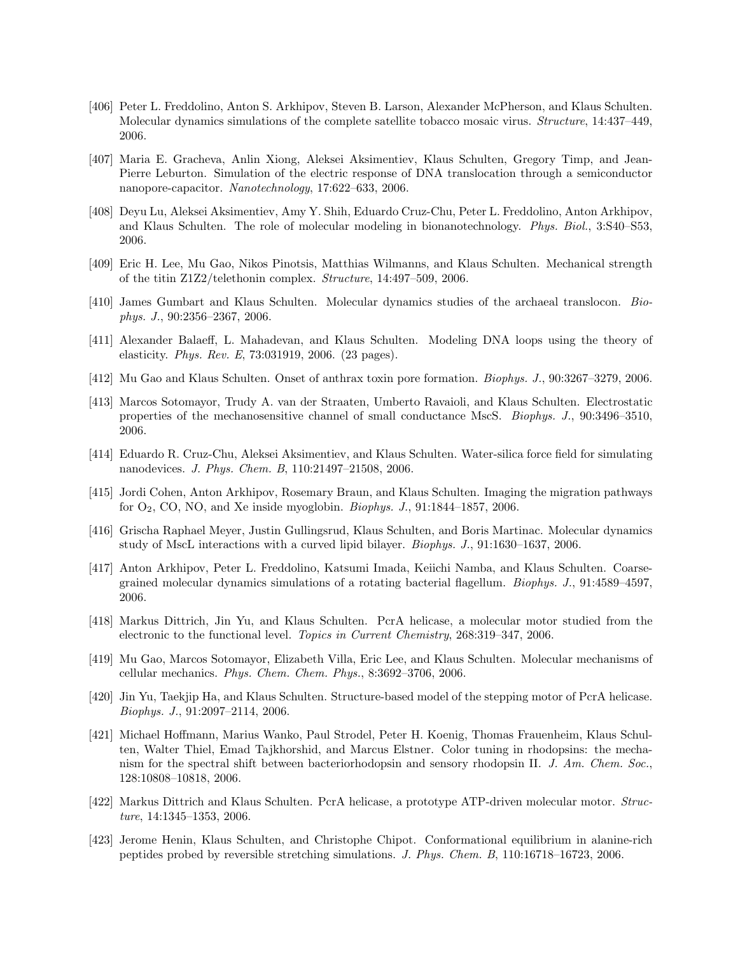- [406] Peter L. Freddolino, Anton S. Arkhipov, Steven B. Larson, Alexander McPherson, and Klaus Schulten. Molecular dynamics simulations of the complete satellite tobacco mosaic virus. Structure, 14:437–449, 2006.
- [407] Maria E. Gracheva, Anlin Xiong, Aleksei Aksimentiev, Klaus Schulten, Gregory Timp, and Jean-Pierre Leburton. Simulation of the electric response of DNA translocation through a semiconductor nanopore-capacitor. Nanotechnology, 17:622–633, 2006.
- [408] Deyu Lu, Aleksei Aksimentiev, Amy Y. Shih, Eduardo Cruz-Chu, Peter L. Freddolino, Anton Arkhipov, and Klaus Schulten. The role of molecular modeling in bionanotechnology. Phys. Biol., 3:S40–S53, 2006.
- [409] Eric H. Lee, Mu Gao, Nikos Pinotsis, Matthias Wilmanns, and Klaus Schulten. Mechanical strength of the titin Z1Z2/telethonin complex. Structure, 14:497–509, 2006.
- [410] James Gumbart and Klaus Schulten. Molecular dynamics studies of the archaeal translocon. Biophys. J., 90:2356–2367, 2006.
- [411] Alexander Balaeff, L. Mahadevan, and Klaus Schulten. Modeling DNA loops using the theory of elasticity. Phys. Rev. E, 73:031919, 2006. (23 pages).
- [412] Mu Gao and Klaus Schulten. Onset of anthrax toxin pore formation. Biophys. J., 90:3267–3279, 2006.
- [413] Marcos Sotomayor, Trudy A. van der Straaten, Umberto Ravaioli, and Klaus Schulten. Electrostatic properties of the mechanosensitive channel of small conductance MscS. Biophys. J., 90:3496–3510, 2006.
- [414] Eduardo R. Cruz-Chu, Aleksei Aksimentiev, and Klaus Schulten. Water-silica force field for simulating nanodevices. J. Phys. Chem. B, 110:21497–21508, 2006.
- [415] Jordi Cohen, Anton Arkhipov, Rosemary Braun, and Klaus Schulten. Imaging the migration pathways for  $O_2$ , CO, NO, and Xe inside myoglobin. *Biophys. J.*, 91:1844–1857, 2006.
- [416] Grischa Raphael Meyer, Justin Gullingsrud, Klaus Schulten, and Boris Martinac. Molecular dynamics study of MscL interactions with a curved lipid bilayer. Biophys. J., 91:1630–1637, 2006.
- [417] Anton Arkhipov, Peter L. Freddolino, Katsumi Imada, Keiichi Namba, and Klaus Schulten. Coarsegrained molecular dynamics simulations of a rotating bacterial flagellum. Biophys. J., 91:4589–4597, 2006.
- [418] Markus Dittrich, Jin Yu, and Klaus Schulten. PcrA helicase, a molecular motor studied from the electronic to the functional level. Topics in Current Chemistry, 268:319–347, 2006.
- [419] Mu Gao, Marcos Sotomayor, Elizabeth Villa, Eric Lee, and Klaus Schulten. Molecular mechanisms of cellular mechanics. Phys. Chem. Chem. Phys., 8:3692–3706, 2006.
- [420] Jin Yu, Taekjip Ha, and Klaus Schulten. Structure-based model of the stepping motor of PcrA helicase. Biophys. J., 91:2097–2114, 2006.
- [421] Michael Hoffmann, Marius Wanko, Paul Strodel, Peter H. Koenig, Thomas Frauenheim, Klaus Schulten, Walter Thiel, Emad Tajkhorshid, and Marcus Elstner. Color tuning in rhodopsins: the mechanism for the spectral shift between bacteriorhodopsin and sensory rhodopsin II. J. Am. Chem. Soc., 128:10808–10818, 2006.
- [422] Markus Dittrich and Klaus Schulten. PcrA helicase, a prototype ATP-driven molecular motor. Structure, 14:1345–1353, 2006.
- [423] Jerome Henin, Klaus Schulten, and Christophe Chipot. Conformational equilibrium in alanine-rich peptides probed by reversible stretching simulations. J. Phys. Chem. B, 110:16718–16723, 2006.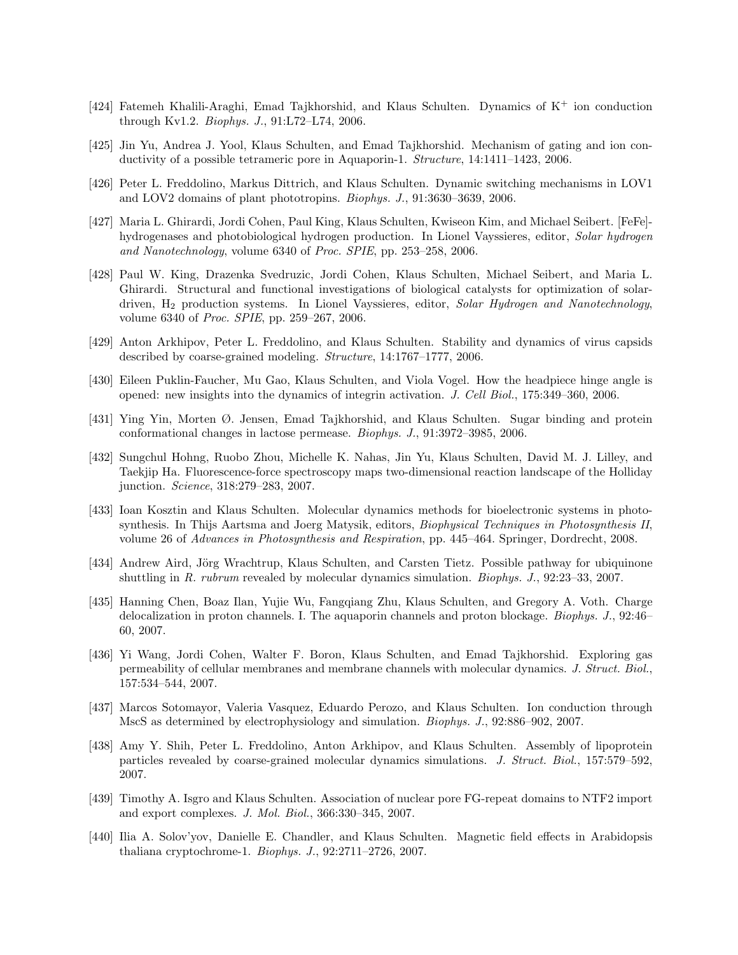- [424] Fatemeh Khalili-Araghi, Emad Tajkhorshid, and Klaus Schulten. Dynamics of  $K^+$  ion conduction through Kv1.2. Biophys. J., 91:L72–L74, 2006.
- [425] Jin Yu, Andrea J. Yool, Klaus Schulten, and Emad Tajkhorshid. Mechanism of gating and ion conductivity of a possible tetrameric pore in Aquaporin-1. Structure, 14:1411–1423, 2006.
- [426] Peter L. Freddolino, Markus Dittrich, and Klaus Schulten. Dynamic switching mechanisms in LOV1 and LOV2 domains of plant phototropins. Biophys. J., 91:3630–3639, 2006.
- [427] Maria L. Ghirardi, Jordi Cohen, Paul King, Klaus Schulten, Kwiseon Kim, and Michael Seibert. [FeFe] hydrogenases and photobiological hydrogen production. In Lionel Vayssieres, editor, Solar hydrogen and Nanotechnology, volume 6340 of Proc. SPIE, pp. 253–258, 2006.
- [428] Paul W. King, Drazenka Svedruzic, Jordi Cohen, Klaus Schulten, Michael Seibert, and Maria L. Ghirardi. Structural and functional investigations of biological catalysts for optimization of solardriven, H<sup>2</sup> production systems. In Lionel Vayssieres, editor, Solar Hydrogen and Nanotechnology, volume 6340 of Proc. SPIE, pp. 259–267, 2006.
- [429] Anton Arkhipov, Peter L. Freddolino, and Klaus Schulten. Stability and dynamics of virus capsids described by coarse-grained modeling. Structure, 14:1767–1777, 2006.
- [430] Eileen Puklin-Faucher, Mu Gao, Klaus Schulten, and Viola Vogel. How the headpiece hinge angle is opened: new insights into the dynamics of integrin activation. J. Cell Biol., 175:349–360, 2006.
- [431] Ying Yin, Morten Ø. Jensen, Emad Tajkhorshid, and Klaus Schulten. Sugar binding and protein conformational changes in lactose permease. Biophys. J., 91:3972–3985, 2006.
- [432] Sungchul Hohng, Ruobo Zhou, Michelle K. Nahas, Jin Yu, Klaus Schulten, David M. J. Lilley, and Taekjip Ha. Fluorescence-force spectroscopy maps two-dimensional reaction landscape of the Holliday junction. Science, 318:279–283, 2007.
- [433] Ioan Kosztin and Klaus Schulten. Molecular dynamics methods for bioelectronic systems in photosynthesis. In Thijs Aartsma and Joerg Matysik, editors, Biophysical Techniques in Photosynthesis II, volume 26 of Advances in Photosynthesis and Respiration, pp. 445–464. Springer, Dordrecht, 2008.
- [434] Andrew Aird, Jörg Wrachtrup, Klaus Schulten, and Carsten Tietz. Possible pathway for ubiquinone shuttling in R. rubrum revealed by molecular dynamics simulation. Biophys. J., 92:23–33, 2007.
- [435] Hanning Chen, Boaz Ilan, Yujie Wu, Fangqiang Zhu, Klaus Schulten, and Gregory A. Voth. Charge delocalization in proton channels. I. The aquaporin channels and proton blockage. Biophys. J., 92:46– 60, 2007.
- [436] Yi Wang, Jordi Cohen, Walter F. Boron, Klaus Schulten, and Emad Tajkhorshid. Exploring gas permeability of cellular membranes and membrane channels with molecular dynamics. J. Struct. Biol., 157:534–544, 2007.
- [437] Marcos Sotomayor, Valeria Vasquez, Eduardo Perozo, and Klaus Schulten. Ion conduction through MscS as determined by electrophysiology and simulation. Biophys. J., 92:886–902, 2007.
- [438] Amy Y. Shih, Peter L. Freddolino, Anton Arkhipov, and Klaus Schulten. Assembly of lipoprotein particles revealed by coarse-grained molecular dynamics simulations. J. Struct. Biol., 157:579–592, 2007.
- [439] Timothy A. Isgro and Klaus Schulten. Association of nuclear pore FG-repeat domains to NTF2 import and export complexes. J. Mol. Biol., 366:330–345, 2007.
- [440] Ilia A. Solov'yov, Danielle E. Chandler, and Klaus Schulten. Magnetic field effects in Arabidopsis thaliana cryptochrome-1. Biophys. J., 92:2711–2726, 2007.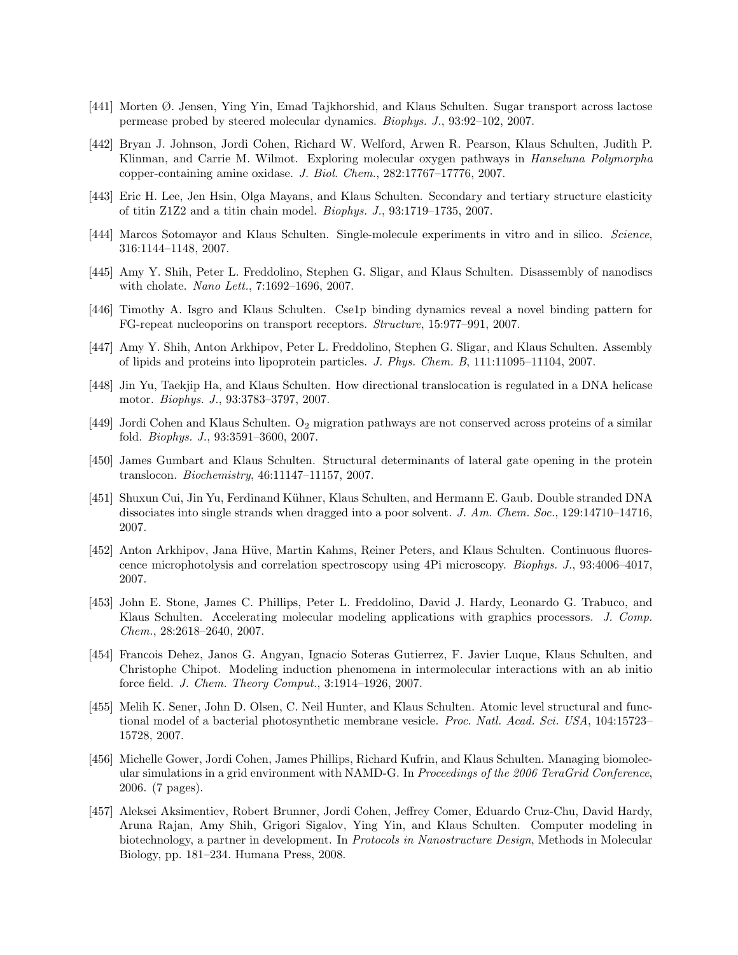- [441] Morten Ø. Jensen, Ying Yin, Emad Tajkhorshid, and Klaus Schulten. Sugar transport across lactose permease probed by steered molecular dynamics. Biophys. J., 93:92–102, 2007.
- [442] Bryan J. Johnson, Jordi Cohen, Richard W. Welford, Arwen R. Pearson, Klaus Schulten, Judith P. Klinman, and Carrie M. Wilmot. Exploring molecular oxygen pathways in Hanseluna Polymorpha copper-containing amine oxidase. J. Biol. Chem., 282:17767–17776, 2007.
- [443] Eric H. Lee, Jen Hsin, Olga Mayans, and Klaus Schulten. Secondary and tertiary structure elasticity of titin Z1Z2 and a titin chain model. Biophys. J., 93:1719–1735, 2007.
- [444] Marcos Sotomayor and Klaus Schulten. Single-molecule experiments in vitro and in silico. Science, 316:1144–1148, 2007.
- [445] Amy Y. Shih, Peter L. Freddolino, Stephen G. Sligar, and Klaus Schulten. Disassembly of nanodiscs with cholate. Nano Lett., 7:1692–1696, 2007.
- [446] Timothy A. Isgro and Klaus Schulten. Cse1p binding dynamics reveal a novel binding pattern for FG-repeat nucleoporins on transport receptors. Structure, 15:977–991, 2007.
- [447] Amy Y. Shih, Anton Arkhipov, Peter L. Freddolino, Stephen G. Sligar, and Klaus Schulten. Assembly of lipids and proteins into lipoprotein particles. J. Phys. Chem. B, 111:11095–11104, 2007.
- [448] Jin Yu, Taekjip Ha, and Klaus Schulten. How directional translocation is regulated in a DNA helicase motor. Biophys. J., 93:3783–3797, 2007.
- $[449]$  Jordi Cohen and Klaus Schulten. O<sub>2</sub> migration pathways are not conserved across proteins of a similar fold. Biophys. J., 93:3591–3600, 2007.
- [450] James Gumbart and Klaus Schulten. Structural determinants of lateral gate opening in the protein translocon. Biochemistry, 46:11147–11157, 2007.
- [451] Shuxun Cui, Jin Yu, Ferdinand Kühner, Klaus Schulten, and Hermann E. Gaub. Double stranded DNA dissociates into single strands when dragged into a poor solvent. J. Am. Chem. Soc., 129:14710–14716, 2007.
- [452] Anton Arkhipov, Jana Hüve, Martin Kahms, Reiner Peters, and Klaus Schulten. Continuous fluorescence microphotolysis and correlation spectroscopy using 4Pi microscopy. Biophys. J., 93:4006–4017, 2007.
- [453] John E. Stone, James C. Phillips, Peter L. Freddolino, David J. Hardy, Leonardo G. Trabuco, and Klaus Schulten. Accelerating molecular modeling applications with graphics processors. J. Comp. Chem., 28:2618–2640, 2007.
- [454] Francois Dehez, Janos G. Angyan, Ignacio Soteras Gutierrez, F. Javier Luque, Klaus Schulten, and Christophe Chipot. Modeling induction phenomena in intermolecular interactions with an ab initio force field. J. Chem. Theory Comput., 3:1914–1926, 2007.
- [455] Melih K. Sener, John D. Olsen, C. Neil Hunter, and Klaus Schulten. Atomic level structural and functional model of a bacterial photosynthetic membrane vesicle. Proc. Natl. Acad. Sci. USA, 104:15723-15728, 2007.
- [456] Michelle Gower, Jordi Cohen, James Phillips, Richard Kufrin, and Klaus Schulten. Managing biomolecular simulations in a grid environment with NAMD-G. In Proceedings of the 2006 TeraGrid Conference, 2006. (7 pages).
- [457] Aleksei Aksimentiev, Robert Brunner, Jordi Cohen, Jeffrey Comer, Eduardo Cruz-Chu, David Hardy, Aruna Rajan, Amy Shih, Grigori Sigalov, Ying Yin, and Klaus Schulten. Computer modeling in biotechnology, a partner in development. In Protocols in Nanostructure Design, Methods in Molecular Biology, pp. 181–234. Humana Press, 2008.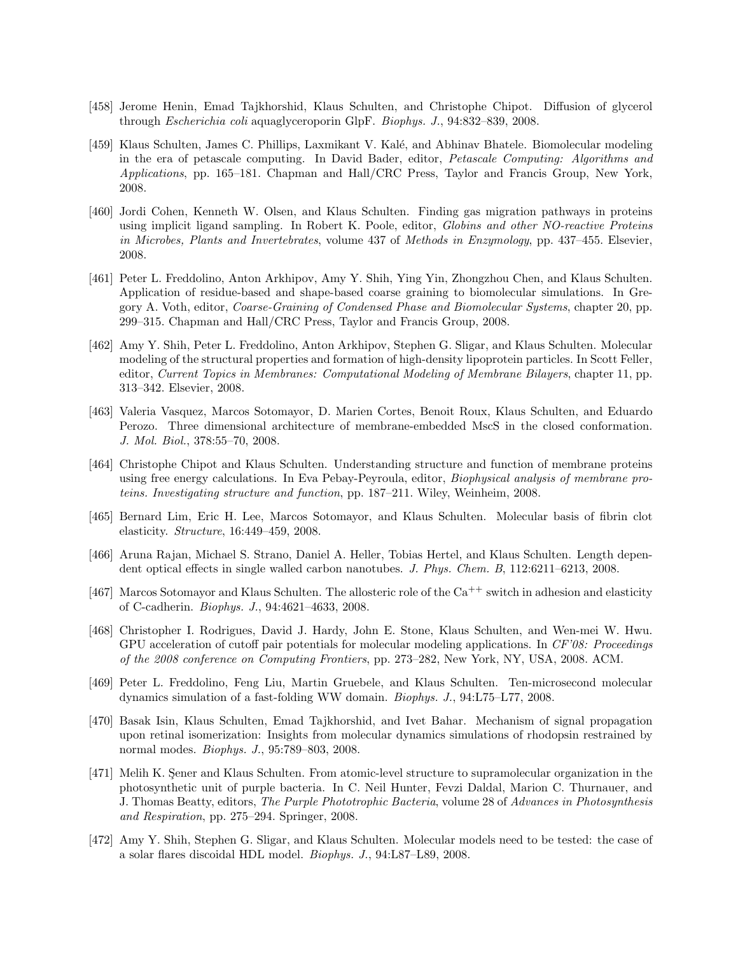- [458] Jerome Henin, Emad Tajkhorshid, Klaus Schulten, and Christophe Chipot. Diffusion of glycerol through Escherichia coli aquaglyceroporin GlpF. Biophys. J., 94:832–839, 2008.
- [459] Klaus Schulten, James C. Phillips, Laxmikant V. Kalé, and Abhinav Bhatele. Biomolecular modeling in the era of petascale computing. In David Bader, editor, Petascale Computing: Algorithms and Applications, pp. 165–181. Chapman and Hall/CRC Press, Taylor and Francis Group, New York, 2008.
- [460] Jordi Cohen, Kenneth W. Olsen, and Klaus Schulten. Finding gas migration pathways in proteins using implicit ligand sampling. In Robert K. Poole, editor, Globins and other NO-reactive Proteins in Microbes, Plants and Invertebrates, volume 437 of Methods in Enzymology, pp. 437–455. Elsevier, 2008.
- [461] Peter L. Freddolino, Anton Arkhipov, Amy Y. Shih, Ying Yin, Zhongzhou Chen, and Klaus Schulten. Application of residue-based and shape-based coarse graining to biomolecular simulations. In Gregory A. Voth, editor, Coarse-Graining of Condensed Phase and Biomolecular Systems, chapter 20, pp. 299–315. Chapman and Hall/CRC Press, Taylor and Francis Group, 2008.
- [462] Amy Y. Shih, Peter L. Freddolino, Anton Arkhipov, Stephen G. Sligar, and Klaus Schulten. Molecular modeling of the structural properties and formation of high-density lipoprotein particles. In Scott Feller, editor, Current Topics in Membranes: Computational Modeling of Membrane Bilayers, chapter 11, pp. 313–342. Elsevier, 2008.
- [463] Valeria Vasquez, Marcos Sotomayor, D. Marien Cortes, Benoit Roux, Klaus Schulten, and Eduardo Perozo. Three dimensional architecture of membrane-embedded MscS in the closed conformation. J. Mol. Biol., 378:55–70, 2008.
- [464] Christophe Chipot and Klaus Schulten. Understanding structure and function of membrane proteins using free energy calculations. In Eva Pebay-Peyroula, editor, Biophysical analysis of membrane proteins. Investigating structure and function, pp. 187–211. Wiley, Weinheim, 2008.
- [465] Bernard Lim, Eric H. Lee, Marcos Sotomayor, and Klaus Schulten. Molecular basis of fibrin clot elasticity. Structure, 16:449–459, 2008.
- [466] Aruna Rajan, Michael S. Strano, Daniel A. Heller, Tobias Hertel, and Klaus Schulten. Length dependent optical effects in single walled carbon nanotubes. J. Phys. Chem. B, 112:6211-6213, 2008.
- [467] Marcos Sotomayor and Klaus Schulten. The allosteric role of the  $Ca^{++}$  switch in adhesion and elasticity of C-cadherin. Biophys. J., 94:4621–4633, 2008.
- [468] Christopher I. Rodrigues, David J. Hardy, John E. Stone, Klaus Schulten, and Wen-mei W. Hwu. GPU acceleration of cutoff pair potentials for molecular modeling applications. In  $CF'08$ : Proceedings of the 2008 conference on Computing Frontiers, pp. 273–282, New York, NY, USA, 2008. ACM.
- [469] Peter L. Freddolino, Feng Liu, Martin Gruebele, and Klaus Schulten. Ten-microsecond molecular dynamics simulation of a fast-folding WW domain. Biophys. J., 94:L75–L77, 2008.
- [470] Basak Isin, Klaus Schulten, Emad Tajkhorshid, and Ivet Bahar. Mechanism of signal propagation upon retinal isomerization: Insights from molecular dynamics simulations of rhodopsin restrained by normal modes. Biophys. J., 95:789–803, 2008.
- [471] Melih K. Sener and Klaus Schulten. From atomic-level structure to supramolecular organization in the photosynthetic unit of purple bacteria. In C. Neil Hunter, Fevzi Daldal, Marion C. Thurnauer, and J. Thomas Beatty, editors, The Purple Phototrophic Bacteria, volume 28 of Advances in Photosynthesis and Respiration, pp. 275–294. Springer, 2008.
- [472] Amy Y. Shih, Stephen G. Sligar, and Klaus Schulten. Molecular models need to be tested: the case of a solar flares discoidal HDL model. Biophys. J., 94:L87–L89, 2008.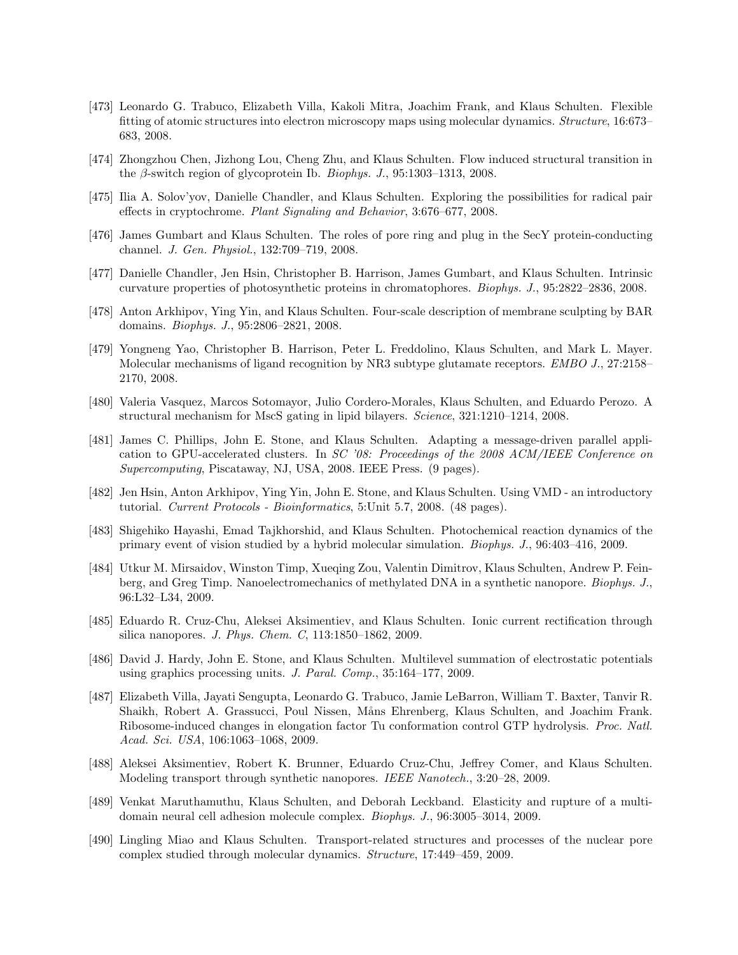- [473] Leonardo G. Trabuco, Elizabeth Villa, Kakoli Mitra, Joachim Frank, and Klaus Schulten. Flexible fitting of atomic structures into electron microscopy maps using molecular dynamics. Structure, 16:673– 683, 2008.
- [474] Zhongzhou Chen, Jizhong Lou, Cheng Zhu, and Klaus Schulten. Flow induced structural transition in the  $\beta$ -switch region of glycoprotein Ib. *Biophys. J.*, 95:1303–1313, 2008.
- [475] Ilia A. Solov'yov, Danielle Chandler, and Klaus Schulten. Exploring the possibilities for radical pair effects in cryptochrome. Plant Signaling and Behavior, 3:676–677, 2008.
- [476] James Gumbart and Klaus Schulten. The roles of pore ring and plug in the SecY protein-conducting channel. J. Gen. Physiol., 132:709–719, 2008.
- [477] Danielle Chandler, Jen Hsin, Christopher B. Harrison, James Gumbart, and Klaus Schulten. Intrinsic curvature properties of photosynthetic proteins in chromatophores. Biophys. J., 95:2822–2836, 2008.
- [478] Anton Arkhipov, Ying Yin, and Klaus Schulten. Four-scale description of membrane sculpting by BAR domains. Biophys. J., 95:2806–2821, 2008.
- [479] Yongneng Yao, Christopher B. Harrison, Peter L. Freddolino, Klaus Schulten, and Mark L. Mayer. Molecular mechanisms of ligand recognition by NR3 subtype glutamate receptors. *EMBO J.*, 27:2158– 2170, 2008.
- [480] Valeria Vasquez, Marcos Sotomayor, Julio Cordero-Morales, Klaus Schulten, and Eduardo Perozo. A structural mechanism for MscS gating in lipid bilayers. Science, 321:1210–1214, 2008.
- [481] James C. Phillips, John E. Stone, and Klaus Schulten. Adapting a message-driven parallel application to GPU-accelerated clusters. In SC '08: Proceedings of the 2008 ACM/IEEE Conference on Supercomputing, Piscataway, NJ, USA, 2008. IEEE Press. (9 pages).
- [482] Jen Hsin, Anton Arkhipov, Ying Yin, John E. Stone, and Klaus Schulten. Using VMD an introductory tutorial. Current Protocols - Bioinformatics, 5:Unit 5.7, 2008. (48 pages).
- [483] Shigehiko Hayashi, Emad Tajkhorshid, and Klaus Schulten. Photochemical reaction dynamics of the primary event of vision studied by a hybrid molecular simulation. Biophys. J., 96:403–416, 2009.
- [484] Utkur M. Mirsaidov, Winston Timp, Xueqing Zou, Valentin Dimitrov, Klaus Schulten, Andrew P. Feinberg, and Greg Timp. Nanoelectromechanics of methylated DNA in a synthetic nanopore. *Biophys. J.*, 96:L32–L34, 2009.
- [485] Eduardo R. Cruz-Chu, Aleksei Aksimentiev, and Klaus Schulten. Ionic current rectification through silica nanopores. J. Phys. Chem. C, 113:1850–1862, 2009.
- [486] David J. Hardy, John E. Stone, and Klaus Schulten. Multilevel summation of electrostatic potentials using graphics processing units. J. Paral. Comp., 35:164–177, 2009.
- [487] Elizabeth Villa, Jayati Sengupta, Leonardo G. Trabuco, Jamie LeBarron, William T. Baxter, Tanvir R. Shaikh, Robert A. Grassucci, Poul Nissen, M˚ans Ehrenberg, Klaus Schulten, and Joachim Frank. Ribosome-induced changes in elongation factor Tu conformation control GTP hydrolysis. Proc. Natl. Acad. Sci. USA, 106:1063–1068, 2009.
- [488] Aleksei Aksimentiev, Robert K. Brunner, Eduardo Cruz-Chu, Jeffrey Comer, and Klaus Schulten. Modeling transport through synthetic nanopores. IEEE Nanotech., 3:20–28, 2009.
- [489] Venkat Maruthamuthu, Klaus Schulten, and Deborah Leckband. Elasticity and rupture of a multidomain neural cell adhesion molecule complex. Biophys. J., 96:3005–3014, 2009.
- [490] Lingling Miao and Klaus Schulten. Transport-related structures and processes of the nuclear pore complex studied through molecular dynamics. Structure, 17:449–459, 2009.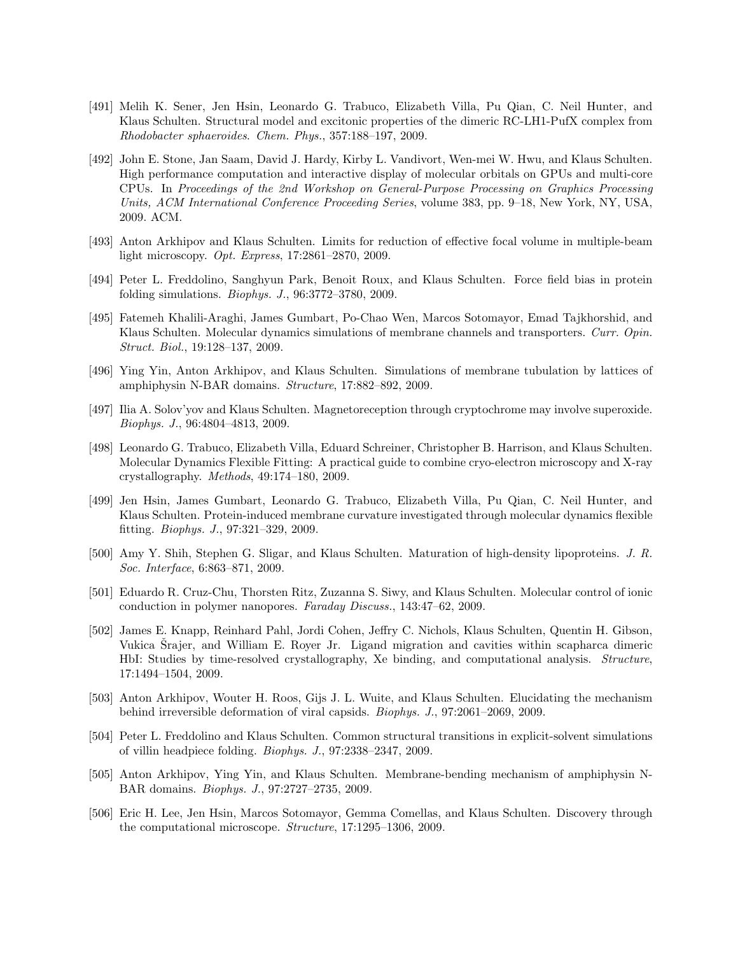- [491] Melih K. Sener, Jen Hsin, Leonardo G. Trabuco, Elizabeth Villa, Pu Qian, C. Neil Hunter, and Klaus Schulten. Structural model and excitonic properties of the dimeric RC-LH1-PufX complex from Rhodobacter sphaeroides. Chem. Phys., 357:188–197, 2009.
- [492] John E. Stone, Jan Saam, David J. Hardy, Kirby L. Vandivort, Wen-mei W. Hwu, and Klaus Schulten. High performance computation and interactive display of molecular orbitals on GPUs and multi-core CPUs. In Proceedings of the 2nd Workshop on General-Purpose Processing on Graphics Processing Units, ACM International Conference Proceeding Series, volume 383, pp. 9–18, New York, NY, USA, 2009. ACM.
- [493] Anton Arkhipov and Klaus Schulten. Limits for reduction of effective focal volume in multiple-beam light microscopy. Opt. Express, 17:2861–2870, 2009.
- [494] Peter L. Freddolino, Sanghyun Park, Benoit Roux, and Klaus Schulten. Force field bias in protein folding simulations. Biophys. J., 96:3772–3780, 2009.
- [495] Fatemeh Khalili-Araghi, James Gumbart, Po-Chao Wen, Marcos Sotomayor, Emad Tajkhorshid, and Klaus Schulten. Molecular dynamics simulations of membrane channels and transporters. Curr. Opin. Struct. Biol., 19:128–137, 2009.
- [496] Ying Yin, Anton Arkhipov, and Klaus Schulten. Simulations of membrane tubulation by lattices of amphiphysin N-BAR domains. Structure, 17:882–892, 2009.
- [497] Ilia A. Solov'yov and Klaus Schulten. Magnetoreception through cryptochrome may involve superoxide. Biophys. J., 96:4804–4813, 2009.
- [498] Leonardo G. Trabuco, Elizabeth Villa, Eduard Schreiner, Christopher B. Harrison, and Klaus Schulten. Molecular Dynamics Flexible Fitting: A practical guide to combine cryo-electron microscopy and X-ray crystallography. Methods, 49:174–180, 2009.
- [499] Jen Hsin, James Gumbart, Leonardo G. Trabuco, Elizabeth Villa, Pu Qian, C. Neil Hunter, and Klaus Schulten. Protein-induced membrane curvature investigated through molecular dynamics flexible fitting. Biophys. J., 97:321–329, 2009.
- [500] Amy Y. Shih, Stephen G. Sligar, and Klaus Schulten. Maturation of high-density lipoproteins. J. R. Soc. Interface, 6:863–871, 2009.
- [501] Eduardo R. Cruz-Chu, Thorsten Ritz, Zuzanna S. Siwy, and Klaus Schulten. Molecular control of ionic conduction in polymer nanopores. Faraday Discuss., 143:47–62, 2009.
- [502] James E. Knapp, Reinhard Pahl, Jordi Cohen, Jeffry C. Nichols, Klaus Schulten, Quentin H. Gibson, Vukica Srajer, and William E. Royer Jr. Ligand migration and cavities within scapharca dimeric HbI: Studies by time-resolved crystallography, Xe binding, and computational analysis. Structure, 17:1494–1504, 2009.
- [503] Anton Arkhipov, Wouter H. Roos, Gijs J. L. Wuite, and Klaus Schulten. Elucidating the mechanism behind irreversible deformation of viral capsids. Biophys. J., 97:2061–2069, 2009.
- [504] Peter L. Freddolino and Klaus Schulten. Common structural transitions in explicit-solvent simulations of villin headpiece folding. Biophys. J., 97:2338–2347, 2009.
- [505] Anton Arkhipov, Ying Yin, and Klaus Schulten. Membrane-bending mechanism of amphiphysin N-BAR domains. Biophys. J., 97:2727–2735, 2009.
- [506] Eric H. Lee, Jen Hsin, Marcos Sotomayor, Gemma Comellas, and Klaus Schulten. Discovery through the computational microscope. Structure, 17:1295–1306, 2009.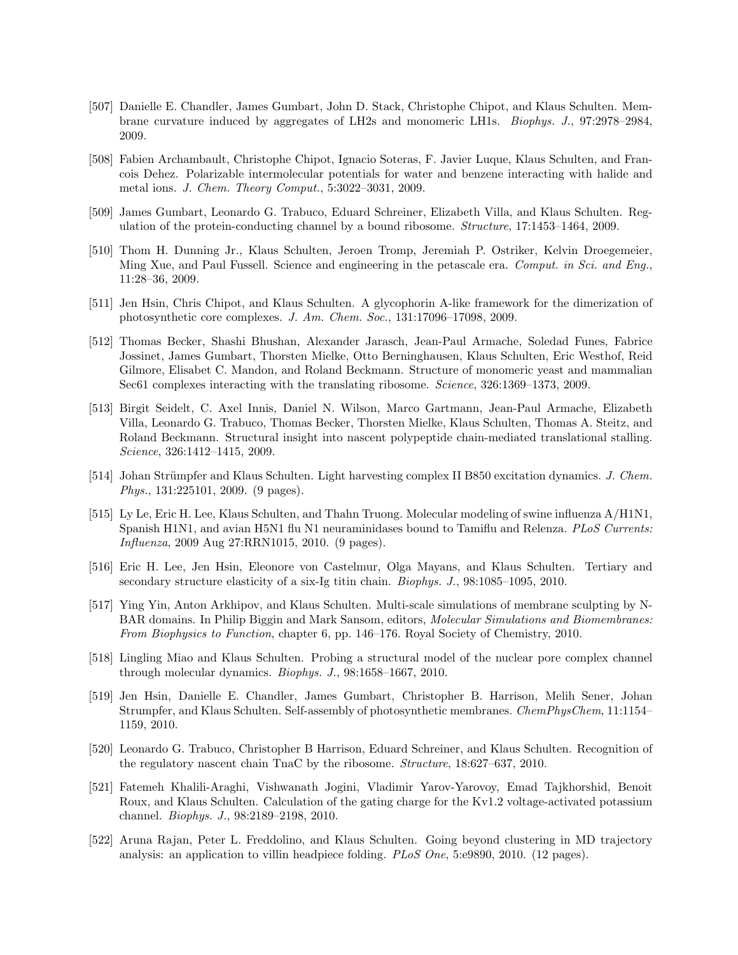- [507] Danielle E. Chandler, James Gumbart, John D. Stack, Christophe Chipot, and Klaus Schulten. Membrane curvature induced by aggregates of LH2s and monomeric LH1s. Biophys. J., 97:2978–2984, 2009.
- [508] Fabien Archambault, Christophe Chipot, Ignacio Soteras, F. Javier Luque, Klaus Schulten, and Francois Dehez. Polarizable intermolecular potentials for water and benzene interacting with halide and metal ions. J. Chem. Theory Comput., 5:3022–3031, 2009.
- [509] James Gumbart, Leonardo G. Trabuco, Eduard Schreiner, Elizabeth Villa, and Klaus Schulten. Regulation of the protein-conducting channel by a bound ribosome. Structure, 17:1453–1464, 2009.
- [510] Thom H. Dunning Jr., Klaus Schulten, Jeroen Tromp, Jeremiah P. Ostriker, Kelvin Droegemeier, Ming Xue, and Paul Fussell. Science and engineering in the petascale era. Comput. in Sci. and Eng., 11:28–36, 2009.
- [511] Jen Hsin, Chris Chipot, and Klaus Schulten. A glycophorin A-like framework for the dimerization of photosynthetic core complexes. J. Am. Chem. Soc., 131:17096–17098, 2009.
- [512] Thomas Becker, Shashi Bhushan, Alexander Jarasch, Jean-Paul Armache, Soledad Funes, Fabrice Jossinet, James Gumbart, Thorsten Mielke, Otto Berninghausen, Klaus Schulten, Eric Westhof, Reid Gilmore, Elisabet C. Mandon, and Roland Beckmann. Structure of monomeric yeast and mammalian Sec61 complexes interacting with the translating ribosome. Science, 326:1369–1373, 2009.
- [513] Birgit Seidelt, C. Axel Innis, Daniel N. Wilson, Marco Gartmann, Jean-Paul Armache, Elizabeth Villa, Leonardo G. Trabuco, Thomas Becker, Thorsten Mielke, Klaus Schulten, Thomas A. Steitz, and Roland Beckmann. Structural insight into nascent polypeptide chain-mediated translational stalling. Science, 326:1412–1415, 2009.
- [514] Johan Strümpfer and Klaus Schulten. Light harvesting complex II B850 excitation dynamics. J. Chem. Phys., 131:225101, 2009. (9 pages).
- [515] Ly Le, Eric H. Lee, Klaus Schulten, and Thahn Truong. Molecular modeling of swine influenza A/H1N1, Spanish H1N1, and avian H5N1 flu N1 neuraminidases bound to Tamiflu and Relenza. PLoS Currents: Influenza, 2009 Aug 27:RRN1015, 2010. (9 pages).
- [516] Eric H. Lee, Jen Hsin, Eleonore von Castelmur, Olga Mayans, and Klaus Schulten. Tertiary and secondary structure elasticity of a six-Ig titin chain. Biophys. J., 98:1085–1095, 2010.
- [517] Ying Yin, Anton Arkhipov, and Klaus Schulten. Multi-scale simulations of membrane sculpting by N-BAR domains. In Philip Biggin and Mark Sansom, editors, Molecular Simulations and Biomembranes: From Biophysics to Function, chapter 6, pp. 146–176. Royal Society of Chemistry, 2010.
- [518] Lingling Miao and Klaus Schulten. Probing a structural model of the nuclear pore complex channel through molecular dynamics. Biophys. J., 98:1658–1667, 2010.
- [519] Jen Hsin, Danielle E. Chandler, James Gumbart, Christopher B. Harrison, Melih Sener, Johan Strumpfer, and Klaus Schulten. Self-assembly of photosynthetic membranes. ChemPhysChem, 11:1154– 1159, 2010.
- [520] Leonardo G. Trabuco, Christopher B Harrison, Eduard Schreiner, and Klaus Schulten. Recognition of the regulatory nascent chain TnaC by the ribosome. Structure, 18:627–637, 2010.
- [521] Fatemeh Khalili-Araghi, Vishwanath Jogini, Vladimir Yarov-Yarovoy, Emad Tajkhorshid, Benoit Roux, and Klaus Schulten. Calculation of the gating charge for the Kv1.2 voltage-activated potassium channel. Biophys. J., 98:2189–2198, 2010.
- [522] Aruna Rajan, Peter L. Freddolino, and Klaus Schulten. Going beyond clustering in MD trajectory analysis: an application to villin headpiece folding. PLoS One, 5:e9890, 2010. (12 pages).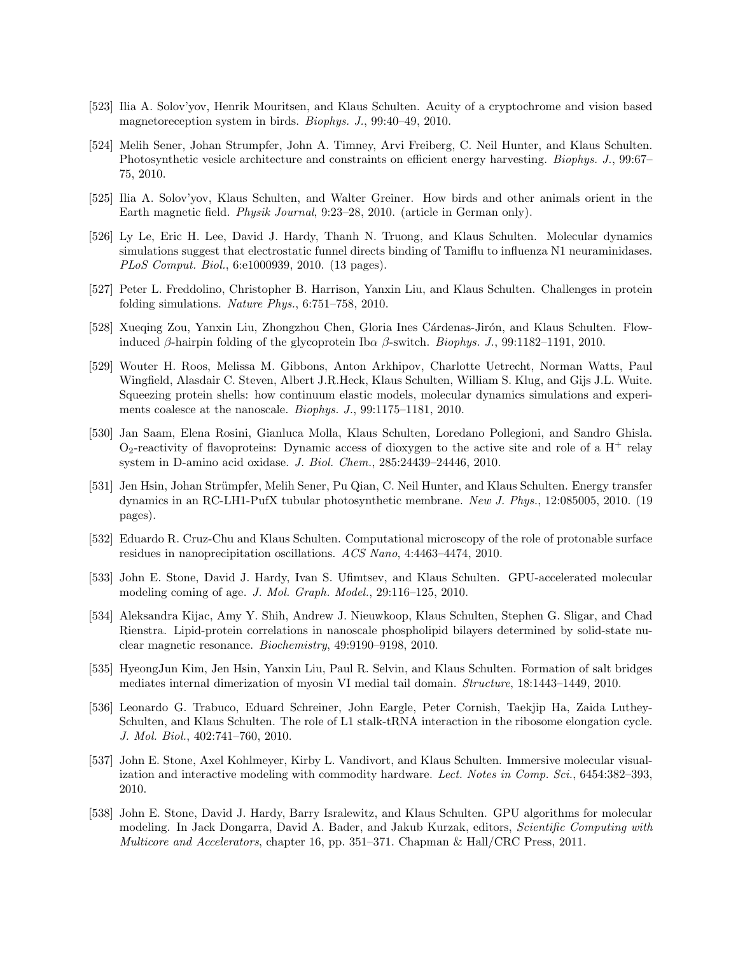- [523] Ilia A. Solov'yov, Henrik Mouritsen, and Klaus Schulten. Acuity of a cryptochrome and vision based magnetoreception system in birds. Biophys. J., 99:40–49, 2010.
- [524] Melih Sener, Johan Strumpfer, John A. Timney, Arvi Freiberg, C. Neil Hunter, and Klaus Schulten. Photosynthetic vesicle architecture and constraints on efficient energy harvesting. Biophys. J., 99:67– 75, 2010.
- [525] Ilia A. Solov'yov, Klaus Schulten, and Walter Greiner. How birds and other animals orient in the Earth magnetic field. Physik Journal, 9:23–28, 2010. (article in German only).
- [526] Ly Le, Eric H. Lee, David J. Hardy, Thanh N. Truong, and Klaus Schulten. Molecular dynamics simulations suggest that electrostatic funnel directs binding of Tamiflu to influenza N1 neuraminidases. PLoS Comput. Biol., 6:e1000939, 2010. (13 pages).
- [527] Peter L. Freddolino, Christopher B. Harrison, Yanxin Liu, and Klaus Schulten. Challenges in protein folding simulations. Nature Phys., 6:751–758, 2010.
- [528] Xueqing Zou, Yanxin Liu, Zhongzhou Chen, Gloria Ines Cárdenas-Jirón, and Klaus Schulten. Flowinduced β-hairpin folding of the glycoprotein Ib $\alpha$  β-switch. Biophys. J., 99:1182–1191, 2010.
- [529] Wouter H. Roos, Melissa M. Gibbons, Anton Arkhipov, Charlotte Uetrecht, Norman Watts, Paul Wingfield, Alasdair C. Steven, Albert J.R.Heck, Klaus Schulten, William S. Klug, and Gijs J.L. Wuite. Squeezing protein shells: how continuum elastic models, molecular dynamics simulations and experiments coalesce at the nanoscale. Biophys. J., 99:1175–1181, 2010.
- [530] Jan Saam, Elena Rosini, Gianluca Molla, Klaus Schulten, Loredano Pollegioni, and Sandro Ghisla.  $O_2$ -reactivity of flavoproteins: Dynamic access of dioxygen to the active site and role of a H<sup>+</sup> relay system in D-amino acid oxidase. J. Biol. Chem., 285:24439–24446, 2010.
- [531] Jen Hsin, Johan Strümpfer, Melih Sener, Pu Qian, C. Neil Hunter, and Klaus Schulten. Energy transfer dynamics in an RC-LH1-PufX tubular photosynthetic membrane. New J. Phys., 12:085005, 2010. (19 pages).
- [532] Eduardo R. Cruz-Chu and Klaus Schulten. Computational microscopy of the role of protonable surface residues in nanoprecipitation oscillations. ACS Nano, 4:4463–4474, 2010.
- [533] John E. Stone, David J. Hardy, Ivan S. Ufimtsev, and Klaus Schulten. GPU-accelerated molecular modeling coming of age. J. Mol. Graph. Model., 29:116–125, 2010.
- [534] Aleksandra Kijac, Amy Y. Shih, Andrew J. Nieuwkoop, Klaus Schulten, Stephen G. Sligar, and Chad Rienstra. Lipid-protein correlations in nanoscale phospholipid bilayers determined by solid-state nuclear magnetic resonance. Biochemistry, 49:9190–9198, 2010.
- [535] HyeongJun Kim, Jen Hsin, Yanxin Liu, Paul R. Selvin, and Klaus Schulten. Formation of salt bridges mediates internal dimerization of myosin VI medial tail domain. Structure, 18:1443–1449, 2010.
- [536] Leonardo G. Trabuco, Eduard Schreiner, John Eargle, Peter Cornish, Taekjip Ha, Zaida Luthey-Schulten, and Klaus Schulten. The role of L1 stalk-tRNA interaction in the ribosome elongation cycle. J. Mol. Biol., 402:741–760, 2010.
- [537] John E. Stone, Axel Kohlmeyer, Kirby L. Vandivort, and Klaus Schulten. Immersive molecular visualization and interactive modeling with commodity hardware. Lect. Notes in Comp. Sci., 6454:382-393, 2010.
- [538] John E. Stone, David J. Hardy, Barry Isralewitz, and Klaus Schulten. GPU algorithms for molecular modeling. In Jack Dongarra, David A. Bader, and Jakub Kurzak, editors, Scientific Computing with Multicore and Accelerators, chapter 16, pp. 351–371. Chapman & Hall/CRC Press, 2011.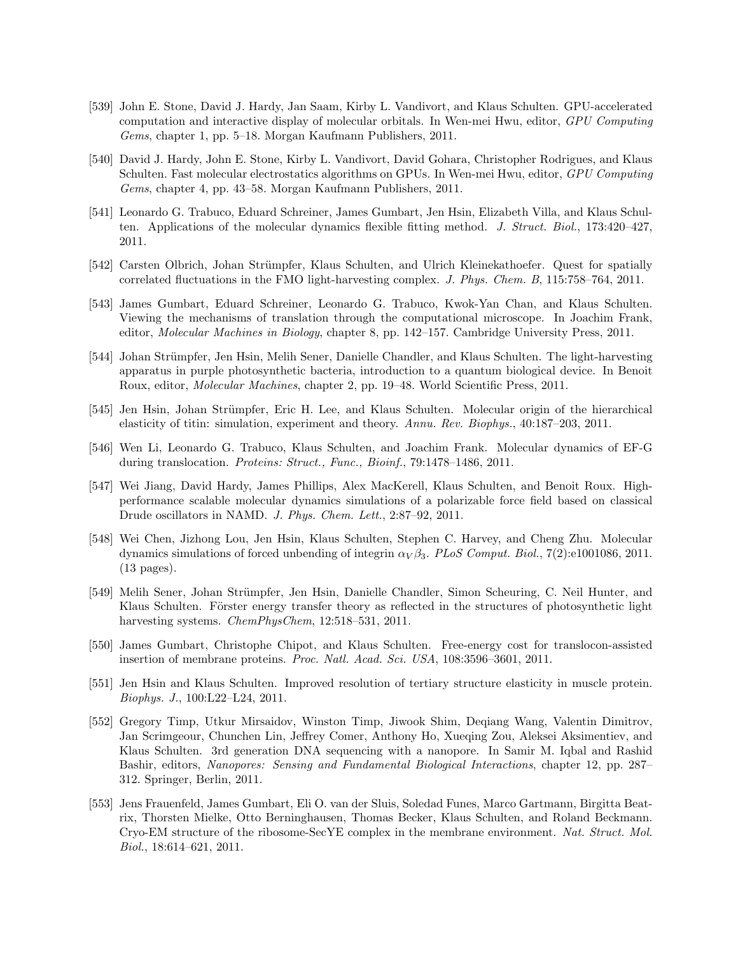- [539] John E. Stone, David J. Hardy, Jan Saam, Kirby L. Vandivort, and Klaus Schulten. GPU-accelerated computation and interactive display of molecular orbitals. In Wen-mei Hwu, editor, GPU Computing Gems, chapter 1, pp. 5–18. Morgan Kaufmann Publishers, 2011.
- [540] David J. Hardy, John E. Stone, Kirby L. Vandivort, David Gohara, Christopher Rodrigues, and Klaus Schulten. Fast molecular electrostatics algorithms on GPUs. In Wen-mei Hwu, editor, GPU Computing Gems, chapter 4, pp. 43–58. Morgan Kaufmann Publishers, 2011.
- [541] Leonardo G. Trabuco, Eduard Schreiner, James Gumbart, Jen Hsin, Elizabeth Villa, and Klaus Schulten. Applications of the molecular dynamics flexible fitting method. J. Struct. Biol., 173:420–427, 2011.
- [542] Carsten Olbrich, Johan Strümpfer, Klaus Schulten, and Ulrich Kleinekathoefer. Quest for spatially correlated fluctuations in the FMO light-harvesting complex. J. Phys. Chem. B, 115:758–764, 2011.
- [543] James Gumbart, Eduard Schreiner, Leonardo G. Trabuco, Kwok-Yan Chan, and Klaus Schulten. Viewing the mechanisms of translation through the computational microscope. In Joachim Frank, editor, Molecular Machines in Biology, chapter 8, pp. 142–157. Cambridge University Press, 2011.
- [544] Johan Strümpfer, Jen Hsin, Melih Sener, Danielle Chandler, and Klaus Schulten. The light-harvesting apparatus in purple photosynthetic bacteria, introduction to a quantum biological device. In Benoit Roux, editor, Molecular Machines, chapter 2, pp. 19–48. World Scientific Press, 2011.
- [545] Jen Hsin, Johan Strümpfer, Eric H. Lee, and Klaus Schulten. Molecular origin of the hierarchical elasticity of titin: simulation, experiment and theory. Annu. Rev. Biophys., 40:187–203, 2011.
- [546] Wen Li, Leonardo G. Trabuco, Klaus Schulten, and Joachim Frank. Molecular dynamics of EF-G during translocation. Proteins: Struct., Func., Bioinf., 79:1478–1486, 2011.
- [547] Wei Jiang, David Hardy, James Phillips, Alex MacKerell, Klaus Schulten, and Benoit Roux. Highperformance scalable molecular dynamics simulations of a polarizable force field based on classical Drude oscillators in NAMD. J. Phys. Chem. Lett., 2:87–92, 2011.
- [548] Wei Chen, Jizhong Lou, Jen Hsin, Klaus Schulten, Stephen C. Harvey, and Cheng Zhu. Molecular dynamics simulations of forced unbending of integrin  $\alpha_V \beta_3$ . PLoS Comput. Biol., 7(2):e1001086, 2011. (13 pages).
- [549] Melih Sener, Johan Strümpfer, Jen Hsin, Danielle Chandler, Simon Scheuring, C. Neil Hunter, and Klaus Schulten. Förster energy transfer theory as reflected in the structures of photosynthetic light harvesting systems. *ChemPhysChem*, 12:518–531, 2011.
- [550] James Gumbart, Christophe Chipot, and Klaus Schulten. Free-energy cost for translocon-assisted insertion of membrane proteins. Proc. Natl. Acad. Sci. USA, 108:3596–3601, 2011.
- [551] Jen Hsin and Klaus Schulten. Improved resolution of tertiary structure elasticity in muscle protein. Biophys. J., 100:L22–L24, 2011.
- [552] Gregory Timp, Utkur Mirsaidov, Winston Timp, Jiwook Shim, Deqiang Wang, Valentin Dimitrov, Jan Scrimgeour, Chunchen Lin, Jeffrey Comer, Anthony Ho, Xueqing Zou, Aleksei Aksimentiev, and Klaus Schulten. 3rd generation DNA sequencing with a nanopore. In Samir M. Iqbal and Rashid Bashir, editors, Nanopores: Sensing and Fundamental Biological Interactions, chapter 12, pp. 287– 312. Springer, Berlin, 2011.
- [553] Jens Frauenfeld, James Gumbart, Eli O. van der Sluis, Soledad Funes, Marco Gartmann, Birgitta Beatrix, Thorsten Mielke, Otto Berninghausen, Thomas Becker, Klaus Schulten, and Roland Beckmann. Cryo-EM structure of the ribosome-SecYE complex in the membrane environment. Nat. Struct. Mol. Biol., 18:614–621, 2011.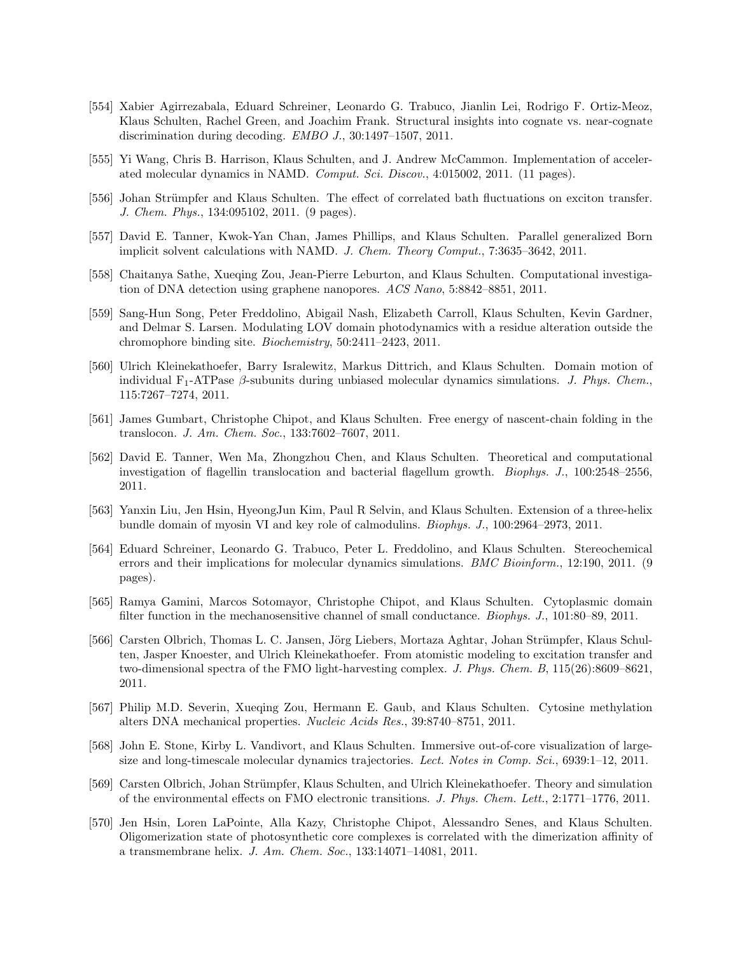- [554] Xabier Agirrezabala, Eduard Schreiner, Leonardo G. Trabuco, Jianlin Lei, Rodrigo F. Ortiz-Meoz, Klaus Schulten, Rachel Green, and Joachim Frank. Structural insights into cognate vs. near-cognate discrimination during decoding. EMBO J., 30:1497–1507, 2011.
- [555] Yi Wang, Chris B. Harrison, Klaus Schulten, and J. Andrew McCammon. Implementation of accelerated molecular dynamics in NAMD. Comput. Sci. Discov., 4:015002, 2011. (11 pages).
- [556] Johan Strümpfer and Klaus Schulten. The effect of correlated bath fluctuations on exciton transfer. J. Chem. Phys., 134:095102, 2011. (9 pages).
- [557] David E. Tanner, Kwok-Yan Chan, James Phillips, and Klaus Schulten. Parallel generalized Born implicit solvent calculations with NAMD. J. Chem. Theory Comput., 7:3635–3642, 2011.
- [558] Chaitanya Sathe, Xueqing Zou, Jean-Pierre Leburton, and Klaus Schulten. Computational investigation of DNA detection using graphene nanopores. ACS Nano, 5:8842–8851, 2011.
- [559] Sang-Hun Song, Peter Freddolino, Abigail Nash, Elizabeth Carroll, Klaus Schulten, Kevin Gardner, and Delmar S. Larsen. Modulating LOV domain photodynamics with a residue alteration outside the chromophore binding site. Biochemistry, 50:2411–2423, 2011.
- [560] Ulrich Kleinekathoefer, Barry Isralewitz, Markus Dittrich, and Klaus Schulten. Domain motion of individual  $F_1$ -ATPase  $\beta$ -subunits during unbiased molecular dynamics simulations. J. Phys. Chem., 115:7267–7274, 2011.
- [561] James Gumbart, Christophe Chipot, and Klaus Schulten. Free energy of nascent-chain folding in the translocon. J. Am. Chem. Soc., 133:7602–7607, 2011.
- [562] David E. Tanner, Wen Ma, Zhongzhou Chen, and Klaus Schulten. Theoretical and computational investigation of flagellin translocation and bacterial flagellum growth. Biophys. J., 100:2548–2556, 2011.
- [563] Yanxin Liu, Jen Hsin, HyeongJun Kim, Paul R Selvin, and Klaus Schulten. Extension of a three-helix bundle domain of myosin VI and key role of calmodulins. Biophys. J., 100:2964–2973, 2011.
- [564] Eduard Schreiner, Leonardo G. Trabuco, Peter L. Freddolino, and Klaus Schulten. Stereochemical errors and their implications for molecular dynamics simulations. BMC Bioinform., 12:190, 2011. (9 pages).
- [565] Ramya Gamini, Marcos Sotomayor, Christophe Chipot, and Klaus Schulten. Cytoplasmic domain filter function in the mechanosensitive channel of small conductance. Biophys. J., 101:80–89, 2011.
- [566] Carsten Olbrich, Thomas L. C. Jansen, Jörg Liebers, Mortaza Aghtar, Johan Strümpfer, Klaus Schulten, Jasper Knoester, and Ulrich Kleinekathoefer. From atomistic modeling to excitation transfer and two-dimensional spectra of the FMO light-harvesting complex. J. Phys. Chem. B, 115(26):8609–8621, 2011.
- [567] Philip M.D. Severin, Xueqing Zou, Hermann E. Gaub, and Klaus Schulten. Cytosine methylation alters DNA mechanical properties. Nucleic Acids Res., 39:8740–8751, 2011.
- [568] John E. Stone, Kirby L. Vandivort, and Klaus Schulten. Immersive out-of-core visualization of largesize and long-timescale molecular dynamics trajectories. Lect. Notes in Comp. Sci., 6939:1–12, 2011.
- [569] Carsten Olbrich, Johan Strümpfer, Klaus Schulten, and Ulrich Kleinekathoefer. Theory and simulation of the environmental effects on FMO electronic transitions. J. Phys. Chem. Lett., 2:1771–1776, 2011.
- [570] Jen Hsin, Loren LaPointe, Alla Kazy, Christophe Chipot, Alessandro Senes, and Klaus Schulten. Oligomerization state of photosynthetic core complexes is correlated with the dimerization affinity of a transmembrane helix. J. Am. Chem. Soc., 133:14071–14081, 2011.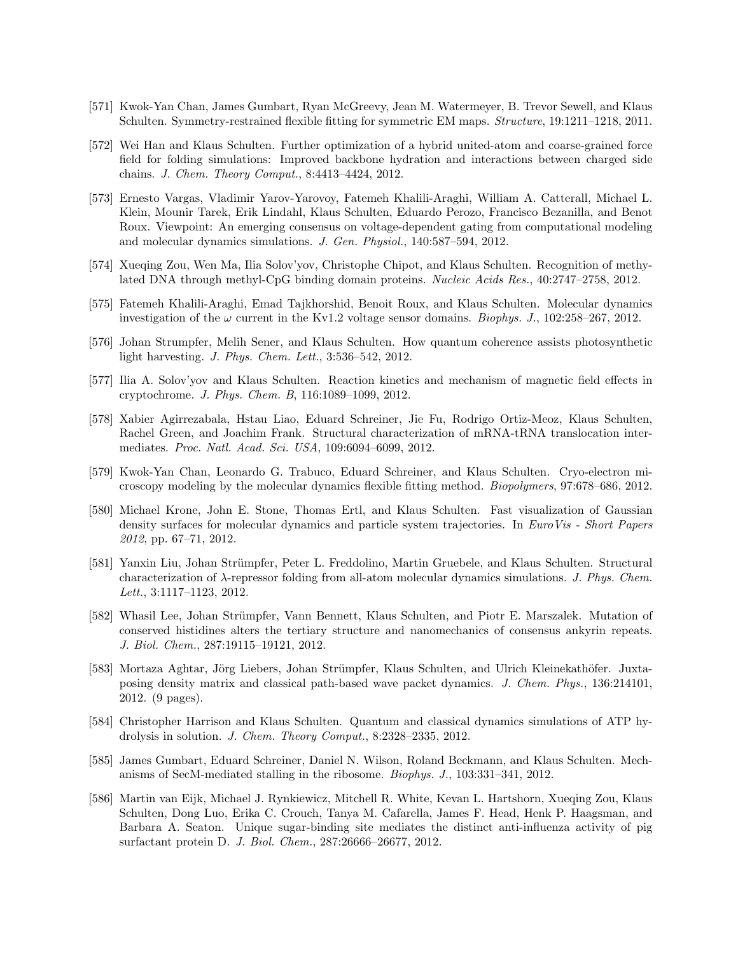- [571] Kwok-Yan Chan, James Gumbart, Ryan McGreevy, Jean M. Watermeyer, B. Trevor Sewell, and Klaus Schulten. Symmetry-restrained flexible fitting for symmetric EM maps. Structure, 19:1211–1218, 2011.
- [572] Wei Han and Klaus Schulten. Further optimization of a hybrid united-atom and coarse-grained force field for folding simulations: Improved backbone hydration and interactions between charged side chains. J. Chem. Theory Comput., 8:4413–4424, 2012.
- [573] Ernesto Vargas, Vladimir Yarov-Yarovoy, Fatemeh Khalili-Araghi, William A. Catterall, Michael L. Klein, Mounir Tarek, Erik Lindahl, Klaus Schulten, Eduardo Perozo, Francisco Bezanilla, and Benot Roux. Viewpoint: An emerging consensus on voltage-dependent gating from computational modeling and molecular dynamics simulations. J. Gen. Physiol., 140:587–594, 2012.
- [574] Xueqing Zou, Wen Ma, Ilia Solov'yov, Christophe Chipot, and Klaus Schulten. Recognition of methylated DNA through methyl-CpG binding domain proteins. Nucleic Acids Res., 40:2747–2758, 2012.
- [575] Fatemeh Khalili-Araghi, Emad Tajkhorshid, Benoit Roux, and Klaus Schulten. Molecular dynamics investigation of the  $\omega$  current in the Kv1.2 voltage sensor domains. *Biophys. J.*, 102:258–267, 2012.
- [576] Johan Strumpfer, Melih Sener, and Klaus Schulten. How quantum coherence assists photosynthetic light harvesting. J. Phys. Chem. Lett., 3:536–542, 2012.
- [577] Ilia A. Solov'yov and Klaus Schulten. Reaction kinetics and mechanism of magnetic field effects in cryptochrome. J. Phys. Chem. B, 116:1089–1099, 2012.
- [578] Xabier Agirrezabala, Hstau Liao, Eduard Schreiner, Jie Fu, Rodrigo Ortiz-Meoz, Klaus Schulten, Rachel Green, and Joachim Frank. Structural characterization of mRNA-tRNA translocation intermediates. Proc. Natl. Acad. Sci. USA, 109:6094–6099, 2012.
- [579] Kwok-Yan Chan, Leonardo G. Trabuco, Eduard Schreiner, and Klaus Schulten. Cryo-electron microscopy modeling by the molecular dynamics flexible fitting method. Biopolymers, 97:678–686, 2012.
- [580] Michael Krone, John E. Stone, Thomas Ertl, and Klaus Schulten. Fast visualization of Gaussian density surfaces for molecular dynamics and particle system trajectories. In EuroVis - Short Papers 2012, pp. 67–71, 2012.
- [581] Yanxin Liu, Johan Strümpfer, Peter L. Freddolino, Martin Gruebele, and Klaus Schulten. Structural characterization of  $\lambda$ -repressor folding from all-atom molecular dynamics simulations. J. Phys. Chem. Lett., 3:1117–1123, 2012.
- [582] Whasil Lee, Johan Strümpfer, Vann Bennett, Klaus Schulten, and Piotr E. Marszalek. Mutation of conserved histidines alters the tertiary structure and nanomechanics of consensus ankyrin repeats. J. Biol. Chem., 287:19115–19121, 2012.
- [583] Mortaza Aghtar, Jörg Liebers, Johan Strümpfer, Klaus Schulten, and Ulrich Kleinekathöfer. Juxtaposing density matrix and classical path-based wave packet dynamics. J. Chem. Phys., 136:214101, 2012. (9 pages).
- [584] Christopher Harrison and Klaus Schulten. Quantum and classical dynamics simulations of ATP hydrolysis in solution. J. Chem. Theory Comput., 8:2328–2335, 2012.
- [585] James Gumbart, Eduard Schreiner, Daniel N. Wilson, Roland Beckmann, and Klaus Schulten. Mechanisms of SecM-mediated stalling in the ribosome. Biophys. J., 103:331–341, 2012.
- [586] Martin van Eijk, Michael J. Rynkiewicz, Mitchell R. White, Kevan L. Hartshorn, Xueqing Zou, Klaus Schulten, Dong Luo, Erika C. Crouch, Tanya M. Cafarella, James F. Head, Henk P. Haagsman, and Barbara A. Seaton. Unique sugar-binding site mediates the distinct anti-influenza activity of pig surfactant protein D. J. Biol. Chem., 287:26666–26677, 2012.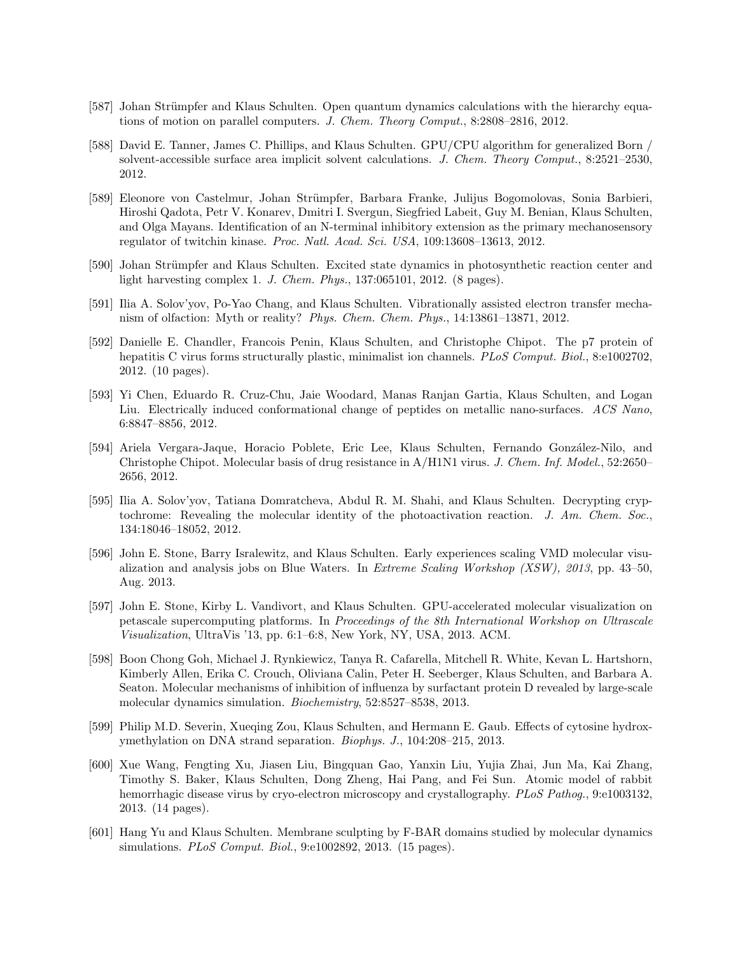- [587] Johan Strümpfer and Klaus Schulten. Open quantum dynamics calculations with the hierarchy equations of motion on parallel computers. J. Chem. Theory Comput., 8:2808–2816, 2012.
- [588] David E. Tanner, James C. Phillips, and Klaus Schulten. GPU/CPU algorithm for generalized Born / solvent-accessible surface area implicit solvent calculations. J. Chem. Theory Comput., 8:2521–2530, 2012.
- [589] Eleonore von Castelmur, Johan Strümpfer, Barbara Franke, Julijus Bogomolovas, Sonia Barbieri, Hiroshi Qadota, Petr V. Konarev, Dmitri I. Svergun, Siegfried Labeit, Guy M. Benian, Klaus Schulten, and Olga Mayans. Identification of an N-terminal inhibitory extension as the primary mechanosensory regulator of twitchin kinase. Proc. Natl. Acad. Sci. USA, 109:13608–13613, 2012.
- [590] Johan Strümpfer and Klaus Schulten. Excited state dynamics in photosynthetic reaction center and light harvesting complex 1. J. Chem. Phys., 137:065101, 2012. (8 pages).
- [591] Ilia A. Solov'yov, Po-Yao Chang, and Klaus Schulten. Vibrationally assisted electron transfer mechanism of olfaction: Myth or reality? Phys. Chem. Chem. Phys., 14:13861–13871, 2012.
- [592] Danielle E. Chandler, Francois Penin, Klaus Schulten, and Christophe Chipot. The p7 protein of hepatitis C virus forms structurally plastic, minimalist ion channels. PLoS Comput. Biol., 8:e1002702, 2012. (10 pages).
- [593] Yi Chen, Eduardo R. Cruz-Chu, Jaie Woodard, Manas Ranjan Gartia, Klaus Schulten, and Logan Liu. Electrically induced conformational change of peptides on metallic nano-surfaces. ACS Nano, 6:8847–8856, 2012.
- [594] Ariela Vergara-Jaque, Horacio Poblete, Eric Lee, Klaus Schulten, Fernando Gonz´alez-Nilo, and Christophe Chipot. Molecular basis of drug resistance in A/H1N1 virus. J. Chem. Inf. Model., 52:2650– 2656, 2012.
- [595] Ilia A. Solov'yov, Tatiana Domratcheva, Abdul R. M. Shahi, and Klaus Schulten. Decrypting cryptochrome: Revealing the molecular identity of the photoactivation reaction. J. Am. Chem. Soc., 134:18046–18052, 2012.
- [596] John E. Stone, Barry Isralewitz, and Klaus Schulten. Early experiences scaling VMD molecular visualization and analysis jobs on Blue Waters. In Extreme Scaling Workshop (XSW), 2013, pp. 43–50, Aug. 2013.
- [597] John E. Stone, Kirby L. Vandivort, and Klaus Schulten. GPU-accelerated molecular visualization on petascale supercomputing platforms. In Proceedings of the 8th International Workshop on Ultrascale Visualization, UltraVis '13, pp. 6:1–6:8, New York, NY, USA, 2013. ACM.
- [598] Boon Chong Goh, Michael J. Rynkiewicz, Tanya R. Cafarella, Mitchell R. White, Kevan L. Hartshorn, Kimberly Allen, Erika C. Crouch, Oliviana Calin, Peter H. Seeberger, Klaus Schulten, and Barbara A. Seaton. Molecular mechanisms of inhibition of influenza by surfactant protein D revealed by large-scale molecular dynamics simulation. Biochemistry, 52:8527–8538, 2013.
- [599] Philip M.D. Severin, Xueqing Zou, Klaus Schulten, and Hermann E. Gaub. Effects of cytosine hydroxymethylation on DNA strand separation. Biophys. J., 104:208–215, 2013.
- [600] Xue Wang, Fengting Xu, Jiasen Liu, Bingquan Gao, Yanxin Liu, Yujia Zhai, Jun Ma, Kai Zhang, Timothy S. Baker, Klaus Schulten, Dong Zheng, Hai Pang, and Fei Sun. Atomic model of rabbit hemorrhagic disease virus by cryo-electron microscopy and crystallography. PLoS Pathog., 9:e1003132, 2013. (14 pages).
- [601] Hang Yu and Klaus Schulten. Membrane sculpting by F-BAR domains studied by molecular dynamics simulations. PLoS Comput. Biol., 9:e1002892, 2013. (15 pages).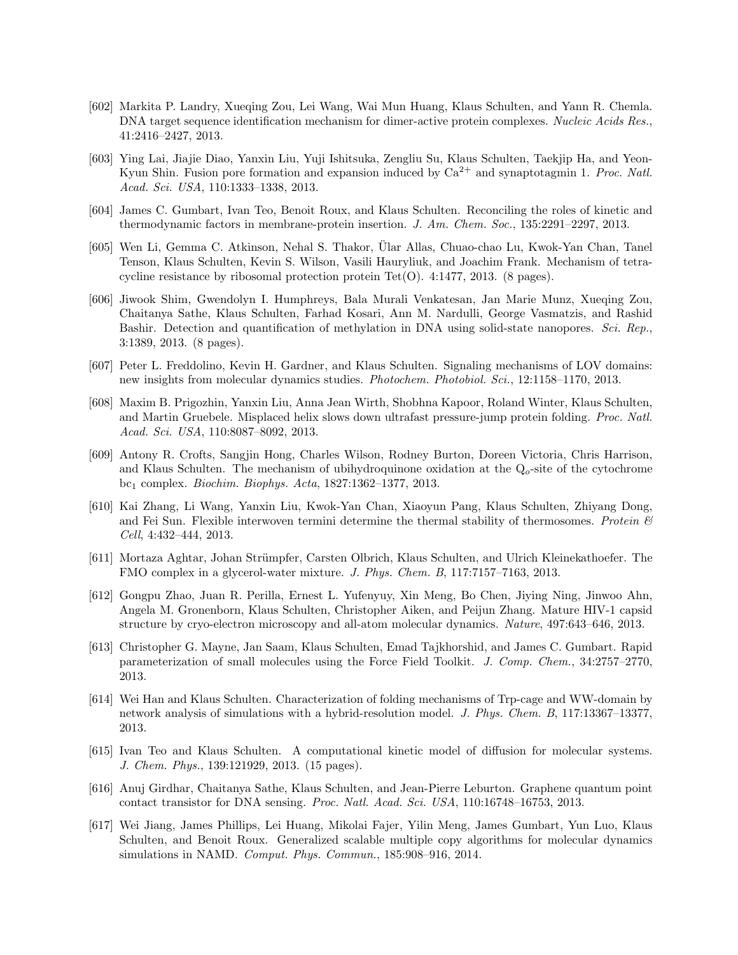- [602] Markita P. Landry, Xueqing Zou, Lei Wang, Wai Mun Huang, Klaus Schulten, and Yann R. Chemla. DNA target sequence identification mechanism for dimer-active protein complexes. Nucleic Acids Res., 41:2416–2427, 2013.
- [603] Ying Lai, Jiajie Diao, Yanxin Liu, Yuji Ishitsuka, Zengliu Su, Klaus Schulten, Taekjip Ha, and Yeon-Kyun Shin. Fusion pore formation and expansion induced by  $Ca^{2+}$  and synaptotagmin 1. Proc. Natl. Acad. Sci. USA, 110:1333–1338, 2013.
- [604] James C. Gumbart, Ivan Teo, Benoit Roux, and Klaus Schulten. Reconciling the roles of kinetic and thermodynamic factors in membrane-protein insertion. J. Am. Chem. Soc., 135:2291–2297, 2013.
- [605] Wen Li, Gemma C. Atkinson, Nehal S. Thakor, Ular Allas, Chuao-chao Lu, Kwok-Yan Chan, Tanel ¨ Tenson, Klaus Schulten, Kevin S. Wilson, Vasili Hauryliuk, and Joachim Frank. Mechanism of tetracycline resistance by ribosomal protection protein Tet $(O)$ . 4:1477, 2013. (8 pages).
- [606] Jiwook Shim, Gwendolyn I. Humphreys, Bala Murali Venkatesan, Jan Marie Munz, Xueqing Zou, Chaitanya Sathe, Klaus Schulten, Farhad Kosari, Ann M. Nardulli, George Vasmatzis, and Rashid Bashir. Detection and quantification of methylation in DNA using solid-state nanopores. Sci. Rep., 3:1389, 2013. (8 pages).
- [607] Peter L. Freddolino, Kevin H. Gardner, and Klaus Schulten. Signaling mechanisms of LOV domains: new insights from molecular dynamics studies. Photochem. Photobiol. Sci., 12:1158–1170, 2013.
- [608] Maxim B. Prigozhin, Yanxin Liu, Anna Jean Wirth, Shobhna Kapoor, Roland Winter, Klaus Schulten, and Martin Gruebele. Misplaced helix slows down ultrafast pressure-jump protein folding. Proc. Natl. Acad. Sci. USA, 110:8087–8092, 2013.
- [609] Antony R. Crofts, Sangjin Hong, Charles Wilson, Rodney Burton, Doreen Victoria, Chris Harrison, and Klaus Schulten. The mechanism of ubihydroquinone oxidation at the  $Q<sub>o</sub>$ -site of the cytochrome bc<sup>1</sup> complex. Biochim. Biophys. Acta, 1827:1362–1377, 2013.
- [610] Kai Zhang, Li Wang, Yanxin Liu, Kwok-Yan Chan, Xiaoyun Pang, Klaus Schulten, Zhiyang Dong, and Fei Sun. Flexible interwoven termini determine the thermal stability of thermosomes. Protein  $\mathcal{C}$ Cell, 4:432–444, 2013.
- [611] Mortaza Aghtar, Johan Strümpfer, Carsten Olbrich, Klaus Schulten, and Ulrich Kleinekathoefer. The FMO complex in a glycerol-water mixture. J. Phys. Chem. B, 117:7157–7163, 2013.
- [612] Gongpu Zhao, Juan R. Perilla, Ernest L. Yufenyuy, Xin Meng, Bo Chen, Jiying Ning, Jinwoo Ahn, Angela M. Gronenborn, Klaus Schulten, Christopher Aiken, and Peijun Zhang. Mature HIV-1 capsid structure by cryo-electron microscopy and all-atom molecular dynamics. Nature, 497:643–646, 2013.
- [613] Christopher G. Mayne, Jan Saam, Klaus Schulten, Emad Tajkhorshid, and James C. Gumbart. Rapid parameterization of small molecules using the Force Field Toolkit. J. Comp. Chem., 34:2757–2770, 2013.
- [614] Wei Han and Klaus Schulten. Characterization of folding mechanisms of Trp-cage and WW-domain by network analysis of simulations with a hybrid-resolution model. J. Phys. Chem. B, 117:13367–13377, 2013.
- [615] Ivan Teo and Klaus Schulten. A computational kinetic model of diffusion for molecular systems. J. Chem. Phys., 139:121929, 2013. (15 pages).
- [616] Anuj Girdhar, Chaitanya Sathe, Klaus Schulten, and Jean-Pierre Leburton. Graphene quantum point contact transistor for DNA sensing. Proc. Natl. Acad. Sci. USA, 110:16748–16753, 2013.
- [617] Wei Jiang, James Phillips, Lei Huang, Mikolai Fajer, Yilin Meng, James Gumbart, Yun Luo, Klaus Schulten, and Benoit Roux. Generalized scalable multiple copy algorithms for molecular dynamics simulations in NAMD. Comput. Phys. Commun., 185:908–916, 2014.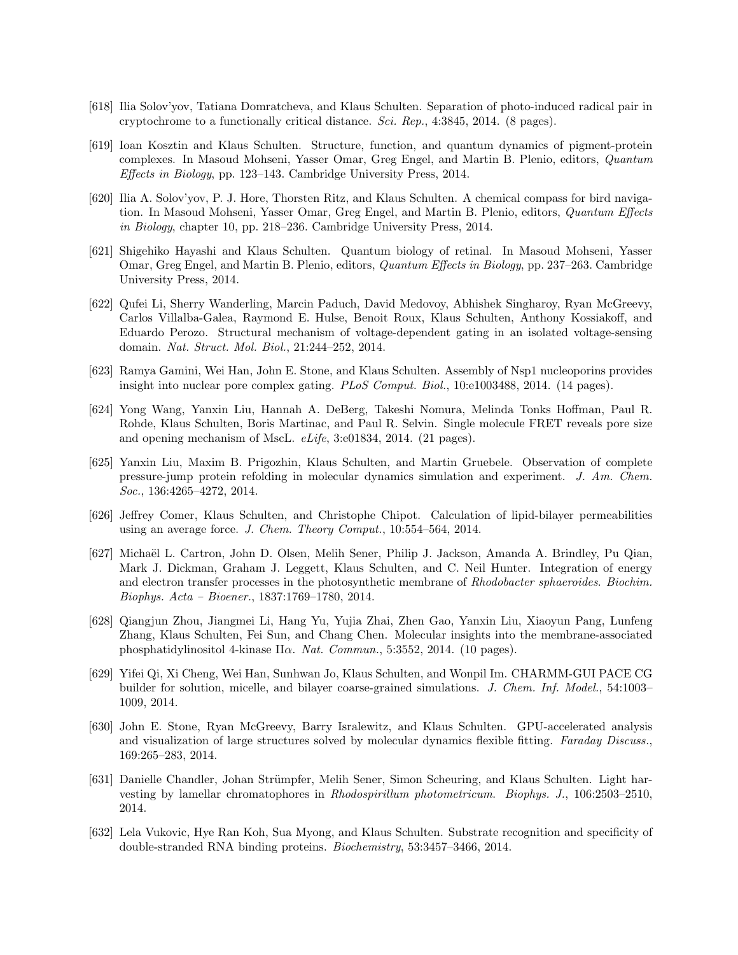- [618] Ilia Solov'yov, Tatiana Domratcheva, and Klaus Schulten. Separation of photo-induced radical pair in cryptochrome to a functionally critical distance. Sci. Rep., 4:3845, 2014. (8 pages).
- [619] Ioan Kosztin and Klaus Schulten. Structure, function, and quantum dynamics of pigment-protein complexes. In Masoud Mohseni, Yasser Omar, Greg Engel, and Martin B. Plenio, editors, Quantum Effects in Biology, pp. 123–143. Cambridge University Press, 2014.
- [620] Ilia A. Solov'yov, P. J. Hore, Thorsten Ritz, and Klaus Schulten. A chemical compass for bird navigation. In Masoud Mohseni, Yasser Omar, Greg Engel, and Martin B. Plenio, editors, Quantum Effects in Biology, chapter 10, pp. 218–236. Cambridge University Press, 2014.
- [621] Shigehiko Hayashi and Klaus Schulten. Quantum biology of retinal. In Masoud Mohseni, Yasser Omar, Greg Engel, and Martin B. Plenio, editors, Quantum Effects in Biology, pp. 237–263. Cambridge University Press, 2014.
- [622] Qufei Li, Sherry Wanderling, Marcin Paduch, David Medovoy, Abhishek Singharoy, Ryan McGreevy, Carlos Villalba-Galea, Raymond E. Hulse, Benoit Roux, Klaus Schulten, Anthony Kossiakoff, and Eduardo Perozo. Structural mechanism of voltage-dependent gating in an isolated voltage-sensing domain. Nat. Struct. Mol. Biol., 21:244–252, 2014.
- [623] Ramya Gamini, Wei Han, John E. Stone, and Klaus Schulten. Assembly of Nsp1 nucleoporins provides insight into nuclear pore complex gating. PLoS Comput. Biol., 10:e1003488, 2014. (14 pages).
- [624] Yong Wang, Yanxin Liu, Hannah A. DeBerg, Takeshi Nomura, Melinda Tonks Hoffman, Paul R. Rohde, Klaus Schulten, Boris Martinac, and Paul R. Selvin. Single molecule FRET reveals pore size and opening mechanism of MscL. eLife, 3:e01834, 2014. (21 pages).
- [625] Yanxin Liu, Maxim B. Prigozhin, Klaus Schulten, and Martin Gruebele. Observation of complete pressure-jump protein refolding in molecular dynamics simulation and experiment. J. Am. Chem. Soc., 136:4265–4272, 2014.
- [626] Jeffrey Comer, Klaus Schulten, and Christophe Chipot. Calculation of lipid-bilayer permeabilities using an average force. J. Chem. Theory Comput., 10:554–564, 2014.
- [627] Micha¨el L. Cartron, John D. Olsen, Melih Sener, Philip J. Jackson, Amanda A. Brindley, Pu Qian, Mark J. Dickman, Graham J. Leggett, Klaus Schulten, and C. Neil Hunter. Integration of energy and electron transfer processes in the photosynthetic membrane of Rhodobacter sphaeroides. Biochim. Biophys. Acta – Bioener., 1837:1769–1780, 2014.
- [628] Qiangjun Zhou, Jiangmei Li, Hang Yu, Yujia Zhai, Zhen Gao, Yanxin Liu, Xiaoyun Pang, Lunfeng Zhang, Klaus Schulten, Fei Sun, and Chang Chen. Molecular insights into the membrane-associated phosphatidylinositol 4-kinase IIα. Nat. Commun., 5:3552, 2014. (10 pages).
- [629] Yifei Qi, Xi Cheng, Wei Han, Sunhwan Jo, Klaus Schulten, and Wonpil Im. CHARMM-GUI PACE CG builder for solution, micelle, and bilayer coarse-grained simulations. J. Chem. Inf. Model., 54:1003– 1009, 2014.
- [630] John E. Stone, Ryan McGreevy, Barry Isralewitz, and Klaus Schulten. GPU-accelerated analysis and visualization of large structures solved by molecular dynamics flexible fitting. Faraday Discuss., 169:265–283, 2014.
- [631] Danielle Chandler, Johan Strümpfer, Melih Sener, Simon Scheuring, and Klaus Schulten. Light harvesting by lamellar chromatophores in Rhodospirillum photometricum. Biophys. J., 106:2503–2510, 2014.
- [632] Lela Vukovic, Hye Ran Koh, Sua Myong, and Klaus Schulten. Substrate recognition and specificity of double-stranded RNA binding proteins. Biochemistry, 53:3457–3466, 2014.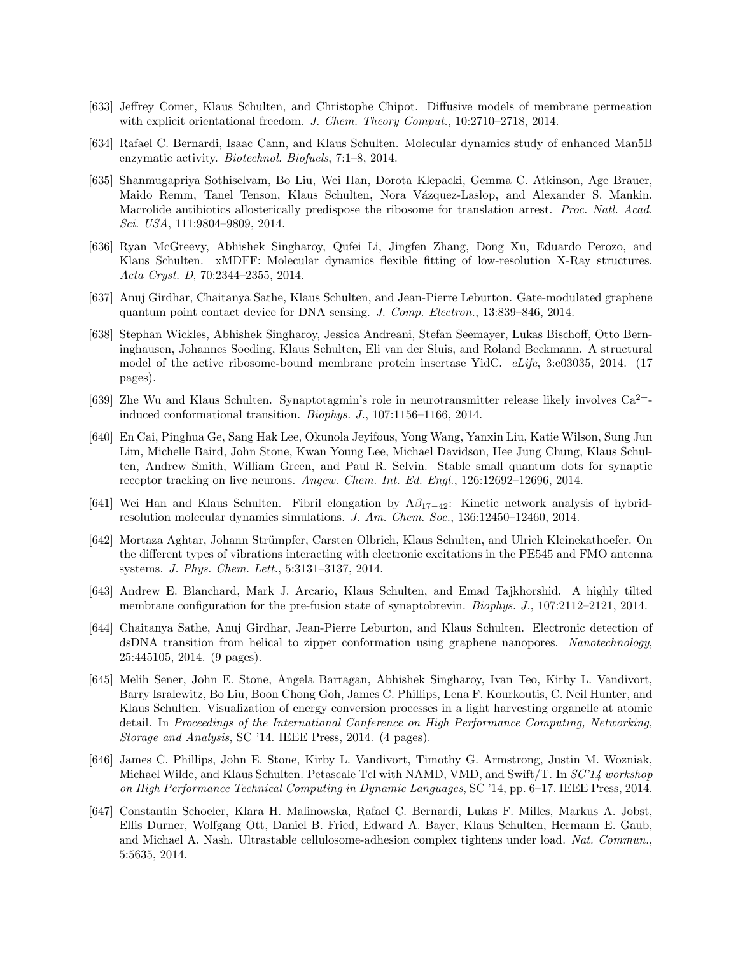- [633] Jeffrey Comer, Klaus Schulten, and Christophe Chipot. Diffusive models of membrane permeation with explicit orientational freedom. J. Chem. Theory Comput., 10:2710–2718, 2014.
- [634] Rafael C. Bernardi, Isaac Cann, and Klaus Schulten. Molecular dynamics study of enhanced Man5B enzymatic activity. Biotechnol. Biofuels, 7:1–8, 2014.
- [635] Shanmugapriya Sothiselvam, Bo Liu, Wei Han, Dorota Klepacki, Gemma C. Atkinson, Age Brauer, Maido Remm, Tanel Tenson, Klaus Schulten, Nora Vázquez-Laslop, and Alexander S. Mankin. Macrolide antibiotics allosterically predispose the ribosome for translation arrest. Proc. Natl. Acad. Sci. USA, 111:9804–9809, 2014.
- [636] Ryan McGreevy, Abhishek Singharoy, Qufei Li, Jingfen Zhang, Dong Xu, Eduardo Perozo, and Klaus Schulten. xMDFF: Molecular dynamics flexible fitting of low-resolution X-Ray structures. Acta Cryst. D, 70:2344–2355, 2014.
- [637] Anuj Girdhar, Chaitanya Sathe, Klaus Schulten, and Jean-Pierre Leburton. Gate-modulated graphene quantum point contact device for DNA sensing. J. Comp. Electron., 13:839–846, 2014.
- [638] Stephan Wickles, Abhishek Singharoy, Jessica Andreani, Stefan Seemayer, Lukas Bischoff, Otto Berninghausen, Johannes Soeding, Klaus Schulten, Eli van der Sluis, and Roland Beckmann. A structural model of the active ribosome-bound membrane protein insertase YidC. eLife, 3:e03035, 2014. (17 pages).
- [639] Zhe Wu and Klaus Schulten. Synaptotagmin's role in neurotransmitter release likely involves Ca2+ induced conformational transition. Biophys. J., 107:1156–1166, 2014.
- [640] En Cai, Pinghua Ge, Sang Hak Lee, Okunola Jeyifous, Yong Wang, Yanxin Liu, Katie Wilson, Sung Jun Lim, Michelle Baird, John Stone, Kwan Young Lee, Michael Davidson, Hee Jung Chung, Klaus Schulten, Andrew Smith, William Green, and Paul R. Selvin. Stable small quantum dots for synaptic receptor tracking on live neurons. Angew. Chem. Int. Ed. Engl., 126:12692–12696, 2014.
- [641] Wei Han and Klaus Schulten. Fibril elongation by  $A\beta_{17-42}$ : Kinetic network analysis of hybridresolution molecular dynamics simulations. J. Am. Chem. Soc., 136:12450–12460, 2014.
- [642] Mortaza Aghtar, Johann Str¨umpfer, Carsten Olbrich, Klaus Schulten, and Ulrich Kleinekathoefer. On the different types of vibrations interacting with electronic excitations in the PE545 and FMO antenna systems. J. Phys. Chem. Lett., 5:3131–3137, 2014.
- [643] Andrew E. Blanchard, Mark J. Arcario, Klaus Schulten, and Emad Tajkhorshid. A highly tilted membrane configuration for the pre-fusion state of synaptobrevin. Biophys. J., 107:2112–2121, 2014.
- [644] Chaitanya Sathe, Anuj Girdhar, Jean-Pierre Leburton, and Klaus Schulten. Electronic detection of dsDNA transition from helical to zipper conformation using graphene nanopores. Nanotechnology, 25:445105, 2014. (9 pages).
- [645] Melih Sener, John E. Stone, Angela Barragan, Abhishek Singharoy, Ivan Teo, Kirby L. Vandivort, Barry Isralewitz, Bo Liu, Boon Chong Goh, James C. Phillips, Lena F. Kourkoutis, C. Neil Hunter, and Klaus Schulten. Visualization of energy conversion processes in a light harvesting organelle at atomic detail. In Proceedings of the International Conference on High Performance Computing, Networking, Storage and Analysis, SC '14. IEEE Press, 2014. (4 pages).
- [646] James C. Phillips, John E. Stone, Kirby L. Vandivort, Timothy G. Armstrong, Justin M. Wozniak, Michael Wilde, and Klaus Schulten. Petascale Tcl with NAMD, VMD, and Swift/T. In SC'14 workshop on High Performance Technical Computing in Dynamic Languages, SC '14, pp. 6–17. IEEE Press, 2014.
- [647] Constantin Schoeler, Klara H. Malinowska, Rafael C. Bernardi, Lukas F. Milles, Markus A. Jobst, Ellis Durner, Wolfgang Ott, Daniel B. Fried, Edward A. Bayer, Klaus Schulten, Hermann E. Gaub, and Michael A. Nash. Ultrastable cellulosome-adhesion complex tightens under load. Nat. Commun., 5:5635, 2014.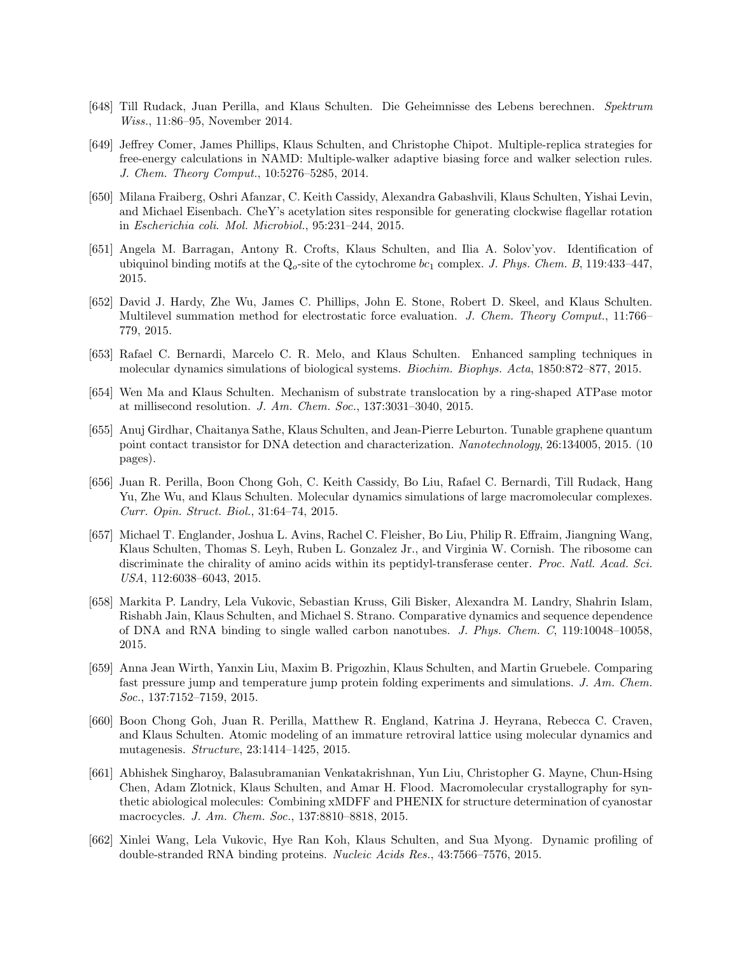- [648] Till Rudack, Juan Perilla, and Klaus Schulten. Die Geheimnisse des Lebens berechnen. Spektrum Wiss., 11:86–95, November 2014.
- [649] Jeffrey Comer, James Phillips, Klaus Schulten, and Christophe Chipot. Multiple-replica strategies for free-energy calculations in NAMD: Multiple-walker adaptive biasing force and walker selection rules. J. Chem. Theory Comput., 10:5276–5285, 2014.
- [650] Milana Fraiberg, Oshri Afanzar, C. Keith Cassidy, Alexandra Gabashvili, Klaus Schulten, Yishai Levin, and Michael Eisenbach. CheY's acetylation sites responsible for generating clockwise flagellar rotation in Escherichia coli. Mol. Microbiol., 95:231–244, 2015.
- [651] Angela M. Barragan, Antony R. Crofts, Klaus Schulten, and Ilia A. Solov'yov. Identification of ubiquinol binding motifs at the  $Q_0$ -site of the cytochrome  $bc_1$  complex. J. Phys. Chem. B, 119:433-447, 2015.
- [652] David J. Hardy, Zhe Wu, James C. Phillips, John E. Stone, Robert D. Skeel, and Klaus Schulten. Multilevel summation method for electrostatic force evaluation. J. Chem. Theory Comput., 11:766– 779, 2015.
- [653] Rafael C. Bernardi, Marcelo C. R. Melo, and Klaus Schulten. Enhanced sampling techniques in molecular dynamics simulations of biological systems. Biochim. Biophys. Acta, 1850:872–877, 2015.
- [654] Wen Ma and Klaus Schulten. Mechanism of substrate translocation by a ring-shaped ATPase motor at millisecond resolution. J. Am. Chem. Soc., 137:3031–3040, 2015.
- [655] Anuj Girdhar, Chaitanya Sathe, Klaus Schulten, and Jean-Pierre Leburton. Tunable graphene quantum point contact transistor for DNA detection and characterization. Nanotechnology, 26:134005, 2015. (10 pages).
- [656] Juan R. Perilla, Boon Chong Goh, C. Keith Cassidy, Bo Liu, Rafael C. Bernardi, Till Rudack, Hang Yu, Zhe Wu, and Klaus Schulten. Molecular dynamics simulations of large macromolecular complexes. Curr. Opin. Struct. Biol., 31:64–74, 2015.
- [657] Michael T. Englander, Joshua L. Avins, Rachel C. Fleisher, Bo Liu, Philip R. Effraim, Jiangning Wang, Klaus Schulten, Thomas S. Leyh, Ruben L. Gonzalez Jr., and Virginia W. Cornish. The ribosome can discriminate the chirality of amino acids within its peptidyl-transferase center. Proc. Natl. Acad. Sci. USA, 112:6038–6043, 2015.
- [658] Markita P. Landry, Lela Vukovic, Sebastian Kruss, Gili Bisker, Alexandra M. Landry, Shahrin Islam, Rishabh Jain, Klaus Schulten, and Michael S. Strano. Comparative dynamics and sequence dependence of DNA and RNA binding to single walled carbon nanotubes. J. Phys. Chem. C, 119:10048–10058, 2015.
- [659] Anna Jean Wirth, Yanxin Liu, Maxim B. Prigozhin, Klaus Schulten, and Martin Gruebele. Comparing fast pressure jump and temperature jump protein folding experiments and simulations. J. Am. Chem. Soc., 137:7152–7159, 2015.
- [660] Boon Chong Goh, Juan R. Perilla, Matthew R. England, Katrina J. Heyrana, Rebecca C. Craven, and Klaus Schulten. Atomic modeling of an immature retroviral lattice using molecular dynamics and mutagenesis. Structure, 23:1414–1425, 2015.
- [661] Abhishek Singharoy, Balasubramanian Venkatakrishnan, Yun Liu, Christopher G. Mayne, Chun-Hsing Chen, Adam Zlotnick, Klaus Schulten, and Amar H. Flood. Macromolecular crystallography for synthetic abiological molecules: Combining xMDFF and PHENIX for structure determination of cyanostar macrocycles. J. Am. Chem. Soc., 137:8810–8818, 2015.
- [662] Xinlei Wang, Lela Vukovic, Hye Ran Koh, Klaus Schulten, and Sua Myong. Dynamic profiling of double-stranded RNA binding proteins. Nucleic Acids Res., 43:7566–7576, 2015.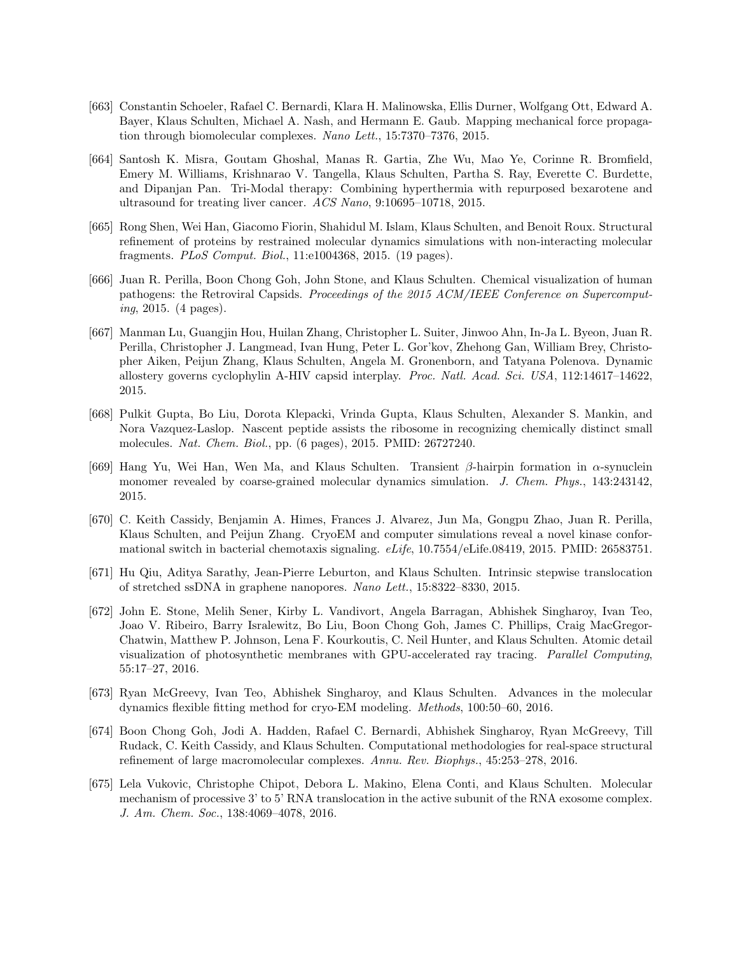- [663] Constantin Schoeler, Rafael C. Bernardi, Klara H. Malinowska, Ellis Durner, Wolfgang Ott, Edward A. Bayer, Klaus Schulten, Michael A. Nash, and Hermann E. Gaub. Mapping mechanical force propagation through biomolecular complexes. Nano Lett., 15:7370–7376, 2015.
- [664] Santosh K. Misra, Goutam Ghoshal, Manas R. Gartia, Zhe Wu, Mao Ye, Corinne R. Bromfield, Emery M. Williams, Krishnarao V. Tangella, Klaus Schulten, Partha S. Ray, Everette C. Burdette, and Dipanjan Pan. Tri-Modal therapy: Combining hyperthermia with repurposed bexarotene and ultrasound for treating liver cancer. ACS Nano, 9:10695–10718, 2015.
- [665] Rong Shen, Wei Han, Giacomo Fiorin, Shahidul M. Islam, Klaus Schulten, and Benoit Roux. Structural refinement of proteins by restrained molecular dynamics simulations with non-interacting molecular fragments. PLoS Comput. Biol., 11:e1004368, 2015. (19 pages).
- [666] Juan R. Perilla, Boon Chong Goh, John Stone, and Klaus Schulten. Chemical visualization of human pathogens: the Retroviral Capsids. Proceedings of the 2015 ACM/IEEE Conference on Supercomputing, 2015. (4 pages).
- [667] Manman Lu, Guangjin Hou, Huilan Zhang, Christopher L. Suiter, Jinwoo Ahn, In-Ja L. Byeon, Juan R. Perilla, Christopher J. Langmead, Ivan Hung, Peter L. Gor'kov, Zhehong Gan, William Brey, Christopher Aiken, Peijun Zhang, Klaus Schulten, Angela M. Gronenborn, and Tatyana Polenova. Dynamic allostery governs cyclophylin A-HIV capsid interplay. Proc. Natl. Acad. Sci. USA, 112:14617–14622, 2015.
- [668] Pulkit Gupta, Bo Liu, Dorota Klepacki, Vrinda Gupta, Klaus Schulten, Alexander S. Mankin, and Nora Vazquez-Laslop. Nascent peptide assists the ribosome in recognizing chemically distinct small molecules. Nat. Chem. Biol., pp. (6 pages), 2015. PMID: 26727240.
- [669] Hang Yu, Wei Han, Wen Ma, and Klaus Schulten. Transient β-hairpin formation in α-synuclein monomer revealed by coarse-grained molecular dynamics simulation. J. Chem. Phys., 143:243142, 2015.
- [670] C. Keith Cassidy, Benjamin A. Himes, Frances J. Alvarez, Jun Ma, Gongpu Zhao, Juan R. Perilla, Klaus Schulten, and Peijun Zhang. CryoEM and computer simulations reveal a novel kinase conformational switch in bacterial chemotaxis signaling. eLife, 10.7554/eLife.08419, 2015. PMID: 26583751.
- [671] Hu Qiu, Aditya Sarathy, Jean-Pierre Leburton, and Klaus Schulten. Intrinsic stepwise translocation of stretched ssDNA in graphene nanopores. Nano Lett., 15:8322–8330, 2015.
- [672] John E. Stone, Melih Sener, Kirby L. Vandivort, Angela Barragan, Abhishek Singharoy, Ivan Teo, Joao V. Ribeiro, Barry Isralewitz, Bo Liu, Boon Chong Goh, James C. Phillips, Craig MacGregor-Chatwin, Matthew P. Johnson, Lena F. Kourkoutis, C. Neil Hunter, and Klaus Schulten. Atomic detail visualization of photosynthetic membranes with GPU-accelerated ray tracing. Parallel Computing, 55:17–27, 2016.
- [673] Ryan McGreevy, Ivan Teo, Abhishek Singharoy, and Klaus Schulten. Advances in the molecular dynamics flexible fitting method for cryo-EM modeling. Methods, 100:50–60, 2016.
- [674] Boon Chong Goh, Jodi A. Hadden, Rafael C. Bernardi, Abhishek Singharoy, Ryan McGreevy, Till Rudack, C. Keith Cassidy, and Klaus Schulten. Computational methodologies for real-space structural refinement of large macromolecular complexes. Annu. Rev. Biophys., 45:253–278, 2016.
- [675] Lela Vukovic, Christophe Chipot, Debora L. Makino, Elena Conti, and Klaus Schulten. Molecular mechanism of processive 3' to 5' RNA translocation in the active subunit of the RNA exosome complex. J. Am. Chem. Soc., 138:4069–4078, 2016.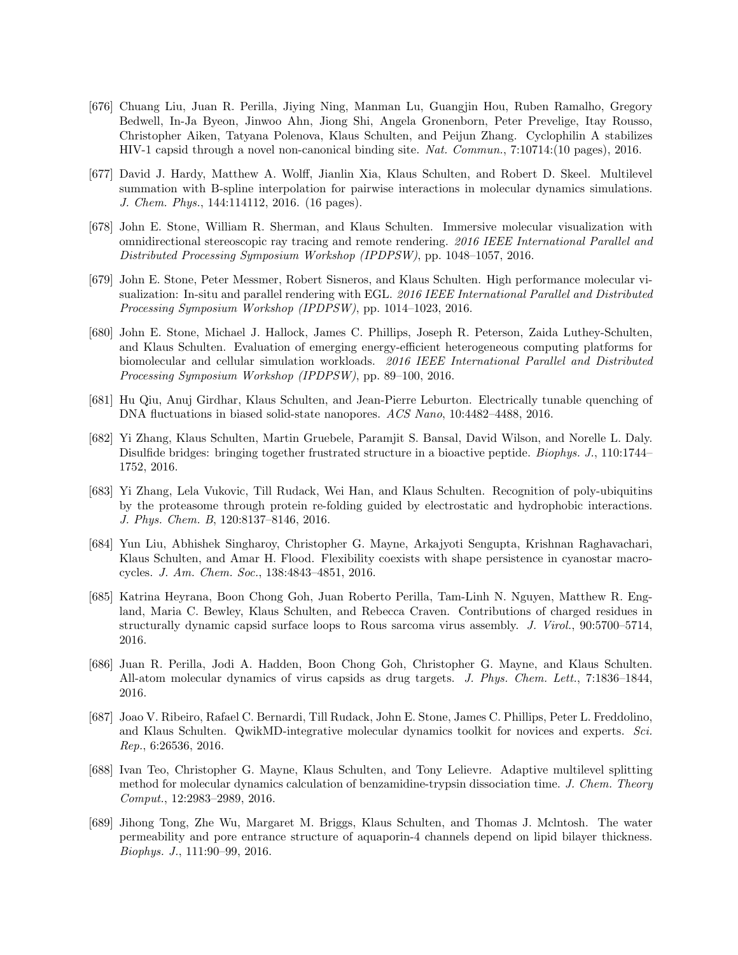- [676] Chuang Liu, Juan R. Perilla, Jiying Ning, Manman Lu, Guangjin Hou, Ruben Ramalho, Gregory Bedwell, In-Ja Byeon, Jinwoo Ahn, Jiong Shi, Angela Gronenborn, Peter Prevelige, Itay Rousso, Christopher Aiken, Tatyana Polenova, Klaus Schulten, and Peijun Zhang. Cyclophilin A stabilizes HIV-1 capsid through a novel non-canonical binding site. Nat. Commun., 7:10714:(10 pages), 2016.
- [677] David J. Hardy, Matthew A. Wolff, Jianlin Xia, Klaus Schulten, and Robert D. Skeel. Multilevel summation with B-spline interpolation for pairwise interactions in molecular dynamics simulations. J. Chem. Phys., 144:114112, 2016. (16 pages).
- [678] John E. Stone, William R. Sherman, and Klaus Schulten. Immersive molecular visualization with omnidirectional stereoscopic ray tracing and remote rendering. 2016 IEEE International Parallel and Distributed Processing Symposium Workshop (IPDPSW), pp. 1048–1057, 2016.
- [679] John E. Stone, Peter Messmer, Robert Sisneros, and Klaus Schulten. High performance molecular visualization: In-situ and parallel rendering with EGL. 2016 IEEE International Parallel and Distributed Processing Symposium Workshop (IPDPSW), pp. 1014–1023, 2016.
- [680] John E. Stone, Michael J. Hallock, James C. Phillips, Joseph R. Peterson, Zaida Luthey-Schulten, and Klaus Schulten. Evaluation of emerging energy-efficient heterogeneous computing platforms for biomolecular and cellular simulation workloads. 2016 IEEE International Parallel and Distributed Processing Symposium Workshop (IPDPSW), pp. 89–100, 2016.
- [681] Hu Qiu, Anuj Girdhar, Klaus Schulten, and Jean-Pierre Leburton. Electrically tunable quenching of DNA fluctuations in biased solid-state nanopores. ACS Nano, 10:4482–4488, 2016.
- [682] Yi Zhang, Klaus Schulten, Martin Gruebele, Paramjit S. Bansal, David Wilson, and Norelle L. Daly. Disulfide bridges: bringing together frustrated structure in a bioactive peptide. Biophys. J., 110:1744– 1752, 2016.
- [683] Yi Zhang, Lela Vukovic, Till Rudack, Wei Han, and Klaus Schulten. Recognition of poly-ubiquitins by the proteasome through protein re-folding guided by electrostatic and hydrophobic interactions. J. Phys. Chem. B, 120:8137–8146, 2016.
- [684] Yun Liu, Abhishek Singharoy, Christopher G. Mayne, Arkajyoti Sengupta, Krishnan Raghavachari, Klaus Schulten, and Amar H. Flood. Flexibility coexists with shape persistence in cyanostar macrocycles. J. Am. Chem. Soc., 138:4843–4851, 2016.
- [685] Katrina Heyrana, Boon Chong Goh, Juan Roberto Perilla, Tam-Linh N. Nguyen, Matthew R. England, Maria C. Bewley, Klaus Schulten, and Rebecca Craven. Contributions of charged residues in structurally dynamic capsid surface loops to Rous sarcoma virus assembly. J. Virol., 90:5700–5714, 2016.
- [686] Juan R. Perilla, Jodi A. Hadden, Boon Chong Goh, Christopher G. Mayne, and Klaus Schulten. All-atom molecular dynamics of virus capsids as drug targets. J. Phys. Chem. Lett., 7:1836–1844, 2016.
- [687] Joao V. Ribeiro, Rafael C. Bernardi, Till Rudack, John E. Stone, James C. Phillips, Peter L. Freddolino, and Klaus Schulten. QwikMD-integrative molecular dynamics toolkit for novices and experts. Sci. Rep., 6:26536, 2016.
- [688] Ivan Teo, Christopher G. Mayne, Klaus Schulten, and Tony Lelievre. Adaptive multilevel splitting method for molecular dynamics calculation of benzamidine-trypsin dissociation time. J. Chem. Theory Comput., 12:2983–2989, 2016.
- [689] Jihong Tong, Zhe Wu, Margaret M. Briggs, Klaus Schulten, and Thomas J. Mclntosh. The water permeability and pore entrance structure of aquaporin-4 channels depend on lipid bilayer thickness. Biophys. J., 111:90–99, 2016.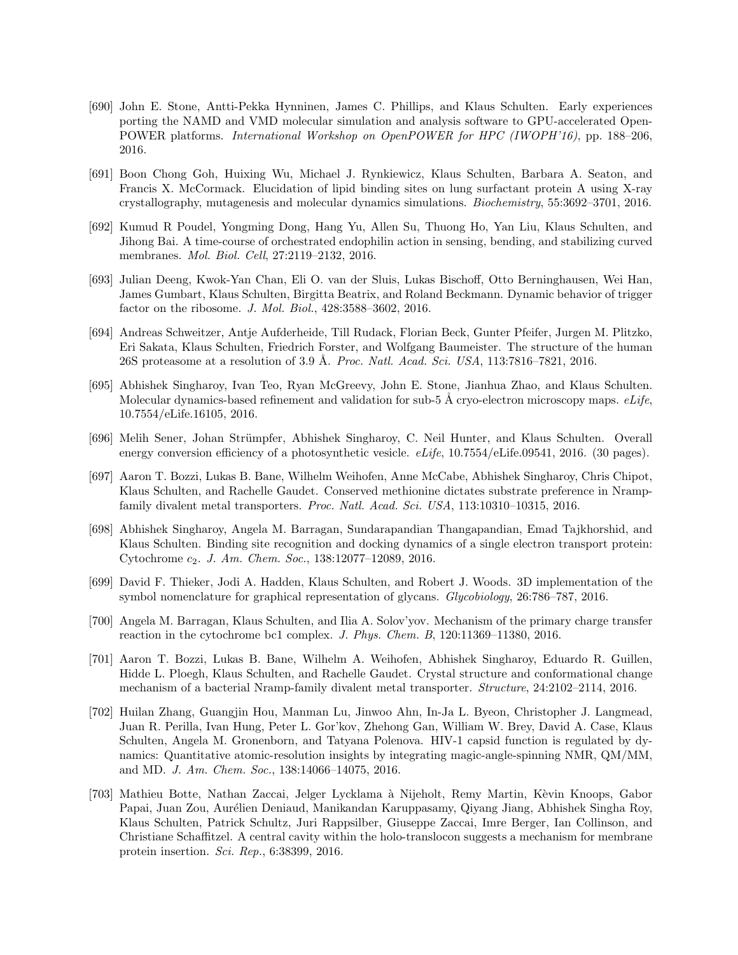- [690] John E. Stone, Antti-Pekka Hynninen, James C. Phillips, and Klaus Schulten. Early experiences porting the NAMD and VMD molecular simulation and analysis software to GPU-accelerated Open-POWER platforms. International Workshop on OpenPOWER for HPC (IWOPH'16), pp. 188–206, 2016.
- [691] Boon Chong Goh, Huixing Wu, Michael J. Rynkiewicz, Klaus Schulten, Barbara A. Seaton, and Francis X. McCormack. Elucidation of lipid binding sites on lung surfactant protein A using X-ray crystallography, mutagenesis and molecular dynamics simulations. Biochemistry, 55:3692–3701, 2016.
- [692] Kumud R Poudel, Yongming Dong, Hang Yu, Allen Su, Thuong Ho, Yan Liu, Klaus Schulten, and Jihong Bai. A time-course of orchestrated endophilin action in sensing, bending, and stabilizing curved membranes. Mol. Biol. Cell, 27:2119–2132, 2016.
- [693] Julian Deeng, Kwok-Yan Chan, Eli O. van der Sluis, Lukas Bischoff, Otto Berninghausen, Wei Han, James Gumbart, Klaus Schulten, Birgitta Beatrix, and Roland Beckmann. Dynamic behavior of trigger factor on the ribosome. J. Mol. Biol., 428:3588-3602, 2016.
- [694] Andreas Schweitzer, Antje Aufderheide, Till Rudack, Florian Beck, Gunter Pfeifer, Jurgen M. Plitzko, Eri Sakata, Klaus Schulten, Friedrich Forster, and Wolfgang Baumeister. The structure of the human 26S proteasome at a resolution of 3.9 Å. Proc. Natl. Acad. Sci. USA, 113:7816-7821, 2016.
- [695] Abhishek Singharoy, Ivan Teo, Ryan McGreevy, John E. Stone, Jianhua Zhao, and Klaus Schulten. Molecular dynamics-based refinement and validation for sub-5 Å cryo-electron microscopy maps.  $eLife$ 10.7554/eLife.16105, 2016.
- [696] Melih Sener, Johan Strümpfer, Abhishek Singharoy, C. Neil Hunter, and Klaus Schulten. Overall energy conversion efficiency of a photosynthetic vesicle. *eLife*, 10.7554/eLife.09541, 2016. (30 pages).
- [697] Aaron T. Bozzi, Lukas B. Bane, Wilhelm Weihofen, Anne McCabe, Abhishek Singharoy, Chris Chipot, Klaus Schulten, and Rachelle Gaudet. Conserved methionine dictates substrate preference in Nrampfamily divalent metal transporters. Proc. Natl. Acad. Sci. USA, 113:10310–10315, 2016.
- [698] Abhishek Singharoy, Angela M. Barragan, Sundarapandian Thangapandian, Emad Tajkhorshid, and Klaus Schulten. Binding site recognition and docking dynamics of a single electron transport protein: Cytochrome c2. J. Am. Chem. Soc., 138:12077–12089, 2016.
- [699] David F. Thieker, Jodi A. Hadden, Klaus Schulten, and Robert J. Woods. 3D implementation of the symbol nomenclature for graphical representation of glycans. Glycobiology, 26:786–787, 2016.
- [700] Angela M. Barragan, Klaus Schulten, and Ilia A. Solov'yov. Mechanism of the primary charge transfer reaction in the cytochrome bc1 complex. J. Phys. Chem. B, 120:11369–11380, 2016.
- [701] Aaron T. Bozzi, Lukas B. Bane, Wilhelm A. Weihofen, Abhishek Singharoy, Eduardo R. Guillen, Hidde L. Ploegh, Klaus Schulten, and Rachelle Gaudet. Crystal structure and conformational change mechanism of a bacterial Nramp-family divalent metal transporter. Structure, 24:2102–2114, 2016.
- [702] Huilan Zhang, Guangjin Hou, Manman Lu, Jinwoo Ahn, In-Ja L. Byeon, Christopher J. Langmead, Juan R. Perilla, Ivan Hung, Peter L. Gor'kov, Zhehong Gan, William W. Brey, David A. Case, Klaus Schulten, Angela M. Gronenborn, and Tatyana Polenova. HIV-1 capsid function is regulated by dynamics: Quantitative atomic-resolution insights by integrating magic-angle-spinning NMR, QM/MM, and MD. J. Am. Chem. Soc., 138:14066–14075, 2016.
- [703] Mathieu Botte, Nathan Zaccai, Jelger Lycklama à Nijeholt, Remy Martin, Kèvin Knoops, Gabor Papai, Juan Zou, Aurélien Deniaud, Manikandan Karuppasamy, Qiyang Jiang, Abhishek Singha Roy, Klaus Schulten, Patrick Schultz, Juri Rappsilber, Giuseppe Zaccai, Imre Berger, Ian Collinson, and Christiane Schaffitzel. A central cavity within the holo-translocon suggests a mechanism for membrane protein insertion. Sci. Rep., 6:38399, 2016.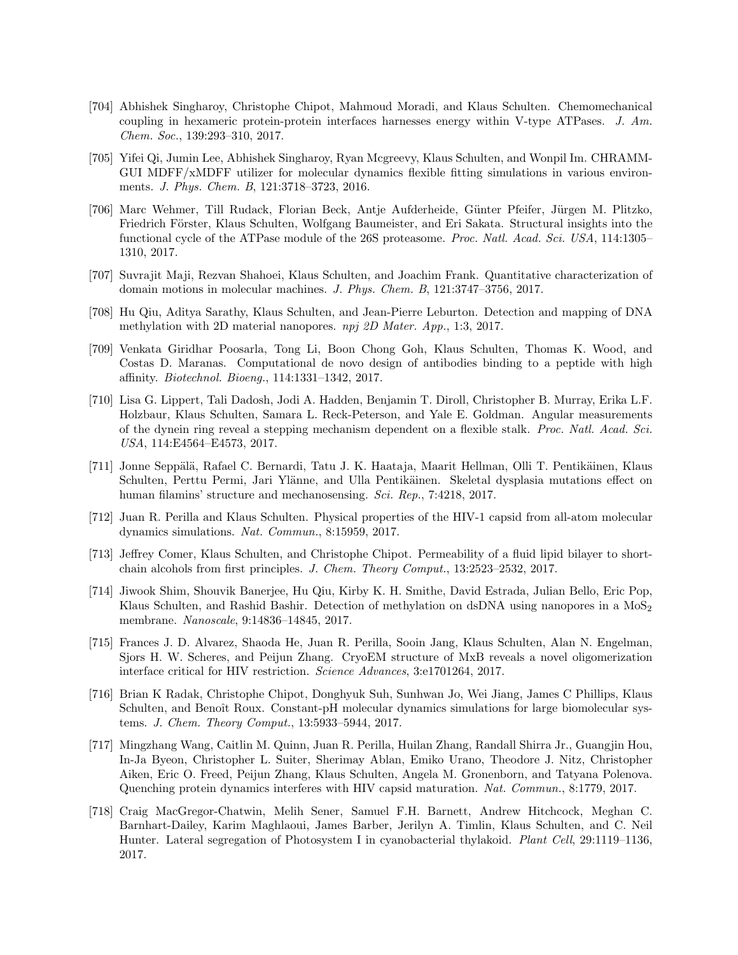- [704] Abhishek Singharoy, Christophe Chipot, Mahmoud Moradi, and Klaus Schulten. Chemomechanical coupling in hexameric protein-protein interfaces harnesses energy within V-type ATPases. J. Am. Chem. Soc., 139:293–310, 2017.
- [705] Yifei Qi, Jumin Lee, Abhishek Singharoy, Ryan Mcgreevy, Klaus Schulten, and Wonpil Im. CHRAMM-GUI MDFF/xMDFF utilizer for molecular dynamics flexible fitting simulations in various environments. J. Phys. Chem. B, 121:3718–3723, 2016.
- [706] Marc Wehmer, Till Rudack, Florian Beck, Antje Aufderheide, G¨unter Pfeifer, J¨urgen M. Plitzko, Friedrich Förster, Klaus Schulten, Wolfgang Baumeister, and Eri Sakata. Structural insights into the functional cycle of the ATPase module of the 26S proteasome. Proc. Natl. Acad. Sci. USA, 114:1305– 1310, 2017.
- [707] Suvrajit Maji, Rezvan Shahoei, Klaus Schulten, and Joachim Frank. Quantitative characterization of domain motions in molecular machines. J. Phys. Chem. B, 121:3747–3756, 2017.
- [708] Hu Qiu, Aditya Sarathy, Klaus Schulten, and Jean-Pierre Leburton. Detection and mapping of DNA methylation with 2D material nanopores. npj 2D Mater. App., 1:3, 2017.
- [709] Venkata Giridhar Poosarla, Tong Li, Boon Chong Goh, Klaus Schulten, Thomas K. Wood, and Costas D. Maranas. Computational de novo design of antibodies binding to a peptide with high affinity. Biotechnol. Bioeng., 114:1331–1342, 2017.
- [710] Lisa G. Lippert, Tali Dadosh, Jodi A. Hadden, Benjamin T. Diroll, Christopher B. Murray, Erika L.F. Holzbaur, Klaus Schulten, Samara L. Reck-Peterson, and Yale E. Goldman. Angular measurements of the dynein ring reveal a stepping mechanism dependent on a flexible stalk. Proc. Natl. Acad. Sci. USA, 114:E4564–E4573, 2017.
- [711] Jonne Sepp¨al¨a, Rafael C. Bernardi, Tatu J. K. Haataja, Maarit Hellman, Olli T. Pentik¨ainen, Klaus Schulten, Perttu Permi, Jari Ylänne, and Ulla Pentikäinen. Skeletal dysplasia mutations effect on human filamins' structure and mechanosensing. Sci. Rep., 7:4218, 2017.
- [712] Juan R. Perilla and Klaus Schulten. Physical properties of the HIV-1 capsid from all-atom molecular dynamics simulations. Nat. Commun., 8:15959, 2017.
- [713] Jeffrey Comer, Klaus Schulten, and Christophe Chipot. Permeability of a fluid lipid bilayer to shortchain alcohols from first principles. J. Chem. Theory Comput., 13:2523–2532, 2017.
- [714] Jiwook Shim, Shouvik Banerjee, Hu Qiu, Kirby K. H. Smithe, David Estrada, Julian Bello, Eric Pop, Klaus Schulten, and Rashid Bashir. Detection of methylation on dsDNA using nanopores in a  $M_0S_2$ membrane. Nanoscale, 9:14836–14845, 2017.
- [715] Frances J. D. Alvarez, Shaoda He, Juan R. Perilla, Sooin Jang, Klaus Schulten, Alan N. Engelman, Sjors H. W. Scheres, and Peijun Zhang. CryoEM structure of MxB reveals a novel oligomerization interface critical for HIV restriction. Science Advances, 3:e1701264, 2017.
- [716] Brian K Radak, Christophe Chipot, Donghyuk Suh, Sunhwan Jo, Wei Jiang, James C Phillips, Klaus Schulten, and Benoît Roux. Constant-pH molecular dynamics simulations for large biomolecular systems. J. Chem. Theory Comput., 13:5933–5944, 2017.
- [717] Mingzhang Wang, Caitlin M. Quinn, Juan R. Perilla, Huilan Zhang, Randall Shirra Jr., Guangjin Hou, In-Ja Byeon, Christopher L. Suiter, Sherimay Ablan, Emiko Urano, Theodore J. Nitz, Christopher Aiken, Eric O. Freed, Peijun Zhang, Klaus Schulten, Angela M. Gronenborn, and Tatyana Polenova. Quenching protein dynamics interferes with HIV capsid maturation. Nat. Commun., 8:1779, 2017.
- [718] Craig MacGregor-Chatwin, Melih Sener, Samuel F.H. Barnett, Andrew Hitchcock, Meghan C. Barnhart-Dailey, Karim Maghlaoui, James Barber, Jerilyn A. Timlin, Klaus Schulten, and C. Neil Hunter. Lateral segregation of Photosystem I in cyanobacterial thylakoid. Plant Cell, 29:1119–1136, 2017.